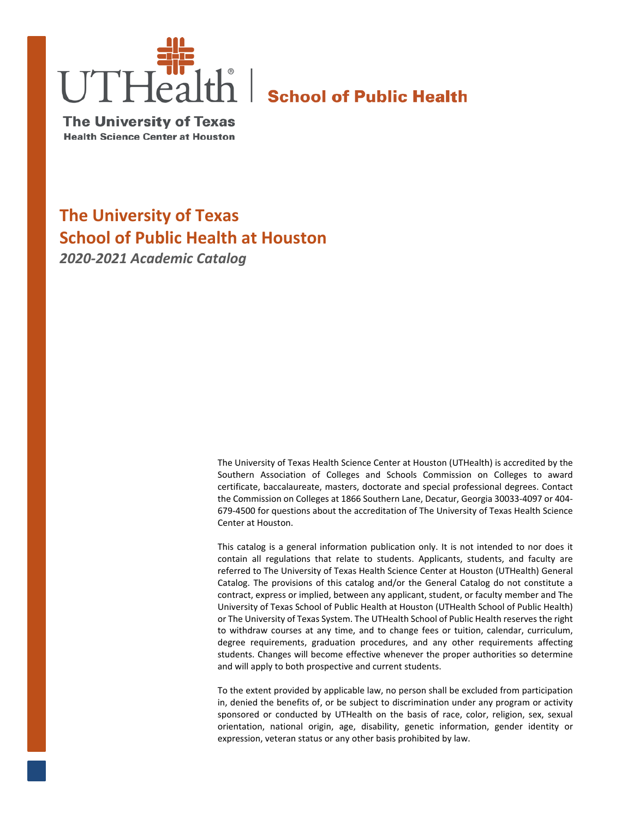

**The University of Texas Health Science Center at Houston** 

# **The University of Texas School of Public Health at Houston** *2020-2021 Academic Catalog*

The University of Texas Health Science Center at Houston (UTHealth) is accredited by the Southern Association of Colleges and Schools Commission on Colleges to award certificate, baccalaureate, masters, doctorate and special professional degrees. Contact the Commission on Colleges at 1866 Southern Lane, Decatur, Georgia 30033-4097 or 404- 679-4500 for questions about the accreditation of The University of Texas Health Science Center at Houston.

This catalog is a general information publication only. It is not intended to nor does it contain all regulations that relate to students. Applicants, students, and faculty are referred to The University of Texas Health Science Center at Houston (UTHealth) General Catalog. The provisions of this catalog and/or the General Catalog do not constitute a contract, express or implied, between any applicant, student, or faculty member and The University of Texas School of Public Health at Houston (UTHealth School of Public Health) or The University of Texas System. The UTHealth School of Public Health reserves the right to withdraw courses at any time, and to change fees or tuition, calendar, curriculum, degree requirements, graduation procedures, and any other requirements affecting students. Changes will become effective whenever the proper authorities so determine and will apply to both prospective and current students.

To the extent provided by applicable law, no person shall be excluded from participation in, denied the benefits of, or be subject to discrimination under any program or activity sponsored or conducted by UTHealth on the basis of race, color, religion, sex, sexual orientation, national origin, age, disability, genetic information, gender identity or expression, veteran status or any other basis prohibited by law.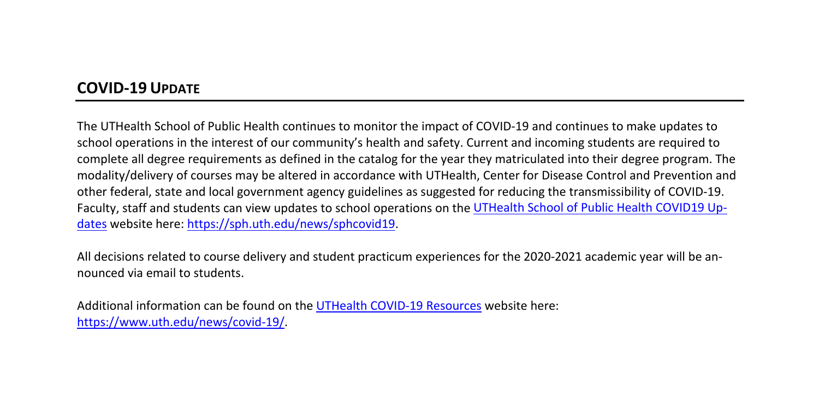# **COVID-19 UPDATE**

The UTHealth School of Public Health continues to monitor the impact of COVID-19 and continues to make updates to school operations in the interest of our community's health and safety. Current and incoming students are required to complete all degree requirements as defined in the catalog for the year they matriculated into their degree program. The modality/delivery of courses may be altered in accordance with UTHealth, Center for Disease Control and Prevention and other federal, state and local government agency guidelines as suggested for reducing the transmissibility of COVID-19. Faculty, staff and students can view updates to school operations on the [UTHealth School of Public Health COVID19 Up](https://sph.uth.edu/news/sphcovid19)[dates](https://sph.uth.edu/news/sphcovid19) website here: [https://sph.uth.edu/news/sphcovid19.](https://sph.uth.edu/news/sphcovid19)

All decisions related to course delivery and student practicum experiences for the 2020-2021 academic year will be announced via email to students.

Additional information can be found on th[e UTHealth COVID-19 Resources](https://www.uth.edu/news/covid-19/) website here: [https://www.uth.edu/news/covid-19/.](https://www.uth.edu/news/covid-19/)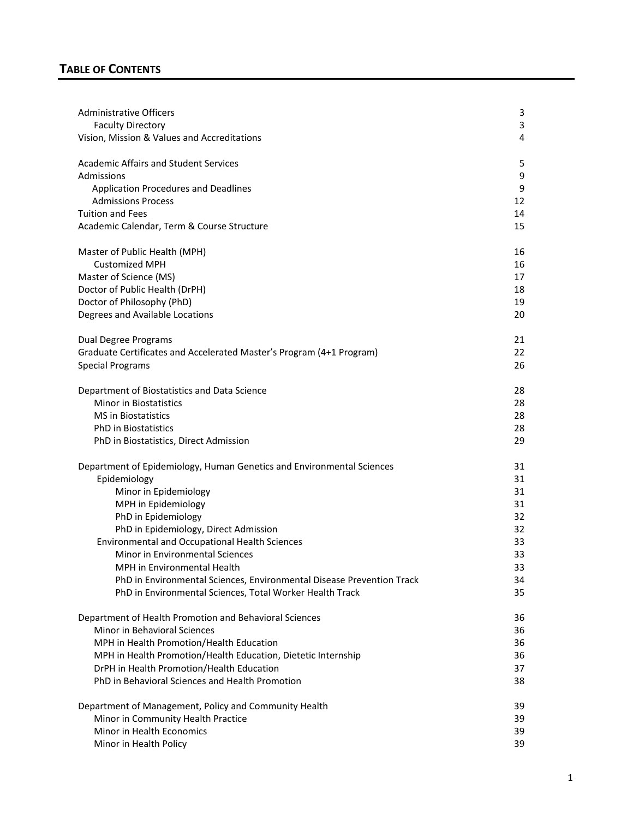# **TABLE OF CONTENTS**

| <b>Administrative Officers</b>                                        | 3  |
|-----------------------------------------------------------------------|----|
| <b>Faculty Directory</b>                                              | 3  |
| Vision, Mission & Values and Accreditations                           | 4  |
| <b>Academic Affairs and Student Services</b>                          | 5  |
| Admissions                                                            | 9  |
| Application Procedures and Deadlines                                  | 9  |
| <b>Admissions Process</b>                                             | 12 |
| <b>Tuition and Fees</b>                                               | 14 |
| Academic Calendar, Term & Course Structure                            | 15 |
| Master of Public Health (MPH)                                         | 16 |
| <b>Customized MPH</b>                                                 | 16 |
| Master of Science (MS)                                                | 17 |
| Doctor of Public Health (DrPH)                                        | 18 |
| Doctor of Philosophy (PhD)                                            | 19 |
| Degrees and Available Locations                                       | 20 |
| <b>Dual Degree Programs</b>                                           | 21 |
| Graduate Certificates and Accelerated Master's Program (4+1 Program)  | 22 |
| <b>Special Programs</b>                                               | 26 |
| Department of Biostatistics and Data Science                          | 28 |
| <b>Minor in Biostatistics</b>                                         | 28 |
| <b>MS</b> in Biostatistics                                            | 28 |
| <b>PhD</b> in Biostatistics                                           | 28 |
| PhD in Biostatistics, Direct Admission                                | 29 |
| Department of Epidemiology, Human Genetics and Environmental Sciences | 31 |
| Epidemiology                                                          | 31 |
| Minor in Epidemiology                                                 | 31 |
| MPH in Epidemiology                                                   | 31 |
| PhD in Epidemiology                                                   | 32 |
| PhD in Epidemiology, Direct Admission                                 | 32 |
| <b>Environmental and Occupational Health Sciences</b>                 | 33 |
| Minor in Environmental Sciences                                       | 33 |
| MPH in Environmental Health                                           | 33 |
| PhD in Environmental Sciences, Environmental Disease Prevention Track | 34 |
| PhD in Environmental Sciences, Total Worker Health Track              | 35 |
| Department of Health Promotion and Behavioral Sciences                | 36 |
| Minor in Behavioral Sciences                                          | 36 |
| MPH in Health Promotion/Health Education                              | 36 |
| MPH in Health Promotion/Health Education, Dietetic Internship         | 36 |
| DrPH in Health Promotion/Health Education                             | 37 |
| PhD in Behavioral Sciences and Health Promotion                       | 38 |
| Department of Management, Policy and Community Health                 | 39 |
| Minor in Community Health Practice                                    | 39 |
| Minor in Health Economics                                             | 39 |
| Minor in Health Policy                                                | 39 |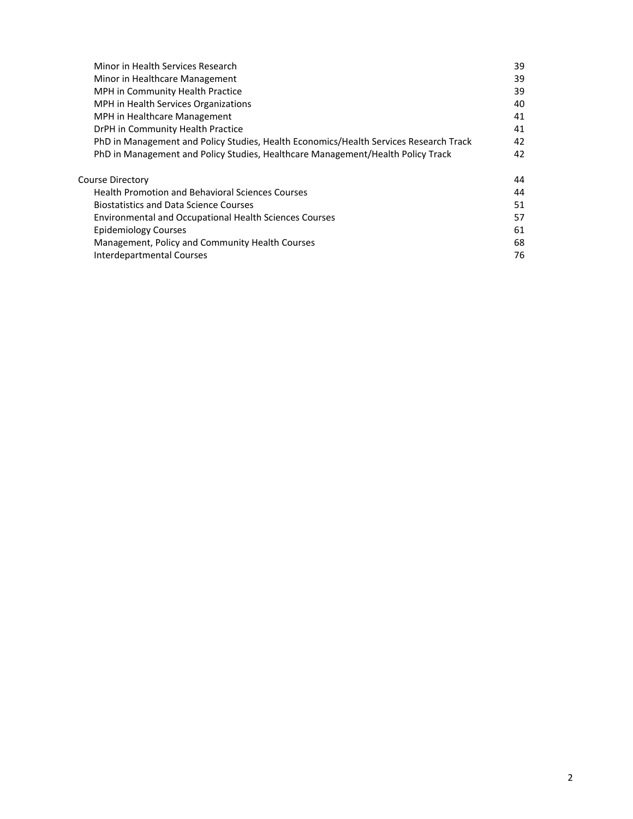| Minor in Health Services Research                                                     | 39 |
|---------------------------------------------------------------------------------------|----|
| Minor in Healthcare Management                                                        | 39 |
| MPH in Community Health Practice                                                      | 39 |
| MPH in Health Services Organizations                                                  | 40 |
| MPH in Healthcare Management                                                          | 41 |
| DrPH in Community Health Practice                                                     | 41 |
| PhD in Management and Policy Studies, Health Economics/Health Services Research Track | 42 |
| PhD in Management and Policy Studies, Healthcare Management/Health Policy Track       | 42 |
| Course Directory                                                                      | 44 |
| <b>Health Promotion and Behavioral Sciences Courses</b>                               | 44 |
| <b>Biostatistics and Data Science Courses</b>                                         | 51 |
| <b>Environmental and Occupational Health Sciences Courses</b>                         | 57 |
| <b>Epidemiology Courses</b>                                                           | 61 |
| Management, Policy and Community Health Courses                                       | 68 |
| Interdepartmental Courses                                                             | 76 |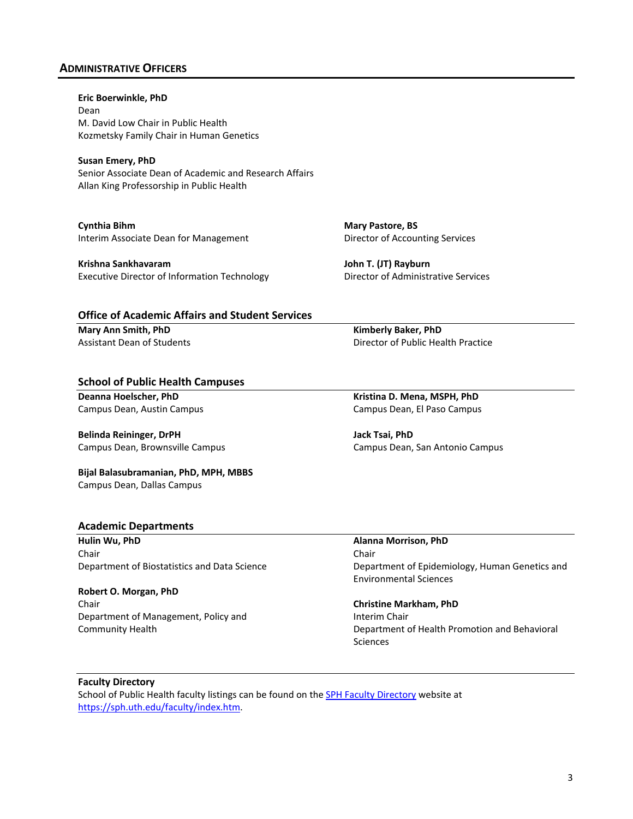# <span id="page-4-0"></span>**ADMINISTRATIVE OFFICERS**

**Eric Boerwinkle, PhD** Dean M. David Low Chair in Public Health Kozmetsky Family Chair in Human Genetics

**Susan Emery, PhD** Senior Associate Dean of Academic and Research Affairs Allan King Professorship in Public Health

**Cynthia Bihm** Interim Associate Dean for Management

**Krishna Sankhavaram** Executive Director of Information Technology **Mary Pastore, BS**  Director of Accounting Services

**John T. (JT) Rayburn** Director of Administrative Services

### **Office of Academic Affairs and Student Services**

**Mary Ann Smith, PhD**  Assistant Dean of Students **Kimberly Baker, PhD** Director of Public Health Practice

#### **School of Public Health Campuses**

**Deanna Hoelscher, PhD** Campus Dean, Austin Campus

**Belinda Reininger, DrPH** Campus Dean, Brownsville Campus

**Bijal Balasubramanian, PhD, MPH, MBBS**  Campus Dean, Dallas Campus

### **Academic Departments**

**Hulin Wu, PhD** Chair Department of Biostatistics and Data Science

#### **Robert O. Morgan, PhD**

Chair Department of Management, Policy and Community Health

**Kristina D. Mena, MSPH, PhD** Campus Dean, El Paso Campus

**Jack Tsai, PhD** Campus Dean, San Antonio Campus

### **Alanna Morrison, PhD**

Chair Department of Epidemiology, Human Genetics and Environmental Sciences

### **Christine Markham, PhD**

Interim Chair Department of Health Promotion and Behavioral Sciences

#### <span id="page-4-1"></span>**Faculty Directory**

School of Public Health faculty listings can be found on the **SPH Faculty Directory** website at [https://sph.uth.edu/faculty/index.htm.](https://sph.uth.edu/faculty/index.htm)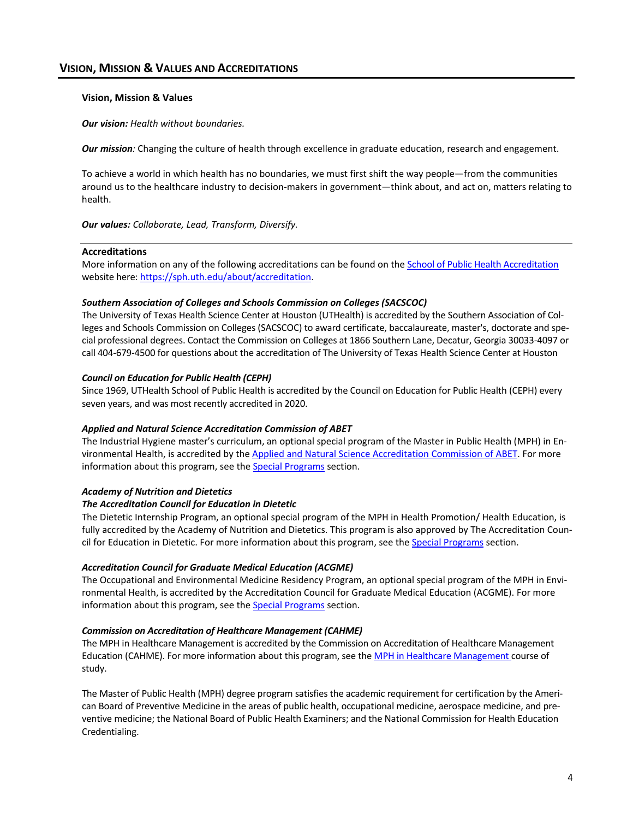# <span id="page-5-0"></span>**VISION, MISSION & VALUES AND ACCREDITATIONS**

#### **Vision, Mission & Values**

*Our vision: Health without boundaries.*

*Our mission:* Changing the culture of health through excellence in graduate education, research and engagement.

To achieve a world in which health has no boundaries, we must first shift the way people—from the communities around us to the healthcare industry to decision-makers in government—think about, and act on, matters relating to health.

*Our values: Collaborate, Lead, Transform, Diversify.*

#### **Accreditations**

More information on any of the following accreditations can be found on the [School of Public Health Accreditation](https://sph.uth.edu/about/accreditation) website here[: https://sph.uth.edu/about/accreditation.](https://sph.uth.edu/about/accreditation)

#### *Southern Association of Colleges and Schools Commission on Colleges (SACSCOC)*

The University of Texas Health Science Center at Houston (UTHealth) is accredited by the Southern Association of Colleges and Schools Commission on Colleges (SACSCOC) to award certificate, baccalaureate, master's, doctorate and special professional degrees. Contact the Commission on Colleges at 1866 Southern Lane, Decatur, Georgia 30033-4097 or call 404-679-4500 for questions about the accreditation of The University of Texas Health Science Center at Houston

#### *Council on Education for Public Health (CEPH)*

Since 1969, UTHealth School of Public Health is accredited by the Council on Education for Public Health (CEPH) every seven years, and was most recently accredited in 2020.

### *Applied and Natural Science Accreditation Commission of ABET*

The Industrial Hygiene master's curriculum, an optional special program of the Master in Public Health (MPH) in En-vironmental Health, is accredited by the [Applied and Natural Science Accreditation Commission of ABET.](http://www.abet.org/) For more information about this program, see th[e Special Programs](#page-27-0) section.

### *Academy of Nutrition and Dietetics*

#### *The Accreditation Council for Education in Dietetic*

The Dietetic Internship Program, an optional special program of the MPH in Health Promotion/ Health Education, is fully accredited by the Academy of Nutrition and Dietetics. This program is also approved by The Accreditation Council for Education in Dietetic. For more information about this program, see th[e Special Programs](#page-27-0) section.

### *Accreditation Council for Graduate Medical Education (ACGME)*

The Occupational and Environmental Medicine Residency Program, an optional special program of the MPH in Environmental Health, is accredited by the Accreditation Council for Graduate Medical Education (ACGME). For more information about this program, see th[e Special Programs](#page-27-0) section.

#### *Commission on Accreditation of Healthcare Management (CAHME)*

The MPH in Healthcare Management is accredited by the Commission on Accreditation of Healthcare Management Education (CAHME). For more information about this program, see the [MPH in Healthcare Management](#page-42-0) course of study.

The Master of Public Health (MPH) degree program satisfies the academic requirement for certification by the American Board of Preventive Medicine in the areas of public health, occupational medicine, aerospace medicine, and preventive medicine; the National Board of Public Health Examiners; and the National Commission for Health Education Credentialing.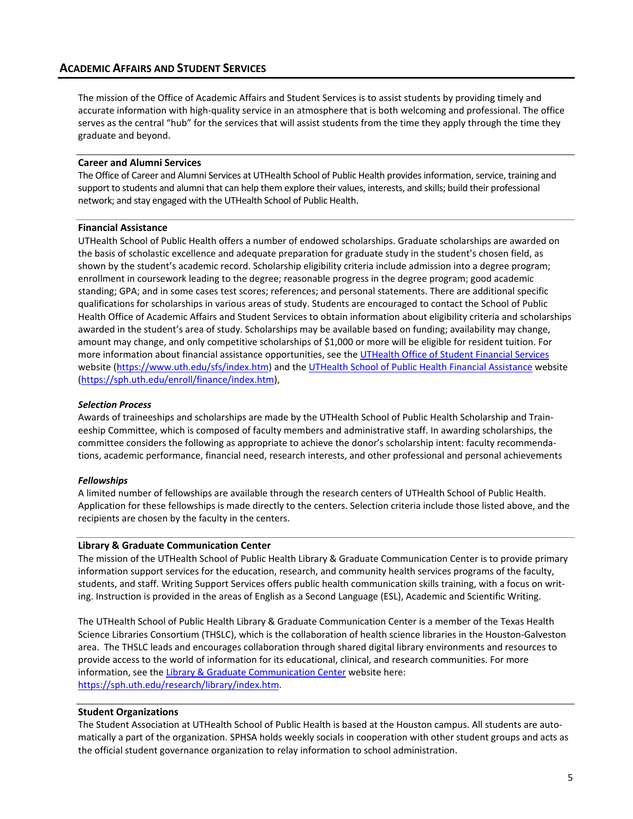<span id="page-6-0"></span>The mission of the Office of Academic Affairs and Student Services is to assist students by providing timely and accurate information with high-quality service in an atmosphere that is both welcoming and professional. The office serves as the central "hub" for the services that will assist students from the time they apply through the time they graduate and beyond.

### **Career and Alumni Services**

The Office of Career and Alumni Services at UTHealth School of Public Health provides information, service, training and support to students and alumni that can help them explore their values, interests, and skills; build their professional network; and stay engaged with the UTHealth School of Public Health.

### **Financial Assistance**

UTHealth School of Public Health offers a number of endowed scholarships. Graduate scholarships are awarded on the basis of scholastic excellence and adequate preparation for graduate study in the student's chosen field, as shown by the student's academic record. Scholarship eligibility criteria include admission into a degree program; enrollment in coursework leading to the degree; reasonable progress in the degree program; good academic standing; GPA; and in some cases test scores; references; and personal statements. There are additional specific qualifications for scholarships in various areas of study. Students are encouraged to contact the School of Public Health Office of Academic Affairs and Student Services to obtain information about eligibility criteria and scholarships awarded in the student's area of study. Scholarships may be available based on funding; availability may change, amount may change, and only competitive scholarships of \$1,000 or more will be eligible for resident tuition. For more information about financial assistance opportunities, see th[e UTHealth Office of Student Financial Services](https://www.uth.edu/sfs/index.htm) website [\(https://www.uth.edu/sfs/index.htm\)](https://www.uth.edu/sfs/index.htm) and th[e UTHealth School of Public Health Financial Assistance](https://sph.uth.edu/enroll/finance/index.htm) website [\(https://sph.uth.edu/enroll/finance/index.htm\)](https://sph.uth.edu/enroll/finance/index.htm),

### *Selection Process*

Awards of traineeships and scholarships are made by the UTHealth School of Public Health Scholarship and Traineeship Committee, which is composed of faculty members and administrative staff. In awarding scholarships, the committee considers the following as appropriate to achieve the donor's scholarship intent: faculty recommendations, academic performance, financial need, research interests, and other professional and personal achievements

#### *Fellowships*

A limited number of fellowships are available through the research centers of UTHealth School of Public Health. Application for these fellowships is made directly to the centers. Selection criteria include those listed above, and the recipients are chosen by the faculty in the centers.

#### **Library & Graduate Communication Center**

The mission of the UTHealth School of Public Health Library & Graduate Communication Center is to provide primary information support services for the education, research, and community health services programs of the faculty, students, and staff. Writing Support Services offers public health communication skills training, with a focus on writing. Instruction is provided in the areas of English as a Second Language (ESL), Academic and Scientific Writing.

The UTHealth School of Public Health Library & Graduate Communication Center is a member of the Texas Health Science Libraries Consortium (THSLC), which is the collaboration of health science libraries in the Houston-Galveston area. The THSLC leads and encourages collaboration through shared digital library environments and resources to provide access to the world of information for its educational, clinical, and research communities. For more information, see th[e Library & Graduate Communication Center](https://sph.uth.edu/research/library/index.htm) website here: [https://sph.uth.edu/research/library/index.htm.](https://sph.uth.edu/research/library/index.htm)

### **Student Organizations**

The [Student Association at UTHealth School of Public Health is](https://sph.uth.tmc.edu/current-students/student-groups/sphsa/) based at the Houston campus. All students are automatically a part of the organization. SPHSA holds weekly socials in cooperation with other student groups and acts as the official student governance organization to relay information to school administration.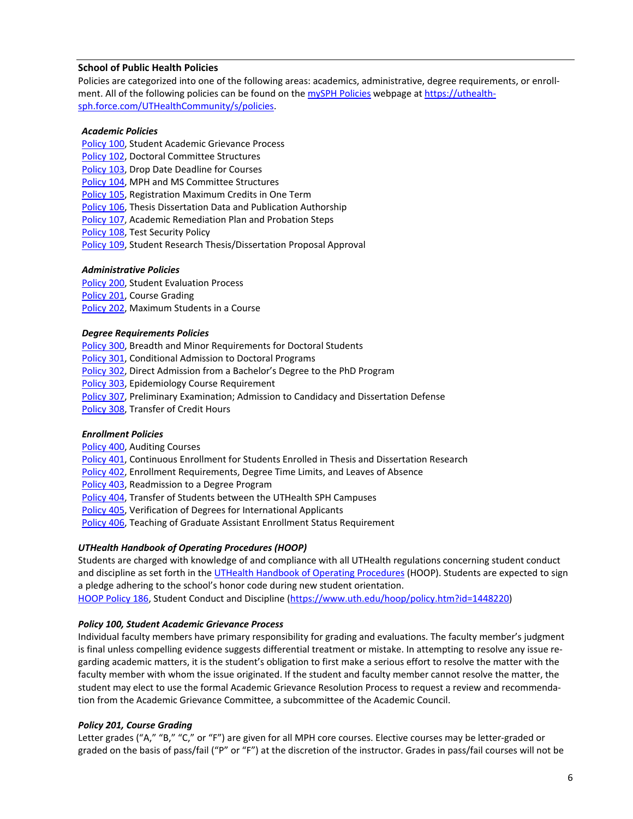### <span id="page-7-0"></span>**School of Public Health Policies**

Policies are categorized into one of the following areas: academics, administrative, degree requirements, or enrollment. All of the following policies can be found on th[e mySPH Policies](https://uthealthsph.force.com/UTHealthCommunity/s/policies) webpage at [https://uthealth](https://uthealthsph.force.com/UTHealthCommunity/s/policies)[sph.force.com/UTHealthCommunity/s/policies.](https://uthealthsph.force.com/UTHealthCommunity/s/policies)

### *Academic Policies*

- [Policy 100,](https://web.sph.uth.edu/student-forms/Student%20Resources/Policies/Policy.100_Student_Academic_Grievance_Process_and_Flowchart.pdf) Student Academic Grievance Process
- [Policy 102,](https://web.sph.uth.edu/student-forms/Student%20Resources/Policies/Policy.102_Doctoral_Committees_Structure.pdf) Doctoral Committee Structures
- [Policy 103,](https://web.sph.uth.edu/student-forms/Student%20Resources/Policies/Policy.103_Drop_Date_Deadline_for_Courses.pdf) Drop Date Deadline for Courses
- [Policy 104,](https://web.sph.uth.edu/student-forms/Student%20Resources/Policies/Policy.104_MPH_and_MS_Committee_Structures.pdf) MPH and MS Committee Structures
- [Policy 105,](https://web.sph.uth.edu/student-forms/Student%20Resources/Policies/Policy.105_Registration_Maximum_Credits_in_One_Term.pdf) Registration Maximum Credits in One Term
- [Policy 106,](https://web.sph.uth.edu/student-forms/Student%20Resources/Policies/Policy.106_Thesis_Dissertation_Data_and_Publication_Authorship.pdf) Thesis Dissertation Data and Publication Authorship
- [Policy 107,](https://web.sph.uth.edu/student-forms/Student%20Resources/Policies/Policy.107_Academic_Remediation_Plan_and_Probation_Steps.pdf) Academic Remediation Plan and Probation Steps
- [Policy 108,](https://web.sph.uth.edu/student-forms/Student%20Resources/Policies/Policy.108_Test_Security_Policy.pdf) Test Security Policy
- [Policy 109,](https://web.sph.uth.edu/student-forms/Student%20Resources/Policies/Policy.109_Student_Research_Thesis_Dissertation_Proposal_Approval.pdf) Student Research Thesis/Dissertation Proposal Approval

#### *Administrative Policies*

- [Policy 200,](https://web.sph.uth.edu/student-forms/Student%20Resources/Policies/Policy.200_Student_Evaluation_Process.pdf) Student Evaluation Process
- [Policy 201,](https://web.sph.uth.edu/student-forms/Student%20Resources/Policies/Policy.201_Course_Grading.pdf) Course Grading
- [Policy 202,](https://web.sph.uth.edu/student-forms/Student%20Resources/Policies/Policy.202_Maximum_Students_in_a_Course.pdf) Maximum Students in a Course

#### *Degree Requirements Policies*

[Policy 300,](https://web.sph.uth.edu/student-forms/Student%20Resources/Policies/Policy.300_Breadth_And_Minor_Requirements_for_Doctoral_Students.pdf) Breadth and Minor Requirements for Doctoral Students

- [Policy 301,](https://web.sph.uth.edu/student-forms/Student%20Resources/Policies/Policy.301_Conditional_Admission_to_Doctoral_Programs.pdf) Conditional Admission to Doctoral Programs
- [Policy 302,](https://web.sph.uth.edu/student-forms/Student%20Resources/Policies/Policy.302_Direct_Admission_from_a_Bachelors_Degree_to_the_PhD_Program.pdf) Direct Admission from a Bachelor's Degree to the PhD Program
- [Policy 303,](https://web.sph.uth.edu/student-forms/Student%20Resources/Policies/Policy.303_Epidemiology_Course_Requirement.pdf) Epidemiology Course Requirement
- [Policy](https://web.sph.uth.edu/student-forms/Student%20Resources/Policies/Policy.307_Preliminary_Exam_Admission_to_Candidacy_and_Dissertation_Defense.pdf) 307, Preliminary Examination; Admission to Candidacy and Dissertation Defense
- [Policy 308,](https://web.sph.uth.edu/student-forms/Student%20Resources/Policies/Policy.308_Transfer_of_Credit_Hours.pdf) Transfer of Credit Hours

### *Enrollment Policies*

- [Policy 400,](ttps://web.sph.uth.edu/student-forms/Student%20Resources/Policies/Policy.400_Auditing_Courses.pdf) Auditing Courses
- [Policy 401,](https://web.sph.uth.edu/student-forms/Student%20Resources/Policies/Policy.401_Continuous_Enrollment_for_Students_Enrolled_in_Thesis_and_Dissertation_Research.pdf) Continuous Enrollment for Students Enrolled in Thesis and Dissertation Research
- [Policy 402,](https://web.sph.uth.edu/student-forms/Student%20Resources/Policies/Policy.402_Enrollment_Requirements_Degree_Time_Limits_and_Leaves_of_Absence.pdf) Enrollment Requirements, Degree Time Limits, and Leaves of Absence
- [Policy 403,](https://web.sph.uth.edu/student-forms/Student%20Resources/Policies/Policy.403_Readmission_to_a_Degree_Program.pdf) Readmission to a Degree Program
- [Policy 404,](https://web.sph.uth.edu/student-forms/Student%20Resources/Policies/Policy.404_Transfer_of_Students_Between_the_UTHealth_SPH_Campuses.pdf) Transfer of Students between the UTHealth SPH Campuses
- [Policy 405,](https://web.sph.uth.edu/student-forms/Student%20Resources/Policies/Policy.405_Verification_of_Degrees_for_International_Applicants.pdf) Verification of Degrees for International Applicants
- [Policy 406,](https://web.sph.uth.edu/student-forms/Student%20Resources/Policies/Policy.406_Teaching_or_Graduate_Assistant_Enrollment_Status_Requirement.pdf) Teaching of Graduate Assistant Enrollment Status Requirement

### *UTHealth Handbook of Operating Procedures (HOOP)*

Students are charged with knowledge of and compliance with all UTHealth regulations concerning student conduct and discipline as set forth in th[e UTHealth Handbook of Operating Procedures](https://www.uth.edu/hoop/) (HOOP). Students are expected to sign a pledge adhering to the school's honor code during new student orientation. [HOOP Policy 186,](https://sph.uth.edu/academics/academic-affairs/HOOP_Policy_186_Student_Conduct_and_Discipline.pdf) Student Conduct and Discipline [\(https://www.uth.edu/hoop/policy.htm?id=1448220\)](https://www.uth.edu/hoop/policy.htm?id=1448220)

### *Policy 100, Student Academic Grievance Process*

Individual faculty members have primary responsibility for grading and evaluations. The faculty member's judgment is final unless compelling evidence suggests differential treatment or mistake. In attempting to resolve any issue regarding academic matters, it is the student's obligation to first make a serious effort to resolve the matter with the faculty member with whom the issue originated. If the student and faculty member cannot resolve the matter, the student may elect to use the formal Academic Grievance Resolution Process to request a review and recommendation from the Academic Grievance Committee, a subcommittee of the Academic Council.

### *Policy 201, Course Grading*

Letter grades ("A," "B," "C," or "F") are given for all MPH core courses. Elective courses may be letter-graded or graded on the basis of pass/fail ("P" or "F") at the discretion of the instructor. Grades in pass/fail courses will not be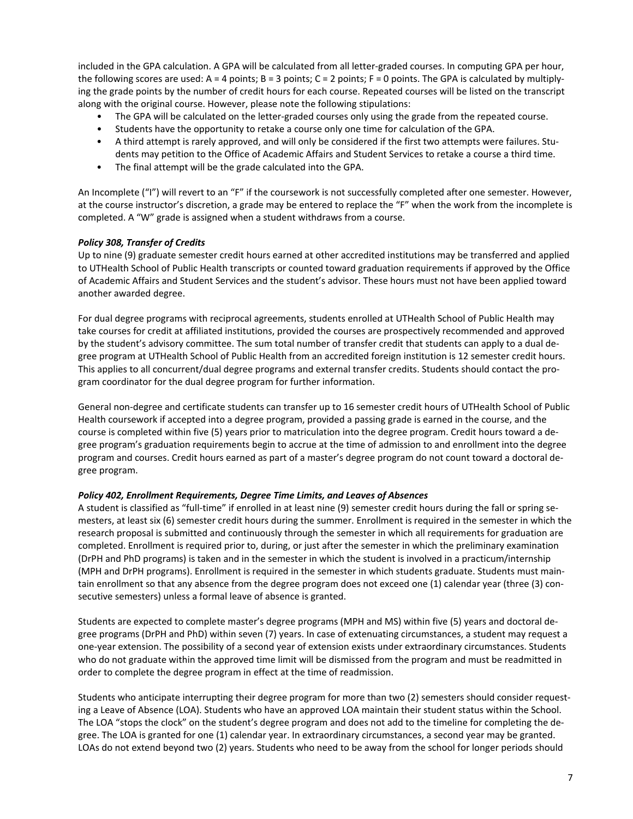included in the GPA calculation. A GPA will be calculated from all letter-graded courses. In computing GPA per hour, the following scores are used:  $A = 4$  points;  $B = 3$  points;  $C = 2$  points;  $F = 0$  points. The GPA is calculated by multiplying the grade points by the number of credit hours for each course. Repeated courses will be listed on the transcript along with the original course. However, please note the following stipulations:

- The GPA will be calculated on the letter-graded courses only using the grade from the repeated course.
- Students have the opportunity to retake a course only one time for calculation of the GPA.
- A third attempt is rarely approved, and will only be considered if the first two attempts were failures. Students may petition to the Office of Academic Affairs and Student Services to retake a course a third time.
- The final attempt will be the grade calculated into the GPA.

An Incomplete ("I") will revert to an "F" if the coursework is not successfully completed after one semester. However, at the course instructor's discretion, a grade may be entered to replace the "F" when the work from the incomplete is completed. A "W" grade is assigned when a student withdraws from a course.

### *Policy 308, Transfer of Credits*

Up to nine (9) graduate semester credit hours earned at other accredited institutions may be transferred and applied to UTHealth School of Public Health transcripts or counted toward graduation requirements if approved by the Office of Academic Affairs and Student Services and the student's advisor. These hours must not have been applied toward another awarded degree.

For dual degree programs with reciprocal agreements, students enrolled at UTHealth School of Public Health may take courses for credit at affiliated institutions, provided the courses are prospectively recommended and approved by the student's advisory committee. The sum total number of transfer credit that students can apply to a dual degree program at UTHealth School of Public Health from an accredited foreign institution is 12 semester credit hours. This applies to all concurrent/dual degree programs and external transfer credits. Students should contact the program coordinator for the dual degree program for further information.

General non-degree and certificate students can transfer up to 16 semester credit hours of UTHealth School of Public Health coursework if accepted into a degree program, provided a passing grade is earned in the course, and the course is completed within five (5) years prior to matriculation into the degree program. Credit hours toward a degree program's graduation requirements begin to accrue at the time of admission to and enrollment into the degree program and courses. Credit hours earned as part of a master's degree program do not count toward a doctoral degree program.

### *Policy 402, Enrollment Requirements, Degree Time Limits, and Leaves of Absences*

A student is classified as "full-time" if enrolled in at least nine (9) semester credit hours during the fall or spring semesters, at least six (6) semester credit hours during the summer. Enrollment is required in the semester in which the research proposal is submitted and continuously through the semester in which all requirements for graduation are completed. Enrollment is required prior to, during, or just after the semester in which the preliminary examination (DrPH and PhD programs) is taken and in the semester in which the student is involved in a practicum/internship (MPH and DrPH programs). Enrollment is required in the semester in which students graduate. Students must maintain enrollment so that any absence from the degree program does not exceed one (1) calendar year (three (3) consecutive semesters) unless a formal leave of absence is granted.

Students are expected to complete master's degree programs (MPH and MS) within five (5) years and doctoral degree programs (DrPH and PhD) within seven (7) years. In case of extenuating circumstances, a student may request a one-year extension. The possibility of a second year of extension exists under extraordinary circumstances. Students who do not graduate within the approved time limit will be dismissed from the program and must be readmitted in order to complete the degree program in effect at the time of readmission.

Students who anticipate interrupting their degree program for more than two (2) semesters should consider requesting a Leave of Absence (LOA). Students who have an approved LOA maintain their student status within the School. The LOA "stops the clock" on the student's degree program and does not add to the timeline for completing the degree. The LOA is granted for one (1) calendar year. In extraordinary circumstances, a second year may be granted. LOAs do not extend beyond two (2) years. Students who need to be away from the school for longer periods should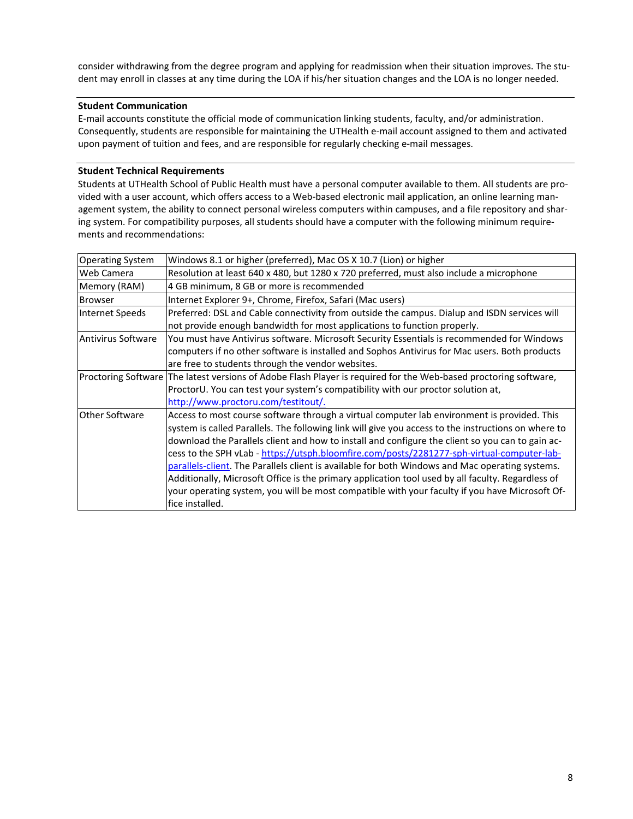consider withdrawing from the degree program and applying for readmission when their situation improves. The student may enroll in classes at any time during the LOA if his/her situation changes and the LOA is no longer needed.

### **Student Communication**

E-mail accounts constitute the official mode of communication linking students, faculty, and/or administration. Consequently, students are responsible for maintaining the UTHealth e-mail account assigned to them and activated upon payment of tuition and fees, and are responsible for regularly checking e-mail messages.

### **Student Technical Requirements**

Students at UTHealth School of Public Health must have a personal computer available to them. All students are provided with a user account, which offers access to a Web-based electronic mail application, an online learning management system, the ability to connect personal wireless computers within campuses, and a file repository and sharing system. For compatibility purposes, all students should have a computer with the following minimum requirements and recommendations:

| <b>Operating System</b> | Windows 8.1 or higher (preferred), Mac OS X 10.7 (Lion) or higher                                                |
|-------------------------|------------------------------------------------------------------------------------------------------------------|
| Web Camera              | Resolution at least 640 x 480, but 1280 x 720 preferred, must also include a microphone                          |
| Memory (RAM)            | 4 GB minimum, 8 GB or more is recommended                                                                        |
| <b>Browser</b>          | Internet Explorer 9+, Chrome, Firefox, Safari (Mac users)                                                        |
| Internet Speeds         | Preferred: DSL and Cable connectivity from outside the campus. Dialup and ISDN services will                     |
|                         | not provide enough bandwidth for most applications to function properly.                                         |
| Antivirus Software      | You must have Antivirus software. Microsoft Security Essentials is recommended for Windows                       |
|                         | computers if no other software is installed and Sophos Antivirus for Mac users. Both products                    |
|                         | are free to students through the vendor websites.                                                                |
|                         | Proctoring Software The latest versions of Adobe Flash Player is required for the Web-based proctoring software, |
|                         | ProctorU. You can test your system's compatibility with our proctor solution at,                                 |
|                         | http://www.proctoru.com/testitout/.                                                                              |
| Other Software          | Access to most course software through a virtual computer lab environment is provided. This                      |
|                         | system is called Parallels. The following link will give you access to the instructions on where to              |
|                         | download the Parallels client and how to install and configure the client so you can to gain ac-                 |
|                         | cess to the SPH vLab - https://utsph.bloomfire.com/posts/2281277-sph-virtual-computer-lab-                       |
|                         | parallels-client. The Parallels client is available for both Windows and Mac operating systems.                  |
|                         | Additionally, Microsoft Office is the primary application tool used by all faculty. Regardless of                |
|                         | your operating system, you will be most compatible with your faculty if you have Microsoft Of-                   |
|                         | fice installed.                                                                                                  |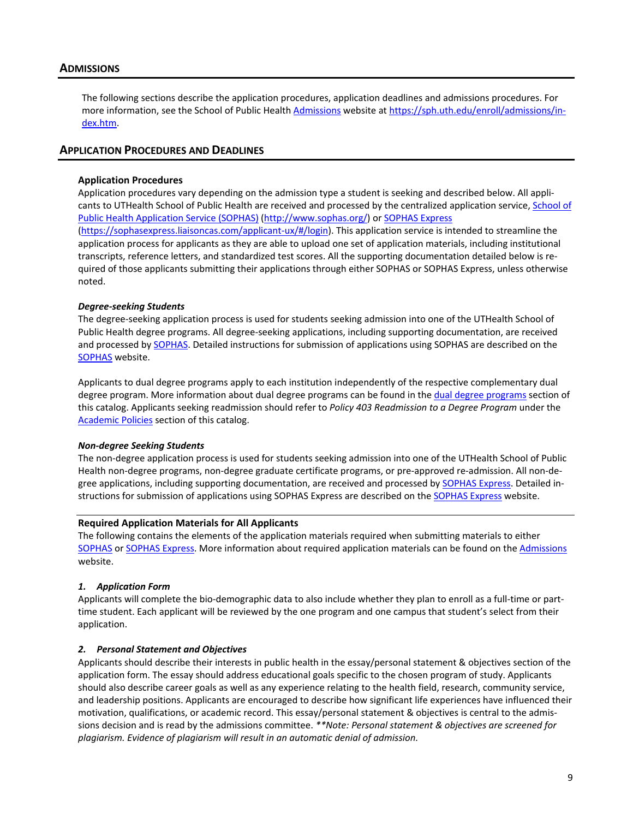### <span id="page-10-0"></span>**ADMISSIONS**

The following sections describe the application procedures, application deadlines and admissions procedures. For more information, see the School of Public Health [Admissions](https://sph.uth.edu/enroll/admissions/index.htm) website at [https://sph.uth.edu/enroll/admissions/in](https://sph.uth.edu/enroll/admissions/index.htm)[dex.htm.](https://sph.uth.edu/enroll/admissions/index.htm)

### <span id="page-10-1"></span>**APPLICATION PROCEDURES AND DEADLINES**

#### **Application Procedures**

Application procedures vary depending on the admission type a student is seeking and described below. All applicants to UTHealth School of Public Health are received and processed by the centralized application service[, School of](http://www.sophas.org/)  [Public Health Application Service \(SOPHAS\)](http://www.sophas.org/) [\(http://www.sophas.org/\)](http://www.sophas.org/) o[r SOPHAS Express](https://sophasexpress.liaisoncas.com/applicant-ux/#/login) [\(https://sophasexpress.liaisoncas.com/applicant-ux/#/login\)](https://sophasexpress.liaisoncas.com/applicant-ux/%23/login). This application service is intended to streamline the application process for applicants as they are able to upload one set of application materials, including institutional transcripts, reference letters, and standardized test scores. All the supporting documentation detailed below is required of those applicants submitting their applications through either SOPHAS or SOPHAS Express, unless otherwise noted.

#### *Degree-seeking Students*

The degree-seeking application process is used for students seeking admission into one of the UTHealth School of Public Health degree programs. All degree-seeking applications, including supporting documentation, are received and processed b[y SOPHAS.](http://www.sophas.org/) Detailed instructions for submission of applications using SOPHAS are described on the [SOPHAS](http://www.sophas.org/) website.

Applicants to dual degree programs apply to each institution independently of the respective complementary dual degree program. More information about dual degree programs can be found in the [dual degree programs](#page-22-0) section of this catalog. Applicants seeking readmission should refer to *Policy 403 Readmission to a Degree Program* under the [Academic Policies](#page-7-0) section of this catalog.

#### *Non-degree Seeking Students*

The non-degree application process is used for students seeking admission into one of the UTHealth School of Public Health non-degree programs, non-degree graduate certificate programs, or pre-approved re-admission. All non-degree applications, including supporting documentation, are received and processed by [SOPHAS Express.](https://sophasexpress.liaisoncas.com/applicant-ux/#/login) Detailed instructions for submission of applications using SOPHAS Express are described on th[e SOPHAS Express](https://sophasexpress.liaisoncas.com/applicant-ux/#/login) website.

#### **Required Application Materials for All Applicants**

The following contains the elements of the application materials required when submitting materials to either [SOPHAS](http://www.sophas.org/) or [SOPHAS Express.](https://sophasexpress.liaisoncas.com/applicant-ux/#/login) More information about required application materials can be found on th[e Admissions](https://sph.uth.edu/prospective-students/how-to-apply/) website.

#### *1. Application Form*

Applicants will complete the bio-demographic data to also include whether they plan to enroll as a full-time or parttime student. Each applicant will be reviewed by the one program and one campus that student's select from their application.

#### *2. Personal Statement and Objectives*

Applicants should describe their interests in public health in the essay/personal statement & objectives section of the application form. The essay should address educational goals specific to the chosen program of study. Applicants should also describe career goals as well as any experience relating to the health field, research, community service, and leadership positions. Applicants are encouraged to describe how significant life experiences have influenced their motivation, qualifications, or academic record. This essay/personal statement & objectives is central to the admissions decision and is read by the admissions committee. *\*\*Note: Personal statement & objectives are screened for plagiarism. Evidence of plagiarism will result in an automatic denial of admission.*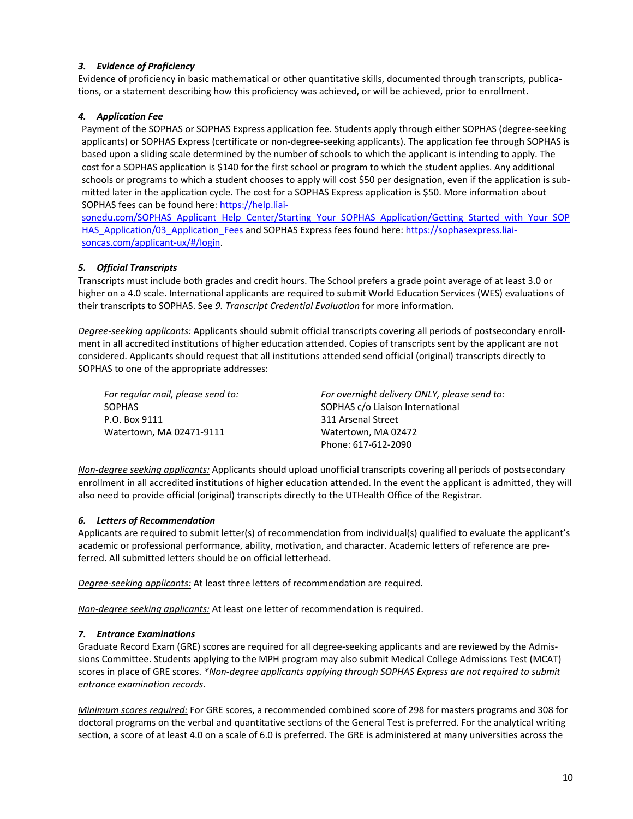# *3. Evidence of Proficiency*

Evidence of proficiency in basic mathematical or other quantitative skills, documented through transcripts, publications, or a statement describing how this proficiency was achieved, or will be achieved, prior to enrollment.

### *4. Application Fee*

Payment of the SOPHAS or SOPHAS Express application fee. Students apply through either SOPHAS (degree-seeking applicants) or SOPHAS Express (certificate or non-degree-seeking applicants). The application fee through SOPHAS is based upon a sliding scale determined by the number of schools to which the applicant is intending to apply. The cost for a SOPHAS application is \$140 for the first school or program to which the student applies. Any additional schools or programs to which a student chooses to apply will cost \$50 per designation, even if the application is submitted later in the application cycle. The cost for a SOPHAS Express application is \$50. More information about SOPHAS fees can be found here[: https://help.liai-](https://help.liaisonedu.com/SOPHAS_Applicant_Help_Center/Starting_Your_SOPHAS_Application/Getting_Started_with_Your_SOPHAS_Application/03_Application_Fees)

[sonedu.com/SOPHAS\\_Applicant\\_Help\\_Center/Starting\\_Your\\_SOPHAS\\_Application/Getting\\_Started\\_with\\_Your\\_SOP](https://help.liaisonedu.com/SOPHAS_Applicant_Help_Center/Starting_Your_SOPHAS_Application/Getting_Started_with_Your_SOPHAS_Application/03_Application_Fees) [HAS\\_Application/03\\_Application\\_Fees](https://help.liaisonedu.com/SOPHAS_Applicant_Help_Center/Starting_Your_SOPHAS_Application/Getting_Started_with_Your_SOPHAS_Application/03_Application_Fees) and SOPHAS Express fees found here[: https://sophasexpress.liai](https://sophasexpress.liaisoncas.com/applicant-ux/#/login)[soncas.com/applicant-ux/#/login.](https://sophasexpress.liaisoncas.com/applicant-ux/#/login)

### *5. Official Transcripts*

Transcripts must include both grades and credit hours. The School prefers a grade point average of at least 3.0 or higher on a 4.0 scale. International applicants are required to submit World Education Services (WES) evaluations of their transcripts to SOPHAS. See *9. Transcript Credential Evaluation* for more information.

*Degree-seeking applicants:* Applicants should submit official transcripts covering all periods of postsecondary enrollment in all accredited institutions of higher education attended. Copies of transcripts sent by the applicant are not considered. Applicants should request that all institutions attended send official (original) transcripts directly to SOPHAS to one of the appropriate addresses:

*For regular mail, please send to:* SOPHAS P.O. Box 9111 Watertown, MA 02471-9111

*For overnight delivery ONLY, please send to:* SOPHAS c/o Liaison International 311 Arsenal Street Watertown, MA 02472 Phone: 617-612-2090

*Non-degree seeking applicants:* Applicants should upload unofficial transcripts covering all periods of postsecondary enrollment in all accredited institutions of higher education attended. In the event the applicant is admitted, they will also need to provide official (original) transcripts directly to the UTHealth Office of the Registrar.

### *6. Letters of Recommendation*

Applicants are required to submit letter(s) of recommendation from individual(s) qualified to evaluate the applicant's academic or professional performance, ability, motivation, and character. Academic letters of reference are preferred. All submitted letters should be on official letterhead.

*Degree-seeking applicants:* At least three letters of recommendation are required.

*Non-degree seeking applicants:* At least one letter of recommendation is required.

### *7. Entrance Examinations*

Graduate Record Exam (GRE) scores are required for all degree-seeking applicants and are reviewed by the Admissions Committee. Students applying to the MPH program may also submit Medical College Admissions Test (MCAT) scores in place of GRE scores. *\*Non-degree applicants applying through SOPHAS Express are not required to submit entrance examination records.*

*Minimum scores required:* For GRE scores, a recommended combined score of 298 for masters programs and 308 for doctoral programs on the verbal and quantitative sections of the General Test is preferred. For the analytical writing section, a score of at least 4.0 on a scale of 6.0 is preferred. The GRE is administered at many universities across the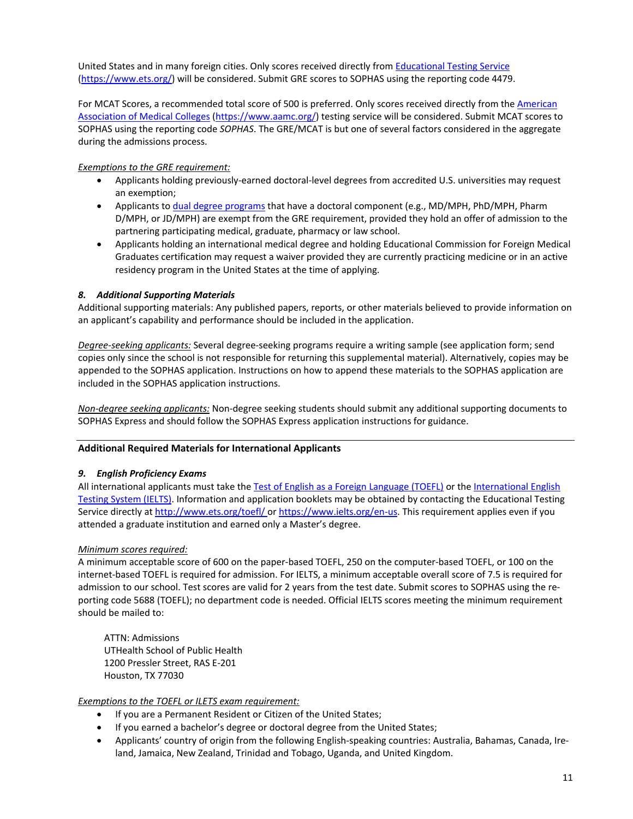United States and in many foreign cities. Only scores received directly fro[m Educational Testing Service](https://www.ets.org/) [\(https://www.ets.org/\)](https://www.ets.org/) will be considered. Submit GRE scores to SOPHAS using the reporting code 4479.

For MCAT Scores, a recommended total score of 500 is preferred. Only scores received directly from th[e American](https://www.aamc.org/)  [Association of Medical Colleges](https://www.aamc.org/) [\(https://www.aamc.org/\)](https://www.aamc.org/) testing service will be considered. Submit MCAT scores to SOPHAS using the reporting code *SOPHAS*. The GRE/MCAT is but one of several factors considered in the aggregate during the admissions process.

### *Exemptions to the GRE requirement:*

- Applicants holding previously-earned doctoral-level degrees from accredited U.S. universities may request an exemption;
- Applicants to [dual degree programs](#page-22-0) that have a doctoral component (e.g., MD/MPH, PhD/MPH, Pharm D/MPH, or JD/MPH) are exempt from the GRE requirement, provided they hold an offer of admission to the partnering participating medical, graduate, pharmacy or law school.
- Applicants holding an international medical degree and holding Educational Commission for Foreign Medical Graduates certification may request a waiver provided they are currently practicing medicine or in an active residency program in the United States at the time of applying.

### *8. Additional Supporting Materials*

Additional supporting materials: Any published papers, reports, or other materials believed to provide information on an applicant's capability and performance should be included in the application.

*Degree-seeking applicants:* Several degree-seeking programs require a writing sample (see application form; send copies only since the school is not responsible for returning this supplemental material). Alternatively, copies may be appended to the SOPHAS application. Instructions on how to append these materials to the SOPHAS application are included in the SOPHAS application instructions.

*Non-degree seeking applicants:* Non-degree seeking students should submit any additional supporting documents to SOPHAS Express and should follow the SOPHAS Express application instructions for guidance.

### **Additional Required Materials for International Applicants**

### *9. English Proficiency Exams*

All international applicants must take th[e Test of English as a Foreign Language \(TOEFL\)](http://www.ets.org/toefl/) or th[e International English](https://www.ielts.org/en-us)  [Testing System \(IELTS\).](https://www.ielts.org/en-us) Information and application booklets may be obtained by contacting the Educational Testing Service directly at<http://www.ets.org/toefl/> or [https://www.ielts.org/en-us.](https://www.ielts.org/en-us) This requirement applies even if you attended a graduate institution and earned only a Master's degree.

### *Minimum scores required:*

A minimum acceptable score of 600 on the paper-based TOEFL, 250 on the computer-based TOEFL, or 100 on the internet-based TOEFL is required for admission. For IELTS, a minimum acceptable overall score of 7.5 is required for admission to our school. Test scores are valid for 2 years from the test date. Submit scores to SOPHAS using the reporting code 5688 (TOEFL); no department code is needed. Official IELTS scores meeting the minimum requirement should be mailed to:

ATTN: Admissions UTHealth School of Public Health 1200 Pressler Street, RAS E-201 Houston, TX 77030

### *Exemptions to the TOEFL or ILETS exam requirement:*

- If you are a Permanent Resident or Citizen of the United States;
- If you earned a bachelor's degree or doctoral degree from the United States;
- Applicants' country of origin from the following English-speaking countries: Australia, Bahamas, Canada, Ireland, Jamaica, New Zealand, Trinidad and Tobago, Uganda, and United Kingdom.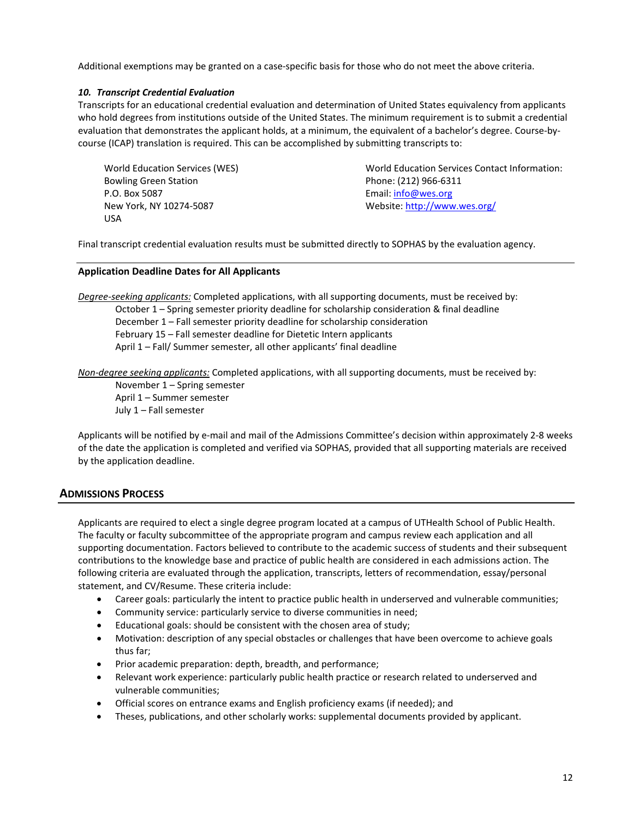Additional exemptions may be granted on a case-specific basis for those who do not meet the above criteria.

### *10. Transcript Credential Evaluation*

Transcripts for an educational credential evaluation and determination of United States equivalency from applicants who hold degrees from institutions outside of the United States. The minimum requirement is to submit a credential evaluation that demonstrates the applicant holds, at a minimum, the equivalent of a bachelor's degree. Course-bycourse (ICAP) translation is required. This can be accomplished by submitting transcripts to:

World Education Services (WES) Bowling Green Station P.O. Box 5087 New York, NY 10274-5087 USA

World Education Services Contact Information: Phone: (212) 966-6311 Email: [info@wes.org](mailto:info@wes.org) Website[: http://www.wes.org/](http://www.wes.org/)

Final transcript credential evaluation results must be submitted directly to SOPHAS by the evaluation agency.

### **Application Deadline Dates for All Applicants**

*Degree-seeking applicants:* Completed applications, with all supporting documents, must be received by: October 1 – Spring semester priority deadline for scholarship consideration & final deadline December 1 – Fall semester priority deadline for scholarship consideration February 15 – Fall semester deadline for Dietetic Intern applicants April 1 – Fall/ Summer semester, all other applicants' final deadline

*Non-degree seeking applicants:* Completed applications, with all supporting documents, must be received by:

<span id="page-13-1"></span>November 1 – Spring semester April 1 – Summer semester July 1 – Fall semester

Applicants will be notified by e-mail and mail of the Admissions Committee's decision within approximately 2-8 weeks of the date the application is completed and verified via SOPHAS, provided that all supporting materials are received by the application deadline.

# <span id="page-13-0"></span>**ADMISSIONS PROCESS**

Applicants are required to elect a single degree program located at a campus of UTHealth School of Public Health. The faculty or faculty subcommittee of the appropriate program and campus review each application and all supporting documentation. Factors believed to contribute to the academic success of students and their subsequent contributions to the knowledge base and practice of public health are considered in each admissions action. The following criteria are evaluated through the application, transcripts, letters of recommendation, essay/personal statement, and CV/Resume. These criteria include:

- Career goals: particularly the intent to practice public health in underserved and vulnerable communities;
- Community service: particularly service to diverse communities in need;
- Educational goals: should be consistent with the chosen area of study;
- Motivation: description of any special obstacles or challenges that have been overcome to achieve goals thus far;
- Prior academic preparation: depth, breadth, and performance;
- Relevant work experience: particularly public health practice or research related to underserved and vulnerable communities;
- Official scores on entrance exams and English proficiency exams (if needed); and
- Theses, publications, and other scholarly works: supplemental documents provided by applicant.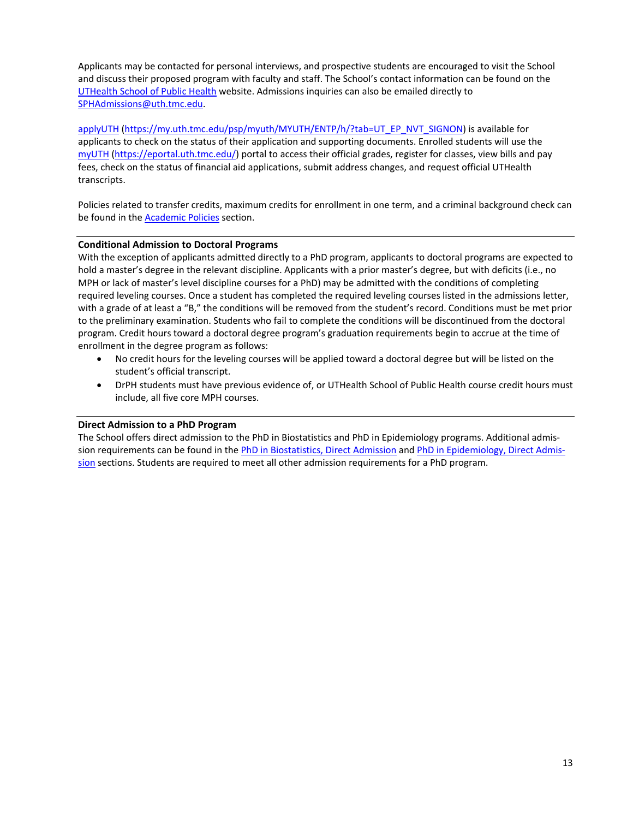Applicants may be contacted for personal interviews, and prospective students are encouraged to visit the School and discuss their proposed program with faculty and staff. The School's contact information can be found on the [UTHealth School of Public Health](https://sph.uth.edu/campuses/houston) website. Admissions inquiries can also be emailed directly to [SPHAdmissions@uth.tmc.edu.](mailto:SPHAdmissions@uth.tmc.edu)

[applyUTH](https://my.uth.tmc.edu/psp/myuth/MYUTH/ENTP/h/?tab=UT_EP_NVT_SIGNON) [\(https://my.uth.tmc.edu/psp/myuth/MYUTH/ENTP/h/?tab=UT\\_EP\\_NVT\\_SIGNON\)](https://my.uth.tmc.edu/psp/myuth/MYUTH/ENTP/h/?tab=UT_EP_NVT_SIGNON) is available for applicants to check on the status of their application and supporting documents. Enrolled students will use the [myUTH](https://eportal.uth.tmc.edu/) [\(https://eportal.uth.tmc.edu/\)](https://eportal.uth.tmc.edu/) portal to access their official grades, register for classes, view bills and pay fees, check on the status of financial aid applications, submit address changes, and request official UTHealth transcripts.

Policies related to transfer credits, maximum credits for enrollment in one term, and a criminal background check can be found in the [Academic Policies](#page-7-0) section.

### **Conditional Admission to Doctoral Programs**

With the exception of applicants admitted directly to a PhD program, applicants to doctoral programs are expected to hold a master's degree in the relevant discipline. Applicants with a prior master's degree, but with deficits (i.e., no MPH or lack of master's level discipline courses for a PhD) may be admitted with the conditions of completing required leveling courses. Once a student has completed the required leveling courses listed in the admissions letter, with a grade of at least a "B," the conditions will be removed from the student's record. Conditions must be met prior to the preliminary examination. Students who fail to complete the conditions will be discontinued from the doctoral program. Credit hours toward a doctoral degree program's graduation requirements begin to accrue at the time of enrollment in the degree program as follows:

- No credit hours for the leveling courses will be applied toward a doctoral degree but will be listed on the student's official transcript.
- DrPH students must have previous evidence of, or UTHealth School of Public Health course credit hours must include, all five core MPH courses.

### **Direct Admission to a PhD Program**

The School offers direct admission to the PhD in Biostatistics and PhD in Epidemiology programs. Additional admis-sion requirements can be found in the [PhD in Biostatistics, Direct Admission](#page-30-0) an[d PhD in Epidemiology, Direct Admis](#page-33-1)[sion](#page-33-1) sections. Students are required to meet all other admission requirements for a PhD program.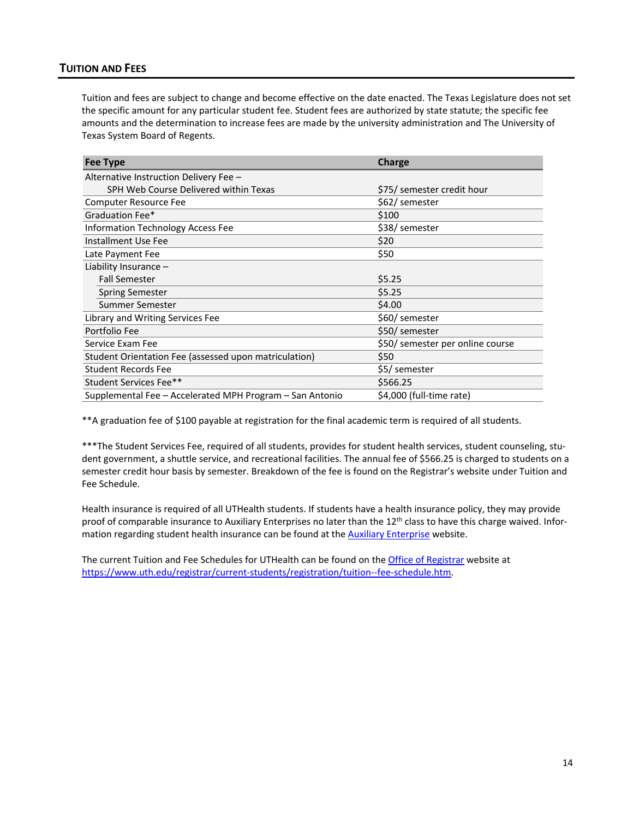# <span id="page-15-0"></span>**TUITION AND FEES**

Tuition and fees are subject to change and become effective on the date enacted. The Texas Legislature does not set the specific amount for any particular student fee. Student fees are authorized by state statute; the specific fee amounts and the determination to increase fees are made by the university administration and The University of Texas System Board of Regents.

| <b>Fee Type</b><br>Charge                                |                                  |  |  |
|----------------------------------------------------------|----------------------------------|--|--|
| Alternative Instruction Delivery Fee -                   |                                  |  |  |
| SPH Web Course Delivered within Texas                    | \$75/ semester credit hour       |  |  |
| <b>Computer Resource Fee</b>                             | \$62/ semester                   |  |  |
| Graduation Fee*                                          | \$100                            |  |  |
| Information Technology Access Fee                        | \$38/ semester                   |  |  |
| Installment Use Fee                                      | \$20                             |  |  |
| Late Payment Fee                                         | \$50                             |  |  |
| Liability Insurance $-$                                  |                                  |  |  |
| <b>Fall Semester</b>                                     | \$5.25                           |  |  |
| <b>Spring Semester</b>                                   | \$5.25                           |  |  |
| Summer Semester                                          | \$4.00                           |  |  |
| Library and Writing Services Fee                         | \$60/ semester                   |  |  |
| Portfolio Fee                                            | \$50/ semester                   |  |  |
| Service Exam Fee                                         | \$50/ semester per online course |  |  |
| Student Orientation Fee (assessed upon matriculation)    | \$50                             |  |  |
| <b>Student Records Fee</b>                               | \$5/ semester                    |  |  |
| Student Services Fee**                                   | \$566.25                         |  |  |
| Supplemental Fee - Accelerated MPH Program - San Antonio | \$4,000 (full-time rate)         |  |  |

\*\*A graduation fee of \$100 payable at registration for the final academic term is required of all students.

\*\*\*The Student Services Fee, required of all students, provides for student health services, student counseling, student government, a shuttle service, and recreational facilities. The annual fee of \$566.25 is charged to students on a semester credit hour basis by semester. Breakdown of the fee is found on the Registrar's website under Tuition and Fee Schedule.

Health insurance is required of all UTHealth students. If students have a health insurance policy, they may provide proof of comparable insurance to Auxiliary Enterprises no later than the  $12<sup>th</sup>$  class to have this charge waived. Information regarding student health insurance can be found at the [Auxiliary Enterprise](https://www.uth.edu/auxiliary-enterprises/insurance/index.htm) website.

The current Tuition and Fee Schedules for UTHealth can be found on th[e Office of Registrar](https://www.uth.edu/registrar/current-students/registration/tuition--fee-schedule.htm) website at [https://www.uth.edu/registrar/current-students/registration/tuition--fee-schedule.htm.](https://www.uth.edu/registrar/current-students/registration/tuition--fee-schedule.htm)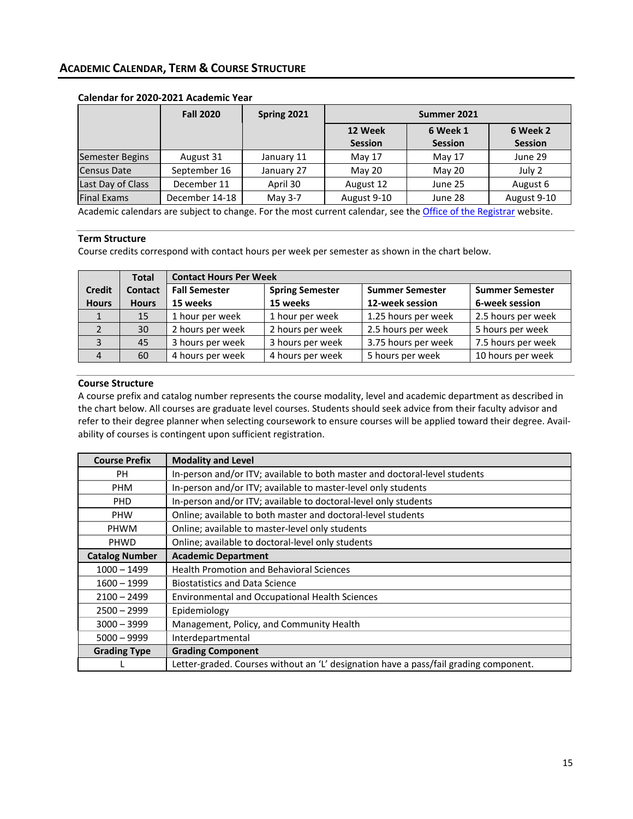|                        | <b>Fall 2020</b> | Spring 2021 | Summer 2021               |                            |                            |  |  |
|------------------------|------------------|-------------|---------------------------|----------------------------|----------------------------|--|--|
|                        |                  |             | 12 Week<br><b>Session</b> | 6 Week 1<br><b>Session</b> | 6 Week 2<br><b>Session</b> |  |  |
| <b>Semester Begins</b> | August 31        | January 11  | May 17                    | May 17                     | June 29                    |  |  |
| Census Date            | September 16     | January 27  | May 20                    | May 20                     | July 2                     |  |  |
| Last Day of Class      | December 11      | April 30    | August 12                 | June 25                    | August 6                   |  |  |
| <b>Final Exams</b>     | December 14-18   | May 3-7     | August 9-10               | June 28                    | August 9-10                |  |  |

### <span id="page-16-0"></span>**Calendar for 2020-2021 Academic Year**

Academic calendars are subject to change. For the most current calendar, see the [Office of the Registrar](https://www.uth.edu/registrar/calendars/academic-calendar-academic.htm) website.

# **Term Structure**

Course credits correspond with contact hours per week per semester as shown in the chart below.

|               | <b>Total</b>   | <b>Contact Hours Per Week</b> |                        |                        |                        |
|---------------|----------------|-------------------------------|------------------------|------------------------|------------------------|
| <b>Credit</b> | <b>Contact</b> | <b>Fall Semester</b>          | <b>Spring Semester</b> | <b>Summer Semester</b> | <b>Summer Semester</b> |
| <b>Hours</b>  | <b>Hours</b>   | 15 weeks                      | 15 weeks               | 12-week session        | 6-week session         |
|               | 15             | 1 hour per week               | 1 hour per week        | 1.25 hours per week    | 2.5 hours per week     |
|               | 30             | 2 hours per week              | 2 hours per week       | 2.5 hours per week     | 5 hours per week       |
|               | 45             | 3 hours per week              | 3 hours per week       | 3.75 hours per week    | 7.5 hours per week     |
|               | 60             | 4 hours per week              | 4 hours per week       | 5 hours per week       | 10 hours per week      |

### **Course Structure**

A course prefix and catalog number represents the course modality, level and academic department as described in the chart below. All courses are graduate level courses. Students should seek advice from their faculty advisor and refer to their degree planner when selecting coursework to ensure courses will be applied toward their degree. Availability of courses is contingent upon sufficient registration.

| <b>Course Prefix</b>  | <b>Modality and Level</b>                                                             |
|-----------------------|---------------------------------------------------------------------------------------|
| PH                    | In-person and/or ITV; available to both master and doctoral-level students            |
| <b>PHM</b>            | In-person and/or ITV; available to master-level only students                         |
| <b>PHD</b>            | In-person and/or ITV; available to doctoral-level only students                       |
| <b>PHW</b>            | Online; available to both master and doctoral-level students                          |
| <b>PHWM</b>           | Online; available to master-level only students                                       |
| PHWD                  | Online; available to doctoral-level only students                                     |
| <b>Catalog Number</b> | <b>Academic Department</b>                                                            |
| $1000 - 1499$         | <b>Health Promotion and Behavioral Sciences</b>                                       |
| $1600 - 1999$         | <b>Biostatistics and Data Science</b>                                                 |
| $2100 - 2499$         | <b>Environmental and Occupational Health Sciences</b>                                 |
| $2500 - 2999$         | Epidemiology                                                                          |
| $3000 - 3999$         | Management, Policy, and Community Health                                              |
| $5000 - 9999$         | Interdepartmental                                                                     |
| <b>Grading Type</b>   | <b>Grading Component</b>                                                              |
|                       | Letter-graded. Courses without an 'L' designation have a pass/fail grading component. |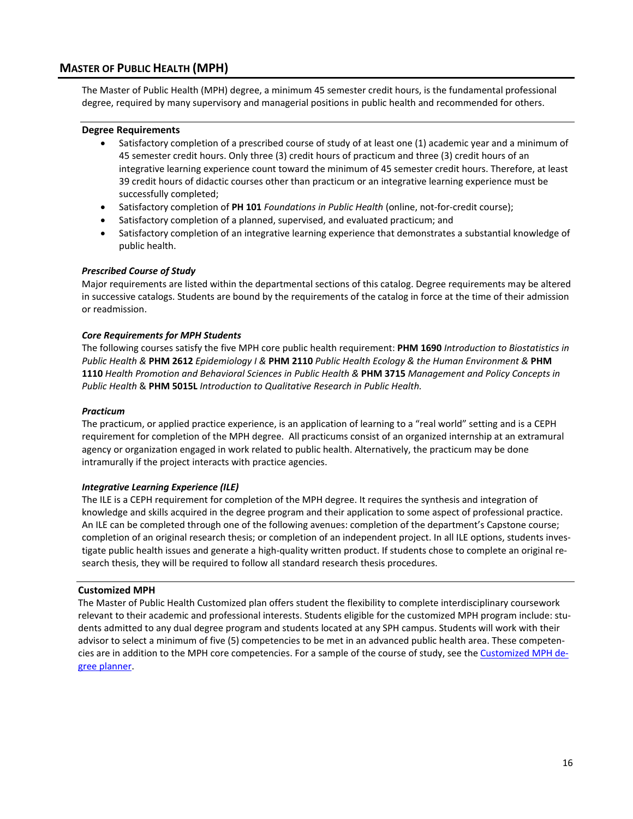# <span id="page-17-0"></span>**MASTER OF PUBLIC HEALTH (MPH)**

The Master of Public Health (MPH) degree, a minimum 45 semester credit hours, is the fundamental professional degree, required by many supervisory and managerial positions in public health and recommended for others.

#### **Degree Requirements**

- Satisfactory completion of a prescribed course of study of at least one (1) academic year and a minimum of 45 semester credit hours. Only three (3) credit hours of practicum and three (3) credit hours of an integrative learning experience count toward the minimum of 45 semester credit hours. Therefore, at least 39 credit hours of didactic courses other than practicum or an integrative learning experience must be successfully completed;
- Satisfactory completion of **PH 101** *Foundations in Public Health* (online, not-for-credit course);
- Satisfactory completion of a planned, supervised, and evaluated practicum; and
- Satisfactory completion of an integrative learning experience that demonstrates a substantial knowledge of public health.

#### *Prescribed Course of Study*

Major requirements are listed within the departmental sections of this catalog. Degree requirements may be altered in successive catalogs. Students are bound by the requirements of the catalog in force at the time of their admission or readmission.

#### *Core Requirements for MPH Students*

The following courses satisfy the five MPH core public health requirement: **PHM 1690** *Introduction to Biostatistics in Public Health &* **PHM 2612** *Epidemiology I &* **PHM 2110** *Public Health Ecology & the Human Environment &* **PHM 1110** *Health Promotion and Behavioral Sciences in Public Health &* **PHM 3715** *Management and Policy Concepts in Public Health* & **PHM 5015L** *Introduction to Qualitative Research in Public Health.*

#### *Practicum*

The practicum, or applied practice experience, is an application of learning to a "real world" setting and is a CEPH requirement for completion of the MPH degree. All practicums consist of an organized internship at an extramural agency or organization engaged in work related to public health. Alternatively, the practicum may be done intramurally if the project interacts with practice agencies.

### *Integrative Learning Experience (ILE)*

The ILE is a CEPH requirement for completion of the MPH degree. It requires the synthesis and integration of knowledge and skills acquired in the degree program and their application to some aspect of professional practice. An ILE can be completed through one of the following avenues: completion of the department's Capstone course; completion of an original research thesis; or completion of an independent project. In all ILE options, students investigate public health issues and generate a high-quality written product. If students chose to complete an original research thesis, they will be required to follow all standard research thesis procedures.

#### <span id="page-17-1"></span>**Customized MPH**

The Master of Public Health Customized plan offers student the flexibility to complete interdisciplinary coursework relevant to their academic and professional interests. Students eligible for the customized MPH program include: students admitted to any dual degree program and students located at any SPH campus. Students will work with their advisor to select a minimum of five (5) competencies to be met in an advanced public health area. These competen-cies are in addition to the MPH core competencies. For a sample of the course of study, see the [Customized MPH de](https://web.sph.uth.edu/student-forms/Academic_Requirements/Degree%20Programs%20&%20Planners/Planner.MPH.Customized.2020-2021.docx)[gree planner.](https://web.sph.uth.edu/student-forms/Academic_Requirements/Degree%20Programs%20&%20Planners/Planner.MPH.Customized.2020-2021.docx)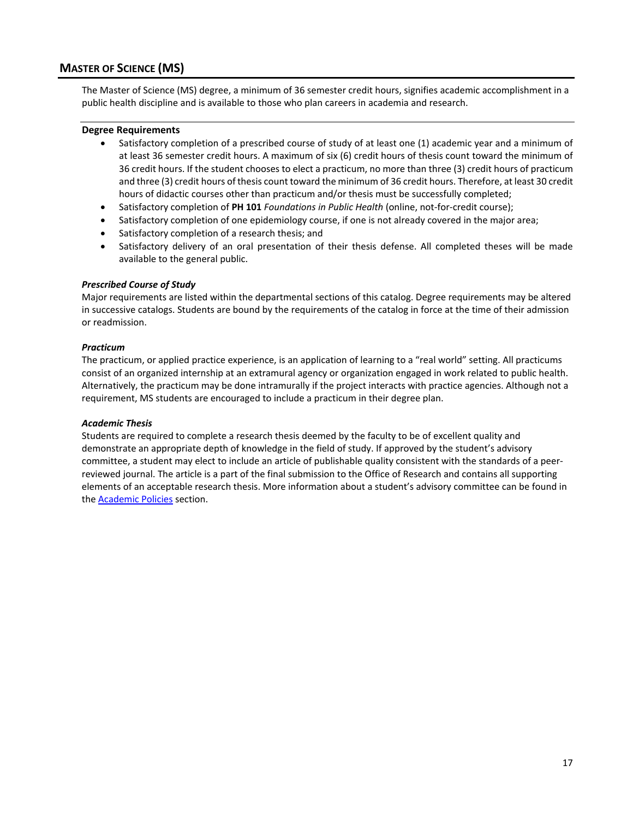# <span id="page-18-0"></span>**MASTER OF SCIENCE (MS)**

The Master of Science (MS) degree, a minimum of 36 semester credit hours, signifies academic accomplishment in a public health discipline and is available to those who plan careers in academia and research.

#### **Degree Requirements**

- Satisfactory completion of a prescribed course of study of at least one (1) academic year and a minimum of at least 36 semester credit hours. A maximum of six (6) credit hours of thesis count toward the minimum of 36 credit hours. If the student chooses to elect a practicum, no more than three (3) credit hours of practicum and three (3) credit hours of thesis count toward the minimum of 36 credit hours. Therefore, at least 30 credit hours of didactic courses other than practicum and/or thesis must be successfully completed;
- Satisfactory completion of **PH 101** *Foundations in Public Health* (online, not-for-credit course);
- Satisfactory completion of one epidemiology course, if one is not already covered in the major area;
- Satisfactory completion of a research thesis; and
- Satisfactory delivery of an oral presentation of their thesis defense. All completed theses will be made available to the general public.

#### *Prescribed Course of Study*

Major requirements are listed within the departmental sections of this catalog. Degree requirements may be altered in successive catalogs. Students are bound by the requirements of the catalog in force at the time of their admission or readmission.

#### *Practicum*

The practicum, or applied practice experience, is an application of learning to a "real world" setting. All practicums consist of an organized internship at an extramural agency or organization engaged in work related to public health. Alternatively, the practicum may be done intramurally if the project interacts with practice agencies. Although not a requirement, MS students are encouraged to include a practicum in their degree plan.

#### *Academic Thesis*

Students are required to complete a research thesis deemed by the faculty to be of excellent quality and demonstrate an appropriate depth of knowledge in the field of study. If approved by the student's advisory committee, a student may elect to include an article of publishable quality consistent with the standards of a peerreviewed journal. The article is a part of the final submission to the Office of Research and contains all supporting elements of an acceptable research thesis. More information about a student's advisory committee can be found in the [Academic Policies](#page-7-0) section.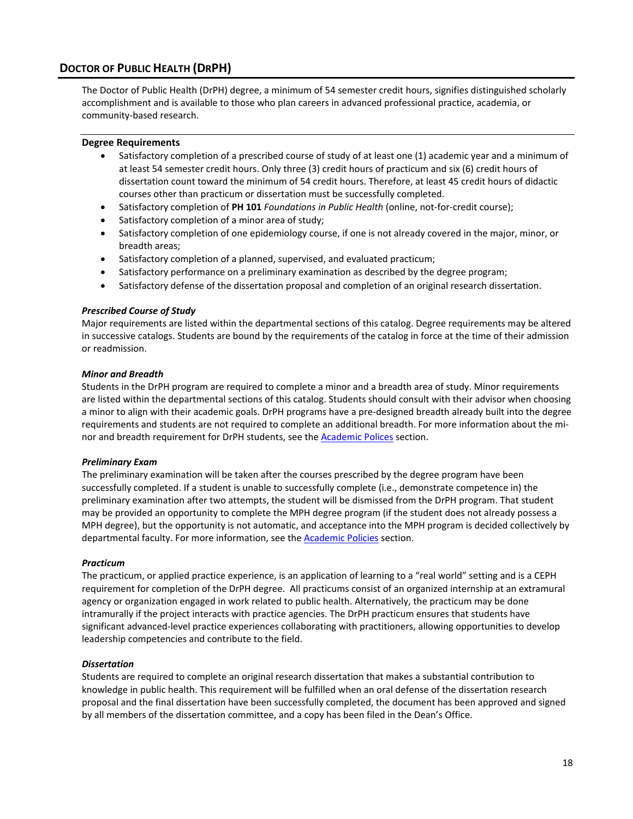# <span id="page-19-0"></span>**DOCTOR OF PUBLIC HEALTH (DRPH)**

The Doctor of Public Health (DrPH) degree, a minimum of 54 semester credit hours, signifies distinguished scholarly accomplishment and is available to those who plan careers in advanced professional practice, academia, or community-based research.

### **Degree Requirements**

- Satisfactory completion of a prescribed course of study of at least one (1) academic year and a minimum of at least 54 semester credit hours. Only three (3) credit hours of practicum and six (6) credit hours of dissertation count toward the minimum of 54 credit hours. Therefore, at least 45 credit hours of didactic courses other than practicum or dissertation must be successfully completed.
- Satisfactory completion of **PH 101** *Foundations in Public Health* (online, not-for-credit course);
- Satisfactory completion of a minor area of study;
- Satisfactory completion of one epidemiology course, if one is not already covered in the major, minor, or breadth areas;
- Satisfactory completion of a planned, supervised, and evaluated practicum;
- Satisfactory performance on a preliminary examination as described by the degree program;
- Satisfactory defense of the dissertation proposal and completion of an original research dissertation.

#### *Prescribed Course of Study*

Major requirements are listed within the departmental sections of this catalog. Degree requirements may be altered in successive catalogs. Students are bound by the requirements of the catalog in force at the time of their admission or readmission.

#### *Minor and Breadth*

Students in the DrPH program are required to complete a minor and a breadth area of study. Minor requirements are listed within the departmental sections of this catalog. Students should consult with their advisor when choosing a minor to align with their academic goals. DrPH programs have a pre-designed breadth already built into the degree requirements and students are not required to complete an additional breadth. For more information about the minor and breadth requirement for DrPH students, see the **Academic Polices** section.

#### *Preliminary Exam*

The preliminary examination will be taken after the courses prescribed by the degree program have been successfully completed. If a student is unable to successfully complete (i.e., demonstrate competence in) the preliminary examination after two attempts, the student will be dismissed from the DrPH program. That student may be provided an opportunity to complete the MPH degree program (if the student does not already possess a MPH degree), but the opportunity is not automatic, and acceptance into the MPH program is decided collectively by departmental faculty. For more information, see the **Academic Policies** section.

#### *Practicum*

The practicum, or applied practice experience, is an application of learning to a "real world" setting and is a CEPH requirement for completion of the DrPH degree. All practicums consist of an organized internship at an extramural agency or organization engaged in work related to public health. Alternatively, the practicum may be done intramurally if the project interacts with practice agencies. The DrPH practicum ensures that students have significant advanced-level practice experiences collaborating with practitioners, allowing opportunities to develop leadership competencies and contribute to the field.

### *Dissertation*

Students are required to complete an original research dissertation that makes a substantial contribution to knowledge in public health. This requirement will be fulfilled when an oral defense of the dissertation research proposal and the final dissertation have been successfully completed, the document has been approved and signed by all members of the dissertation committee, and a copy has been filed in the Dean's Office.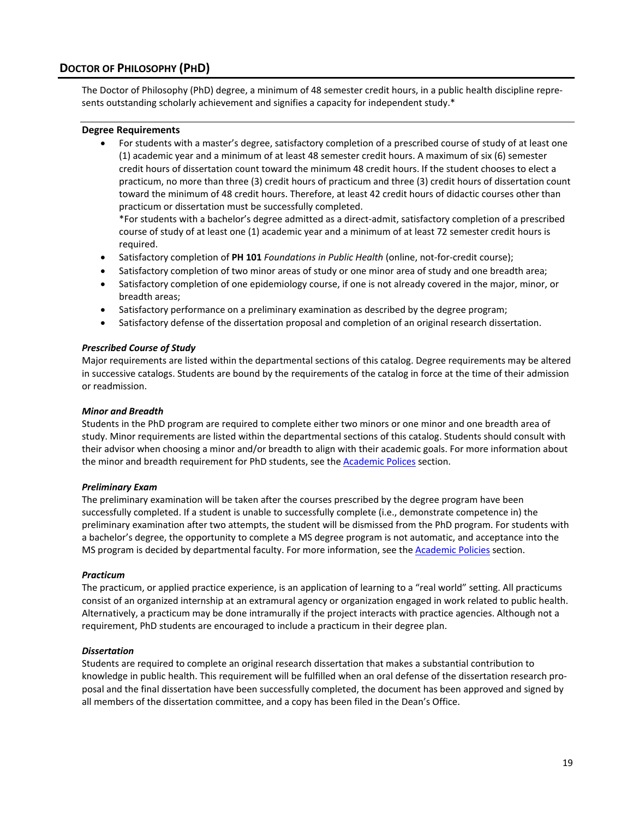# <span id="page-20-0"></span>**DOCTOR OF PHILOSOPHY (PHD)**

The Doctor of Philosophy (PhD) degree, a minimum of 48 semester credit hours, in a public health discipline represents outstanding scholarly achievement and signifies a capacity for independent study.\*

#### **Degree Requirements**

• For students with a master's degree, satisfactory completion of a prescribed course of study of at least one (1) academic year and a minimum of at least 48 semester credit hours. A maximum of six (6) semester credit hours of dissertation count toward the minimum 48 credit hours. If the student chooses to elect a practicum, no more than three (3) credit hours of practicum and three (3) credit hours of dissertation count toward the minimum of 48 credit hours. Therefore, at least 42 credit hours of didactic courses other than practicum or dissertation must be successfully completed.

\*For students with a bachelor's degree admitted as a direct-admit, satisfactory completion of a prescribed course of study of at least one (1) academic year and a minimum of at least 72 semester credit hours is required.

- Satisfactory completion of **PH 101** *Foundations in Public Health* (online, not-for-credit course);
- Satisfactory completion of two minor areas of study or one minor area of study and one breadth area;
- Satisfactory completion of one epidemiology course, if one is not already covered in the major, minor, or breadth areas;
- Satisfactory performance on a preliminary examination as described by the degree program;
- Satisfactory defense of the dissertation proposal and completion of an original research dissertation.

#### *Prescribed Course of Study*

Major requirements are listed within the departmental sections of this catalog. Degree requirements may be altered in successive catalogs. Students are bound by the requirements of the catalog in force at the time of their admission or readmission.

#### *Minor and Breadth*

Students in the PhD program are required to complete either two minors or one minor and one breadth area of study. Minor requirements are listed within the departmental sections of this catalog. Students should consult with their advisor when choosing a minor and/or breadth to align with their academic goals. For more information about the minor and breadth requirement for PhD students, see th[e Academic Polices](#page-7-0) section.

#### *Preliminary Exam*

The preliminary examination will be taken after the courses prescribed by the degree program have been successfully completed. If a student is unable to successfully complete (i.e., demonstrate competence in) the preliminary examination after two attempts, the student will be dismissed from the PhD program. For students with a bachelor's degree, the opportunity to complete a MS degree program is not automatic, and acceptance into the MS program is decided by departmental faculty. For more information, see the [Academic Policies](#page-7-0) section.

#### *Practicum*

The practicum, or applied practice experience, is an application of learning to a "real world" setting. All practicums consist of an organized internship at an extramural agency or organization engaged in work related to public health. Alternatively, a practicum may be done intramurally if the project interacts with practice agencies. Although not a requirement, PhD students are encouraged to include a practicum in their degree plan.

#### *Dissertation*

Students are required to complete an original research dissertation that makes a substantial contribution to knowledge in public health. This requirement will be fulfilled when an oral defense of the dissertation research proposal and the final dissertation have been successfully completed, the document has been approved and signed by all members of the dissertation committee, and a copy has been filed in the Dean's Office.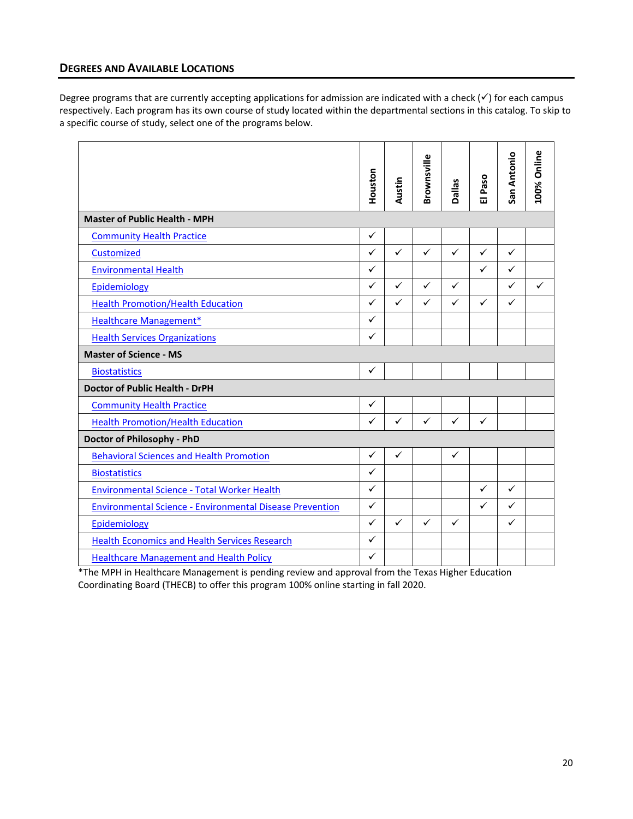# <span id="page-21-0"></span>**DEGREES AND AVAILABLE LOCATIONS**

Degree programs that are currently accepting applications for admission are indicated with a check  $(\checkmark)$  for each campus respectively. Each program has its own course of study located within the departmental sections in this catalog. To skip to a specific course of study, select one of the programs below.

|                                                                 | Houston      | Austin       | Brownsville  | Dallas       | Paso<br>$\overline{u}$ | San Antonio  | 100% Online  |
|-----------------------------------------------------------------|--------------|--------------|--------------|--------------|------------------------|--------------|--------------|
| <b>Master of Public Health - MPH</b>                            |              |              |              |              |                        |              |              |
| <b>Community Health Practice</b>                                | $\checkmark$ |              |              |              |                        |              |              |
| Customized                                                      | $\checkmark$ | $\checkmark$ | $\checkmark$ | $\checkmark$ | $\checkmark$           | $\checkmark$ |              |
| <b>Environmental Health</b>                                     | $\checkmark$ |              |              |              | $\checkmark$           | $\checkmark$ |              |
| Epidemiology                                                    | $\checkmark$ | $\checkmark$ | $\checkmark$ | $\checkmark$ |                        | $\checkmark$ | $\checkmark$ |
| <b>Health Promotion/Health Education</b>                        | ✓            | $\checkmark$ | $\checkmark$ | $\checkmark$ | $\checkmark$           | $\checkmark$ |              |
| <b>Healthcare Management*</b>                                   | $\checkmark$ |              |              |              |                        |              |              |
| <b>Health Services Organizations</b>                            | $\checkmark$ |              |              |              |                        |              |              |
| <b>Master of Science - MS</b>                                   |              |              |              |              |                        |              |              |
| <b>Biostatistics</b>                                            | $\checkmark$ |              |              |              |                        |              |              |
| <b>Doctor of Public Health - DrPH</b>                           |              |              |              |              |                        |              |              |
| <b>Community Health Practice</b>                                | $\checkmark$ |              |              |              |                        |              |              |
| <b>Health Promotion/Health Education</b>                        | $\checkmark$ | $\checkmark$ | $\checkmark$ | $\checkmark$ | $\checkmark$           |              |              |
| Doctor of Philosophy - PhD                                      |              |              |              |              |                        |              |              |
| <b>Behavioral Sciences and Health Promotion</b>                 | $\checkmark$ | $\checkmark$ |              | $\checkmark$ |                        |              |              |
| <b>Biostatistics</b>                                            | $\checkmark$ |              |              |              |                        |              |              |
| Environmental Science - Total Worker Health                     | $\checkmark$ |              |              |              | $\checkmark$           | $\checkmark$ |              |
| <b>Environmental Science - Environmental Disease Prevention</b> | $\checkmark$ |              |              |              | ✓                      | $\checkmark$ |              |
| Epidemiology                                                    | $\checkmark$ | $\checkmark$ | $\checkmark$ | $\checkmark$ |                        | $\checkmark$ |              |
| <b>Health Economics and Health Services Research</b>            | $\checkmark$ |              |              |              |                        |              |              |
| <b>Healthcare Management and Health Policy</b>                  | $\checkmark$ |              |              |              |                        |              |              |

\*The MPH in Healthcare Management is pending review and approval from the Texas Higher Education Coordinating Board (THECB) to offer this program 100% online starting in fall 2020.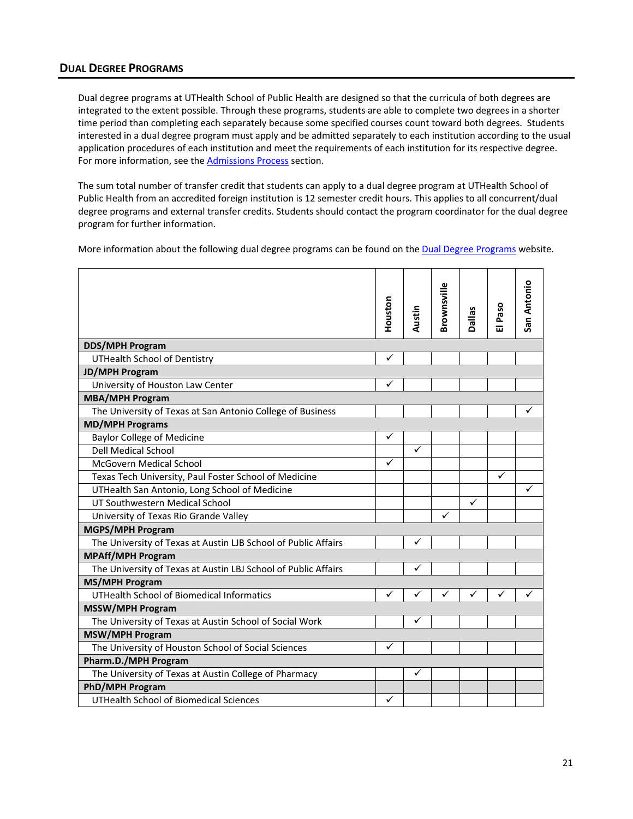# <span id="page-22-0"></span>**DUAL DEGREE PROGRAMS**

Dual degree programs at UTHealth School of Public Health are designed so that the curricula of both degrees are integrated to the extent possible. Through these programs, students are able to complete two degrees in a shorter time period than completing each separately because some specified courses count toward both degrees. Students interested in a dual degree program must apply and be admitted separately to each institution according to the usual application procedures of each institution and meet the requirements of each institution for its respective degree. For more information, see th[e Admissions](#page-13-1) Process section.

The sum total number of transfer credit that students can apply to a dual degree program at UTHealth School of Public Health from an accredited foreign institution is 12 semester credit hours. This applies to all concurrent/dual degree programs and external transfer credits. Students should contact the program coordinator for the dual degree program for further information.

More information about the following dual degree programs can be found on th[e Dual Degree Programs](https://sph.uth.edu/degree-finder/index.htm) website.

|                                                                | Houston      | Austin       | Brownsville  | <b>Dallas</b> | El Paso      | San Antonio |
|----------------------------------------------------------------|--------------|--------------|--------------|---------------|--------------|-------------|
| <b>DDS/MPH Program</b>                                         |              |              |              |               |              |             |
| <b>UTHealth School of Dentistry</b>                            | ✓            |              |              |               |              |             |
| <b>JD/MPH Program</b>                                          |              |              |              |               |              |             |
| University of Houston Law Center                               | $\checkmark$ |              |              |               |              |             |
| <b>MBA/MPH Program</b>                                         |              |              |              |               |              |             |
| The University of Texas at San Antonio College of Business     |              |              |              |               |              | ✓           |
| <b>MD/MPH Programs</b>                                         |              |              |              |               |              |             |
| <b>Baylor College of Medicine</b>                              | ✓            |              |              |               |              |             |
| <b>Dell Medical School</b>                                     |              | ✓            |              |               |              |             |
| <b>McGovern Medical School</b>                                 | ✓            |              |              |               |              |             |
| Texas Tech University, Paul Foster School of Medicine          |              |              |              |               | $\checkmark$ |             |
| UTHealth San Antonio, Long School of Medicine                  |              |              |              |               |              | ✓           |
| UT Southwestern Medical School                                 |              |              |              | ✓             |              |             |
| University of Texas Rio Grande Valley                          |              |              | $\checkmark$ |               |              |             |
| <b>MGPS/MPH Program</b>                                        |              |              |              |               |              |             |
| The University of Texas at Austin LJB School of Public Affairs |              | $\checkmark$ |              |               |              |             |
| <b>MPAff/MPH Program</b>                                       |              |              |              |               |              |             |
| The University of Texas at Austin LBJ School of Public Affairs |              | ✓            |              |               |              |             |
| <b>MS/MPH Program</b>                                          |              |              |              |               |              |             |
| UTHealth School of Biomedical Informatics                      | $\checkmark$ | ✓            |              |               |              |             |
| <b>MSSW/MPH Program</b>                                        |              |              |              |               |              |             |
| The University of Texas at Austin School of Social Work        |              | ✓            |              |               |              |             |
| <b>MSW/MPH Program</b>                                         |              |              |              |               |              |             |
| The University of Houston School of Social Sciences            | ✓            |              |              |               |              |             |
| Pharm.D./MPH Program                                           |              |              |              |               |              |             |
| The University of Texas at Austin College of Pharmacy          |              | ✓            |              |               |              |             |
| <b>PhD/MPH Program</b>                                         |              |              |              |               |              |             |
| <b>UTHealth School of Biomedical Sciences</b>                  | ✓            |              |              |               |              |             |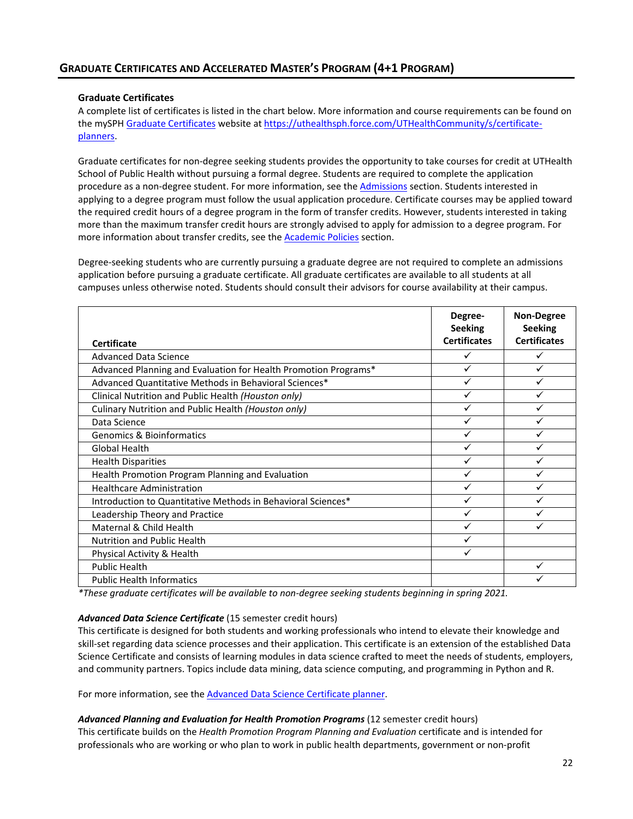### <span id="page-23-0"></span>**Graduate Certificates**

A complete list of certificates is listed in the chart below. More information and course requirements can be found on the mySPH [Graduate Certificates](https://uthealthsph.force.com/UTHealthCommunity/s/certificate-planners) website at [https://uthealthsph.force.com/UTHealthCommunity/s/certificate](https://uthealthsph.force.com/UTHealthCommunity/s/certificate-planners)[planners.](https://uthealthsph.force.com/UTHealthCommunity/s/certificate-planners)

Graduate certificates for non-degree seeking students provides the opportunity to take courses for credit at UTHealth School of Public Health without pursuing a formal degree. Students are required to complete the application procedure as a non-degree student. For more information, see th[e Admissions](#page-10-0) section. Students interested in applying to a degree program must follow the usual application procedure. Certificate courses may be applied toward the required credit hours of a degree program in the form of transfer credits. However, students interested in taking more than the maximum transfer credit hours are strongly advised to apply for admission to a degree program. For more information about transfer credits, see the [Academic Policies](#page-7-0) section.

Degree-seeking students who are currently pursuing a graduate degree are not required to complete an admissions application before pursuing a graduate certificate. All graduate certificates are available to all students at all campuses unless otherwise noted. Students should consult their advisors for course availability at their campus.

| <b>Certificate</b>                                              | Degree-<br><b>Seeking</b><br><b>Certificates</b> | <b>Non-Degree</b><br><b>Seeking</b><br><b>Certificates</b> |
|-----------------------------------------------------------------|--------------------------------------------------|------------------------------------------------------------|
| <b>Advanced Data Science</b>                                    | ✓                                                |                                                            |
| Advanced Planning and Evaluation for Health Promotion Programs* | ✓                                                |                                                            |
| Advanced Quantitative Methods in Behavioral Sciences*           | ✓                                                |                                                            |
| Clinical Nutrition and Public Health (Houston only)             | ✓                                                |                                                            |
| Culinary Nutrition and Public Health (Houston only)             | ✓                                                |                                                            |
| Data Science                                                    | ✓                                                |                                                            |
| <b>Genomics &amp; Bioinformatics</b>                            | ✓                                                |                                                            |
| <b>Global Health</b>                                            | ✓                                                |                                                            |
| <b>Health Disparities</b>                                       | ✓                                                |                                                            |
| Health Promotion Program Planning and Evaluation                | ✓                                                |                                                            |
| <b>Healthcare Administration</b>                                | ✓                                                |                                                            |
| Introduction to Quantitative Methods in Behavioral Sciences*    | ✓                                                |                                                            |
| Leadership Theory and Practice                                  | ✓                                                |                                                            |
| Maternal & Child Health                                         | ✓                                                |                                                            |
| <b>Nutrition and Public Health</b>                              | ✓                                                |                                                            |
| Physical Activity & Health                                      |                                                  |                                                            |
| <b>Public Health</b>                                            |                                                  |                                                            |
| <b>Public Health Informatics</b>                                |                                                  |                                                            |

*\*These graduate certificates will be available to non-degree seeking students beginning in spring 2021.*

### *Advanced Data Science Certificate* (15 semester credit hours)

This certificate is designed for both students and working professionals who intend to elevate their knowledge and skill-set regarding data science processes and their application. This certificate is an extension of the established Data Science Certificate and consists of learning modules in data science crafted to meet the needs of students, employers, and community partners. Topics include data mining, data science computing, and programming in Python and R.

For more information, see th[e Advanced Data Science Certificate planner.](https://web.sph.uth.edu/student-forms/Academic_Requirements/Certificate%20Planners/Planner.Certificate.Advanced_Data_Science.docx)

### *Advanced Planning and Evaluation for Health Promotion Programs* (12 semester credit hours)

This certificate builds on the *Health Promotion Program Planning and Evaluation* certificate and is intended for professionals who are working or who plan to work in public health departments, government or non-profit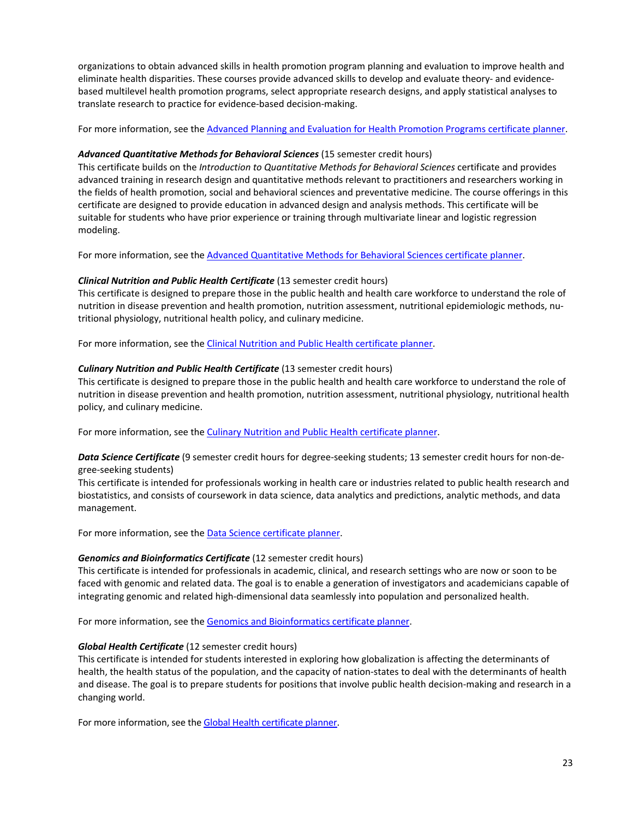organizations to obtain advanced skills in health promotion program planning and evaluation to improve health and eliminate health disparities. These courses provide advanced skills to develop and evaluate theory- and evidencebased multilevel health promotion programs, select appropriate research designs, and apply statistical analyses to translate research to practice for evidence-based decision-making.

For more information, see th[e Advanced Planning and Evaluation for Health Promotion Programs certificate planner.](https://web.sph.uth.edu/student-forms/Academic_Requirements/Certificate%20Planners/Planner.Certificate.Advanced_Planning_and_Evaluation_Health_Promotion_Programs.docx)

### *Advanced Quantitative Methods for Behavioral Sciences* (15 semester credit hours)

This certificate builds on the *Introduction to Quantitative Methods for Behavioral Sciences* certificate and provides advanced training in research design and quantitative methods relevant to practitioners and researchers working in the fields of health promotion, social and behavioral sciences and preventative medicine. The course offerings in this certificate are designed to provide education in advanced design and analysis methods. This certificate will be suitable for students who have prior experience or training through multivariate linear and logistic regression modeling.

For more information, see th[e Advanced Quantitative Methods for Behavioral Sciences certificate planner.](https://web.sph.uth.edu/student-forms/Academic_Requirements/Certificate%20Planners/Planner.Certificate.Advanced_Quantitative_Methods_Behavioral_Sciences.docx)

#### *Clinical Nutrition and Public Health Certificate* (13 semester credit hours)

This certificate is designed to prepare those in the public health and health care workforce to understand the role of nutrition in disease prevention and health promotion, nutrition assessment, nutritional epidemiologic methods, nutritional physiology, nutritional health policy, and culinary medicine.

For more information, see th[e Clinical Nutrition and Public Health certificate planner.](https://web.sph.uth.edu/student-forms/Academic_Requirements/Certificate%20Planners/Planner.Certificate.Clinical_Nutrition.docx)

#### *Culinary Nutrition and Public Health Certificate* (13 semester credit hours)

This certificate is designed to prepare those in the public health and health care workforce to understand the role of nutrition in disease prevention and health promotion, nutrition assessment, nutritional physiology, nutritional health policy, and culinary medicine.

For more information, see th[e Culinary Nutrition and Public Health certificate planner.](https://web.sph.uth.edu/student-forms/Academic_Requirements/Certificate%20Planners/Planner.Certificate.Culinary_Nutrition.docx)

### *Data Science Certificate* (9 semester credit hours for degree-seeking students; 13 semester credit hours for non-degree-seeking students)

This certificate is intended for professionals working in health care or industries related to public health research and biostatistics, and consists of coursework in data science, data analytics and predictions, analytic methods, and data management.

For more information, see the **Data Science certificate planner**.

#### *Genomics and Bioinformatics Certificate* (12 semester credit hours)

This certificate is intended for professionals in academic, clinical, and research settings who are now or soon to be faced with genomic and related data. The goal is to enable a generation of investigators and academicians capable of integrating genomic and related high-dimensional data seamlessly into population and personalized health.

For more information, see th[e Genomics and Bioinformatics certificate planner.](https://web.sph.uth.edu/student-forms/Academic_Requirements/Certificate%20Planners/Planner.Certificate.Genomics_Bioinformatics.docx)

#### *Global Health Certificate* (12 semester credit hours)

This certificate is intended for students interested in exploring how globalization is affecting the determinants of health, the health status of the population, and the capacity of nation-states to deal with the determinants of health and disease. The goal is to prepare students for positions that involve public health decision-making and research in a changing world.

For more information, see th[e Global Health certificate planner.](https://web.sph.uth.edu/student-forms/Academic_Requirements/Certificate%20Planners/Planner.Certificate.Global_Health.docx)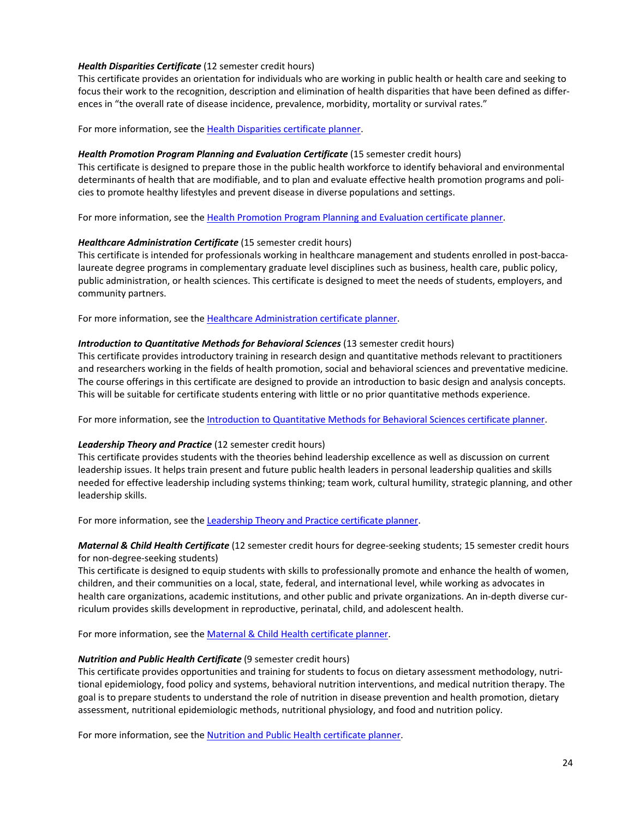### *Health Disparities Certificate* (12 semester credit hours)

This certificate provides an orientation for individuals who are working in public health or health care and seeking to focus their work to the recognition, description and elimination of health disparities that have been defined as differences in "the overall rate of disease incidence, prevalence, morbidity, mortality or survival rates."

For more information, see th[e Health Disparities certificate planner.](https://web.sph.uth.edu/student-forms/Academic_Requirements/Certificate%20Planners/Planner.Certificate.Health_Disparities.docx)

#### *Health Promotion Program Planning and Evaluation Certificate* (15 semester credit hours)

This certificate is designed to prepare those in the public health workforce to identify behavioral and environmental determinants of health that are modifiable, and to plan and evaluate effective health promotion programs and policies to promote healthy lifestyles and prevent disease in diverse populations and settings.

For more information, see th[e Health Promotion Program Planning and Evaluation](https://web.sph.uth.edu/student-forms/Academic_Requirements/Certificate%20Planners/Planner.Certificate.Health_Promotion_Program_Planning_and_Evaluation.docx) certificate planner.

#### *Healthcare Administration Certificate* (15 semester credit hours)

This certificate is intended for professionals working in healthcare management and students enrolled in post-baccalaureate degree programs in complementary graduate level disciplines such as business, health care, public policy, public administration, or health sciences. This certificate is designed to meet the needs of students, employers, and community partners.

For more information, see th[e Healthcare Administration](https://web.sph.uth.edu/student-forms/Academic_Requirements/Certificate%20Planners/Planner.Certificate.Healthcare_Administration.docx) certificate planner.

#### *Introduction to Quantitative Methods for Behavioral Sciences* (13 semester credit hours)

This certificate provides introductory training in research design and quantitative methods relevant to practitioners and researchers working in the fields of health promotion, social and behavioral sciences and preventative medicine. The course offerings in this certificate are designed to provide an introduction to basic design and analysis concepts. This will be suitable for certificate students entering with little or no prior quantitative methods experience.

For more information, see th[e Introduction to Quantitative Methods for Behavioral Sciences](https://web.sph.uth.edu/student-forms/Academic_Requirements/Certificate%20Planners/Planner.Certificate.Introduction_Quantitative_Methods.docx) certificate planner.

### *Leadership Theory and Practice* (12 semester credit hours)

This certificate provides students with the theories behind leadership excellence as well as discussion on current leadership issues. It helps train present and future public health leaders in personal leadership qualities and skills needed for effective leadership including systems thinking; team work, cultural humility, strategic planning, and other leadership skills.

For more information, see th[e Leadership Theory and Practice](https://web.sph.uth.edu/student-forms/Academic_Requirements/Certificate%20Planners/Planner.Certificate.Leadership_Theory_and_Practice.docx) certificate planner.

### *Maternal & Child Health Certificate* (12 semester credit hours for degree-seeking students; 15 semester credit hours for non-degree-seeking students)

This certificate is designed to equip students with skills to professionally promote and enhance the health of women, children, and their communities on a local, state, federal, and international level, while working as advocates in health care organizations, academic institutions, and other public and private organizations. An in-depth diverse curriculum provides skills development in reproductive, perinatal, child, and adolescent health.

For more information, see th[e Maternal & Child Health](https://web.sph.uth.edu/student-forms/Academic_Requirements/Certificate%20Planners/Planner.Certificate.Maternal_Child_Health.docx) certificate planner.

#### *Nutrition and Public Health Certificate* (9 semester credit hours)

This certificate provides opportunities and training for students to focus on dietary assessment methodology, nutritional epidemiology, food policy and systems, behavioral nutrition interventions, and medical nutrition therapy. The goal is to prepare students to understand the role of nutrition in disease prevention and health promotion, dietary assessment, nutritional epidemiologic methods, nutritional physiology, and food and nutrition policy.

For more information, see the **Nutrition and Public Health certificate planner**.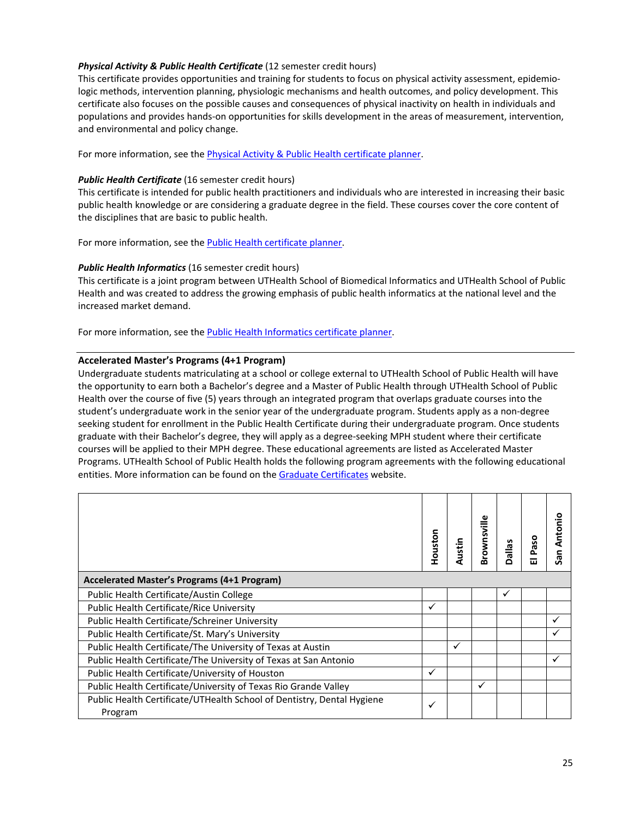### *Physical Activity & Public Health Certificate* (12 semester credit hours)

This certificate provides opportunities and training for students to focus on physical activity assessment, epidemiologic methods, intervention planning, physiologic mechanisms and health outcomes, and policy development. This certificate also focuses on the possible causes and consequences of physical inactivity on health in individuals and populations and provides hands-on opportunities for skills development in the areas of measurement, intervention, and environmental and policy change.

For more information, see th[e Physical Activity & Public Health](https://web.sph.uth.edu/student-forms/Academic_Requirements/Certificate%20Planners/Planner.Certificate.Physical_Activity_and_Health.docx) certificate planner.

### *Public Health Certificate* (16 semester credit hours)

This certificate is intended for public health practitioners and individuals who are interested in increasing their basic public health knowledge or are considering a graduate degree in the field. These courses cover the core content of the disciplines that are basic to public health.

For more information, see the Public Health [certificate planner.](https://web.sph.uth.edu/student-forms/Academic_Requirements/Certificate%20Planners/Planner.Certificate.Public_Health.docx)

### *Public Health Informatics* (16 semester credit hours)

This certificate is a joint program between UTHealth School of Biomedical Informatics and UTHealth School of Public Health and was created to address the growing emphasis of public health informatics at the national level and the increased market demand.

For more information, see th[e Public Health Informatics](https://web.sph.uth.edu/student-forms/Academic_Requirements/Certificate%20Planners/Planner.Certificate.Public_Health_Informatics.docx) certificate planner.

### **Accelerated Master's Programs (4+1 Program)**

Undergraduate students matriculating at a school or college external to UTHealth School of Public Health will have the opportunity to earn both a Bachelor's degree and a Master of Public Health through UTHealth School of Public Health over the course of five (5) years through an integrated program that overlaps graduate courses into the student's undergraduate work in the senior year of the undergraduate program. Students apply as a non-degree seeking student for enrollment in the Public Health Certificate during their undergraduate program. Once students graduate with their Bachelor's degree, they will apply as a degree-seeking MPH student where their certificate courses will be applied to their MPH degree. These educational agreements are listed as Accelerated Master Programs. UTHealth School of Public Health holds the following program agreements with the following educational entities. More information can be found on the [Graduate Certificates](https://sph.uth.edu/degree-finder/index.htm) website.

|                                                                                   | Houston      | Austin | Brownsville | Dallas | ă<br>௳<br>ш | Antonio<br>San |
|-----------------------------------------------------------------------------------|--------------|--------|-------------|--------|-------------|----------------|
| <b>Accelerated Master's Programs (4+1 Program)</b>                                |              |        |             |        |             |                |
| Public Health Certificate/Austin College                                          |              |        |             | ✓      |             |                |
| <b>Public Health Certificate/Rice University</b>                                  | $\checkmark$ |        |             |        |             |                |
| Public Health Certificate/Schreiner University                                    |              |        |             |        |             | $\checkmark$   |
| Public Health Certificate/St. Mary's University                                   |              |        |             |        |             | ✓              |
| Public Health Certificate/The University of Texas at Austin                       |              | ✓      |             |        |             |                |
| Public Health Certificate/The University of Texas at San Antonio                  |              |        |             |        |             | ✓              |
| Public Health Certificate/University of Houston                                   | ✓            |        |             |        |             |                |
| Public Health Certificate/University of Texas Rio Grande Valley                   |              |        | ✓           |        |             |                |
| Public Health Certificate/UTHealth School of Dentistry, Dental Hygiene<br>Program | ✓            |        |             |        |             |                |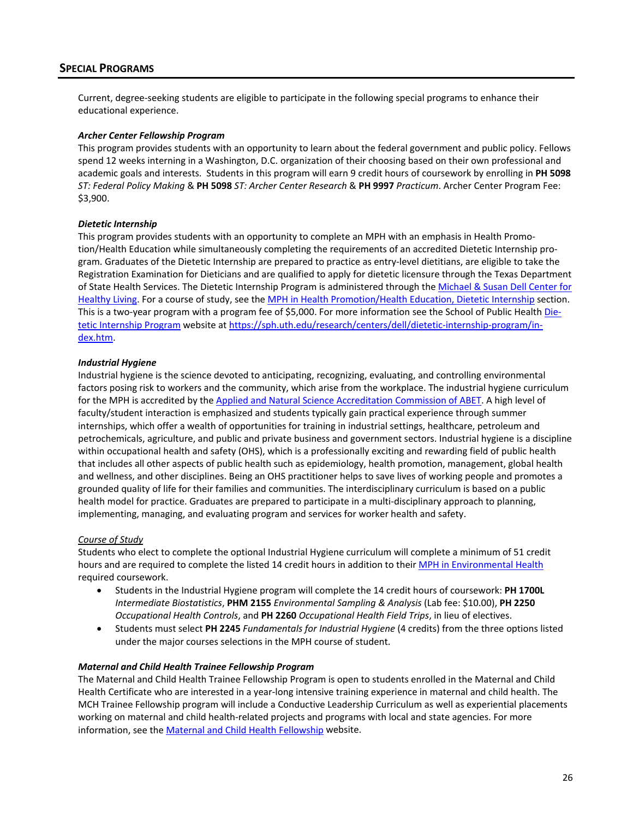# <span id="page-27-0"></span>**SPECIAL PROGRAMS**

Current, degree-seeking students are eligible to participate in the following special programs to enhance their educational experience.

#### *Archer Center Fellowship Program*

This program provides students with an opportunity to learn about the federal government and public policy. Fellows spend 12 weeks interning in a Washington, D.C. organization of their choosing based on their own professional and academic goals and interests. Students in this program will earn 9 credit hours of coursework by enrolling in **PH 5098** *ST: Federal Policy Making* & **PH 5098** *ST: Archer Center Research* & **PH 9997** *Practicum*. Archer Center Program Fee: \$3,900.

#### *Dietetic Internship*

This program provides students with an opportunity to complete an MPH with an emphasis in Health Promotion/Health Education while simultaneously completing the requirements of an accredited Dietetic Internship program. Graduates of the Dietetic Internship are prepared to practice as entry-level dietitians, are eligible to take the Registration Examination for Dieticians and are qualified to apply for dietetic licensure through the Texas Department of State Health Services. The Dietetic Internship Program is administered through the [Michael & Susan Dell Center for](https://sph.uth.edu/research/centers/dell/)  [Healthy Living.](https://sph.uth.edu/research/centers/dell/) For a course of study, see the [MPH in Health Promotion/Health Education, Dietetic Internship](#page-37-3) section. This is a two-year program with a program fee of \$5,000. For more information see the School of Public Healt[h Die](https://sph.uth.edu/research/centers/dell/dietetic-internship-program/)[tetic Internship Program](https://sph.uth.edu/research/centers/dell/dietetic-internship-program/) website a[t https://sph.uth.edu/research/centers/dell/dietetic-internship-program/in](https://sph.uth.edu/research/centers/dell/dietetic-internship-program/index.htm)[dex.htm.](https://sph.uth.edu/research/centers/dell/dietetic-internship-program/index.htm)

#### *Industrial Hygiene*

Industrial hygiene is the science devoted to anticipating, recognizing, evaluating, and controlling environmental factors posing risk to workers and the community, which arise from the workplace. The industrial hygiene curriculum for the MPH is accredited by the [Applied and Natural Science Accreditation Commission of ABET.](https://www.abet.org/) A high level of faculty/student interaction is emphasized and students typically gain practical experience through summer internships, which offer a wealth of opportunities for training in industrial settings, healthcare, petroleum and petrochemicals, agriculture, and public and private business and government sectors. Industrial hygiene is a discipline within occupational health and safety (OHS), which is a professionally exciting and rewarding field of public health that includes all other aspects of public health such as epidemiology, health promotion, management, global health and wellness, and other disciplines. Being an OHS practitioner helps to save lives of working people and promotes a grounded quality of life for their families and communities. The interdisciplinary curriculum is based on a public health model for practice. Graduates are prepared to participate in a multi-disciplinary approach to planning, implementing, managing, and evaluating program and services for worker health and safety.

### *Course of Study*

Students who elect to complete the optional Industrial Hygiene curriculum will complete a minimum of 51 credit hours and are required to complete the listed 14 credit hours in addition to their [MPH in Environmental Health](#page-34-2) required coursework.

- Students in the Industrial Hygiene program will complete the 14 credit hours of coursework: **PH 1700L** *Intermediate Biostatistics*, **PHM 2155** *Environmental Sampling & Analysis* (Lab fee: \$10.00), **PH 2250** *Occupational Health Controls*, and **PH 2260** *Occupational Health Field Trips*, in lieu of electives.
- Students must select **PH 2245** *Fundamentals for Industrial Hygiene* (4 credits) from the three options listed under the major courses selections in the MPH course of student.

#### *Maternal and Child Health Trainee Fellowship Program*

The Maternal and Child Health Trainee Fellowship Program is open to students enrolled in the Maternal and Child Health Certificate who are interested in a year-long intensive training experience in maternal and child health. The MCH Trainee Fellowship program will include a Conductive Leadership Curriculum as well as experiential placements working on maternal and child health-related projects and programs with local and state agencies. For more information, see th[e Maternal and Child Health Fellowship](https://sph.uth.edu/research/centers/dell/project.htm?project=3e747d4c-bdfb-421a-9caf-b934a6074744) website.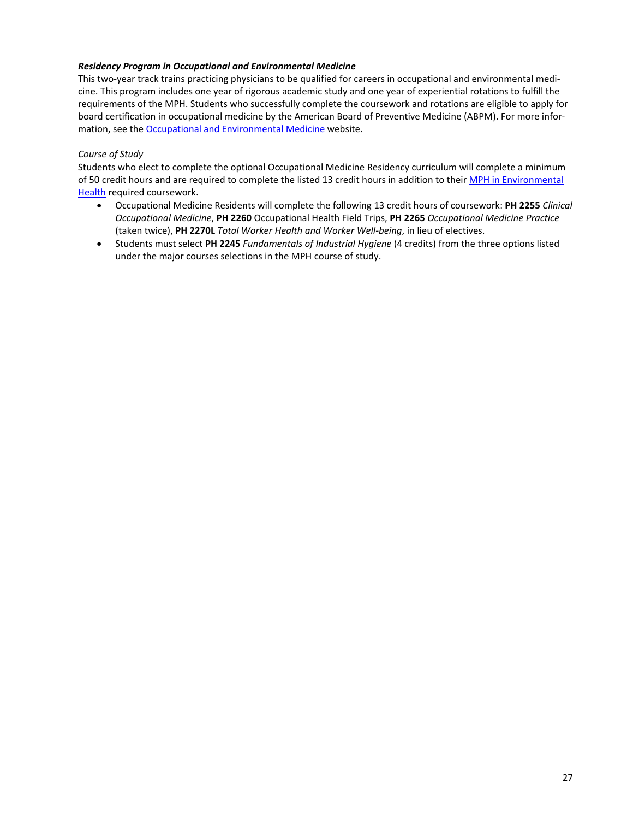### *Residency Program in Occupational and Environmental Medicine*

This two-year track trains practicing physicians to be qualified for careers in occupational and environmental medicine. This program includes one year of rigorous academic study and one year of experiential rotations to fulfill the requirements of the MPH. Students who successfully complete the coursework and rotations are eligible to apply for board certification in occupational medicine by the American Board of Preventive Medicine (ABPM). For more information, see th[e Occupational and Environmental Medicine](https://sph.uth.edu/research/centers/swcoeh/) website.

### *Course of Study*

Students who elect to complete the optional Occupational Medicine Residency curriculum will complete a minimum of 50 credit hours and are required to complete the listed 13 credit hours in addition to their [MPH in Environmental](#page-34-2)  [Health](#page-34-2) required coursework.

- Occupational Medicine Residents will complete the following 13 credit hours of coursework: **PH 2255** *Clinical Occupational Medicine*, **PH 2260** Occupational Health Field Trips, **PH 2265** *Occupational Medicine Practice* (taken twice), **PH 2270L** *Total Worker Health and Worker Well-being*, in lieu of electives.
- Students must select **PH 2245** *Fundamentals of Industrial Hygiene* (4 credits) from the three options listed under the major courses selections in the MPH course of study.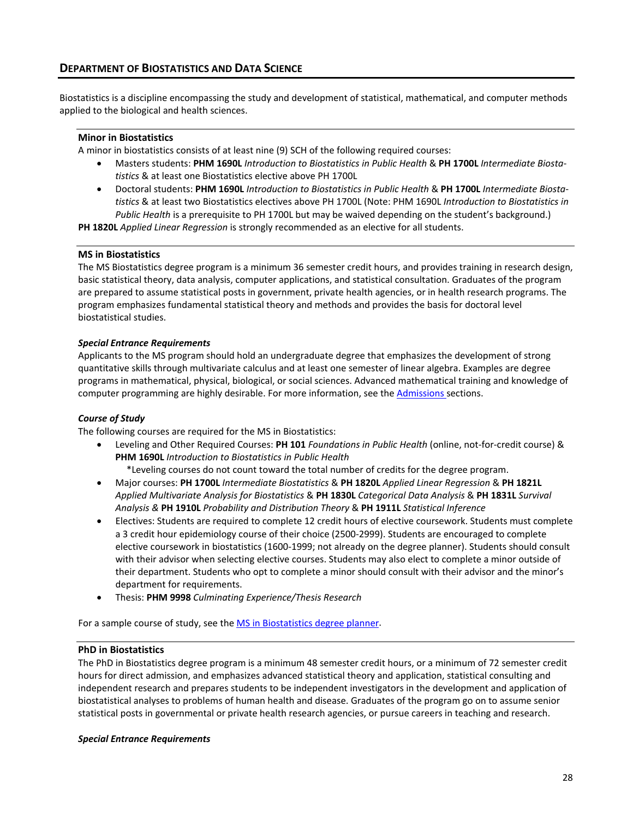# <span id="page-29-0"></span>**DEPARTMENT OF BIOSTATISTICS AND DATA SCIENCE**

Biostatistics is a discipline encompassing the study and development of statistical, mathematical, and computer methods applied to the biological and health sciences.

#### <span id="page-29-1"></span>**Minor in Biostatistics**

A minor in biostatistics consists of at least nine (9) SCH of the following required courses:

- Masters students: **PHM 1690L** *Introduction to Biostatistics in Public Health* & **PH 1700L** *Intermediate Biostatistics* & at least one Biostatistics elective above PH 1700L
- Doctoral students: **PHM 1690L** *Introduction to Biostatistics in Public Health* & **PH 1700L** *Intermediate Biostatistics* & at least two Biostatistics electives above PH 1700L (Note: PHM 1690L *Introduction to Biostatistics in Public Health* is a prerequisite to PH 1700L but may be waived depending on the student's background.)

**PH 1820L** *Applied Linear Regression* is strongly recommended as an elective for all students.

#### <span id="page-29-2"></span>**MS in Biostatistics**

The MS Biostatistics degree program is a minimum 36 semester credit hours, and provides training in research design, basic statistical theory, data analysis, computer applications, and statistical consultation. Graduates of the program are prepared to assume statistical posts in government, private health agencies, or in health research programs. The program emphasizes fundamental statistical theory and methods and provides the basis for doctoral level biostatistical studies.

#### *Special Entrance Requirements*

Applicants to the MS program should hold an undergraduate degree that emphasizes the development of strong quantitative skills through multivariate calculus and at least one semester of linear algebra. Examples are degree programs in mathematical, physical, biological, or social sciences. Advanced mathematical training and knowledge of computer programming are highly desirable. For more information, see the [Admissions](#page-10-0) sections.

### *Course of Study*

The following courses are required for the MS in Biostatistics:

• Leveling and Other Required Courses: **PH 101** *Foundations in Public Health* (online, not-for-credit course) & **PHM 1690L** *Introduction to Biostatistics in Public Health*

\*Leveling courses do not count toward the total number of credits for the degree program.

- Major courses: **PH 1700L** *Intermediate Biostatistics* & **PH 1820L** *Applied Linear Regression* & **PH 1821L** *Applied Multivariate Analysis for Biostatistics* & **PH 1830L** *Categorical Data Analysis* & **PH 1831L** *Survival Analysis &* **PH 1910L** *Probability and Distribution Theory* & **PH 1911L** *Statistical Inference*
- Electives: Students are required to complete 12 credit hours of elective coursework. Students must complete a 3 credit hour epidemiology course of their choice (2500-2999). Students are encouraged to complete elective coursework in biostatistics (1600-1999; not already on the degree planner). Students should consult with their advisor when selecting elective courses. Students may also elect to complete a minor outside of their department. Students who opt to complete a minor should consult with their advisor and the minor's department for requirements.
- Thesis: **PHM 9998** *Culminating Experience/Thesis Research*

For a sample course of study, see th[e MS in Biostatistics degree planner.](https://web.sph.uth.edu/student-forms/Academic_Requirements/Degree%20Programs%20&%20Planners/Planner.MS.BIOS.2020-2021.docx)

### <span id="page-29-3"></span>**PhD in Biostatistics**

The PhD in Biostatistics degree program is a minimum 48 semester credit hours, or a minimum of 72 semester credit hours for direct admission, and emphasizes advanced statistical theory and application, statistical consulting and independent research and prepares students to be independent investigators in the development and application of biostatistical analyses to problems of human health and disease. Graduates of the program go on to assume senior statistical posts in governmental or private health research agencies, or pursue careers in teaching and research.

### *Special Entrance Requirements*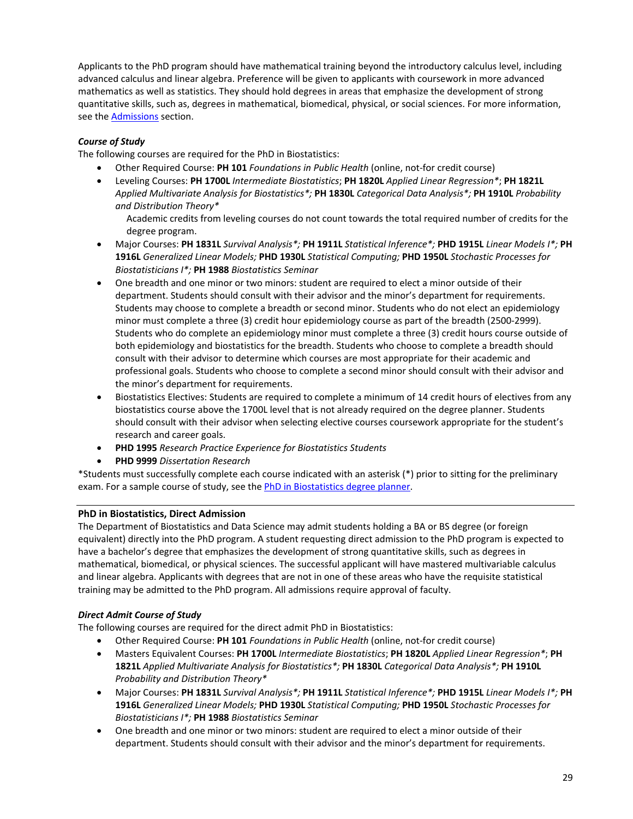Applicants to the PhD program should have mathematical training beyond the introductory calculus level, including advanced calculus and linear algebra. Preference will be given to applicants with coursework in more advanced mathematics as well as statistics. They should hold degrees in areas that emphasize the development of strong quantitative skills, such as, degrees in mathematical, biomedical, physical, or social sciences. For more information, see th[e Admissions](#page-10-0) section.

# *Course of Study*

The following courses are required for the PhD in Biostatistics:

- Other Required Course: **PH 101** *Foundations in Public Health* (online, not-for credit course)
- Leveling Courses: **PH 1700L** *Intermediate Biostatistics*; **PH 1820L** *Applied Linear Regression\**; **PH 1821L** *Applied Multivariate Analysis for Biostatistics\*;* **PH 1830L** *Categorical Data Analysis\*;* **PH 1910L** *Probability and Distribution Theory\**

Academic credits from leveling courses do not count towards the total required number of credits for the degree program.

- Major Courses: **PH 1831L** *Survival Analysis\*;* **PH 1911L** *Statistical Inference\*;* **PHD 1915L** *Linear Models I\*;* **PH 1916L** *Generalized Linear Models;* **PHD 1930L** *Statistical Computing;* **PHD 1950L** *Stochastic Processes for Biostatisticians I\*;* **PH 1988** *Biostatistics Seminar*
- One breadth and one minor or two minors: student are required to elect a minor outside of their department. Students should consult with their advisor and the minor's department for requirements. Students may choose to complete a breadth or second minor. Students who do not elect an epidemiology minor must complete a three (3) credit hour epidemiology course as part of the breadth (2500-2999). Students who do complete an epidemiology minor must complete a three (3) credit hours course outside of both epidemiology and biostatistics for the breadth. Students who choose to complete a breadth should consult with their advisor to determine which courses are most appropriate for their academic and professional goals. Students who choose to complete a second minor should consult with their advisor and the minor's department for requirements.
- Biostatistics Electives: Students are required to complete a minimum of 14 credit hours of electives from any biostatistics course above the 1700L level that is not already required on the degree planner. Students should consult with their advisor when selecting elective courses coursework appropriate for the student's research and career goals.
- **PHD 1995** *Research Practice Experience for Biostatistics Students*
- **PHD 9999** *Dissertation Research*

\*Students must successfully complete each course indicated with an asterisk (\*) prior to sitting for the preliminary exam. For a sample course of study, see th[e PhD in Biostatistics degree planner.](https://web.sph.uth.edu/student-forms/Academic_Requirements/Degree%20Programs%20&%20Planners/Planner.PhD.BIOS.2020-2021.docx)

# <span id="page-30-0"></span>**PhD in Biostatistics, Direct Admission**

The Department of Biostatistics and Data Science may admit students holding a BA or BS degree (or foreign equivalent) directly into the PhD program. A student requesting direct admission to the PhD program is expected to have a bachelor's degree that emphasizes the development of strong quantitative skills, such as degrees in mathematical, biomedical, or physical sciences. The successful applicant will have mastered multivariable calculus and linear algebra. Applicants with degrees that are not in one of these areas who have the requisite statistical training may be admitted to the PhD program. All admissions require approval of faculty.

### *Direct Admit Course of Study*

The following courses are required for the direct admit PhD in Biostatistics:

- Other Required Course: **PH 101** *Foundations in Public Health* (online, not-for credit course)
- Masters Equivalent Courses: **PH 1700L** *Intermediate Biostatistics*; **PH 1820L** *Applied Linear Regression\**; **PH 1821L** *Applied Multivariate Analysis for Biostatistics\*;* **PH 1830L** *Categorical Data Analysis\*;* **PH 1910L** *Probability and Distribution Theory\**
- Major Courses: **PH 1831L** *Survival Analysis\*;* **PH 1911L** *Statistical Inference\*;* **PHD 1915L** *Linear Models I\*;* **PH 1916L** *Generalized Linear Models;* **PHD 1930L** *Statistical Computing;* **PHD 1950L** *Stochastic Processes for Biostatisticians I\*;* **PH 1988** *Biostatistics Seminar*
- One breadth and one minor or two minors: student are required to elect a minor outside of their department. Students should consult with their advisor and the minor's department for requirements.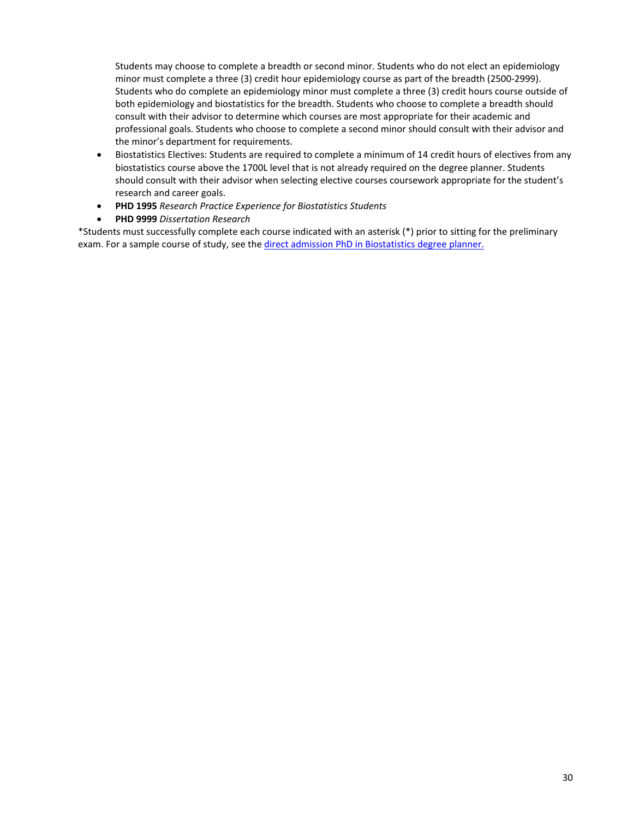Students may choose to complete a breadth or second minor. Students who do not elect an epidemiology minor must complete a three (3) credit hour epidemiology course as part of the breadth (2500-2999). Students who do complete an epidemiology minor must complete a three (3) credit hours course outside of both epidemiology and biostatistics for the breadth. Students who choose to complete a breadth should consult with their advisor to determine which courses are most appropriate for their academic and professional goals. Students who choose to complete a second minor should consult with their advisor and the minor's department for requirements.

- Biostatistics Electives: Students are required to complete a minimum of 14 credit hours of electives from any biostatistics course above the 1700L level that is not already required on the degree planner. Students should consult with their advisor when selecting elective courses coursework appropriate for the student's research and career goals.
- **PHD 1995** *Research Practice Experience for Biostatistics Students*
- **PHD 9999** *Dissertation Research*

\*Students must successfully complete each course indicated with an asterisk (\*) prior to sitting for the preliminary exam. For a sample course of study, see th[e direct admission PhD in Biostatistics degree planner.](https://web.sph.uth.edu/student-forms/Academic_Requirements/Degree%20Programs%20&%20Planners/Planner.PhD.BIOS.2020-2021(Direct%20Admit).docx)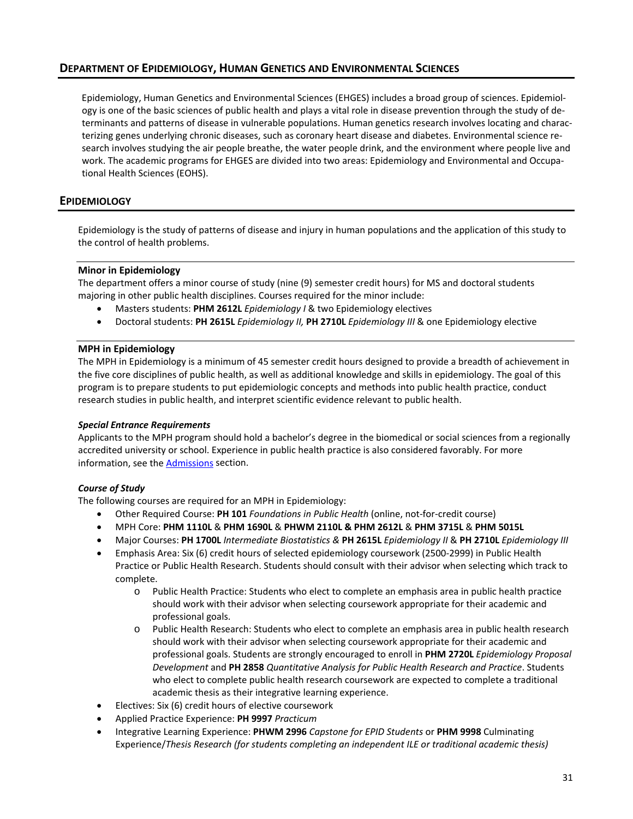# <span id="page-32-0"></span>**DEPARTMENT OF EPIDEMIOLOGY, HUMAN GENETICS AND ENVIRONMENTAL SCIENCES**

Epidemiology, Human Genetics and Environmental Sciences (EHGES) includes a broad group of sciences. Epidemiology is one of the basic sciences of public health and plays a vital role in disease prevention through the study of determinants and patterns of disease in vulnerable populations. Human genetics research involves locating and characterizing genes underlying chronic diseases, such as coronary heart disease and diabetes. Environmental science research involves studying the air people breathe, the water people drink, and the environment where people live and work. The academic programs for EHGES are divided into two areas: Epidemiology and Environmental and Occupational Health Sciences (EOHS).

# <span id="page-32-1"></span>**EPIDEMIOLOGY**

Epidemiology is the study of patterns of disease and injury in human populations and the application of this study to the control of health problems.

### <span id="page-32-2"></span>**Minor in Epidemiology**

The department offers a minor course of study (nine (9) semester credit hours) for MS and doctoral students majoring in other public health disciplines. Courses required for the minor include:

- Masters students: **PHM 2612L** *Epidemiology I* & two Epidemiology electives
- Doctoral students: **PH 2615L** *Epidemiology II,* **PH 2710L** *Epidemiology III* & one Epidemiology elective

### <span id="page-32-3"></span>**MPH in Epidemiology**

The MPH in Epidemiology is a minimum of 45 semester credit hours designed to provide a breadth of achievement in the five core disciplines of public health, as well as additional knowledge and skills in epidemiology. The goal of this program is to prepare students to put epidemiologic concepts and methods into public health practice, conduct research studies in public health, and interpret scientific evidence relevant to public health.

### *Special Entrance Requirements*

Applicants to the MPH program should hold a bachelor's degree in the biomedical or social sciences from a regionally accredited university or school. Experience in public health practice is also considered favorably. For more information, see the **Admissions** section.

# *Course of Study*

The following courses are required for an MPH in Epidemiology:

- Other Required Course: **PH 101** *Foundations in Public Health* (online, not-for-credit course)
- MPH Core: **PHM 1110L** & **PHM 1690L** & **PHWM 2110L & PHM 2612L** & **PHM 3715L** & **PHM 5015L**
- Major Courses: **PH 1700L** *Intermediate Biostatistics &* **PH 2615L** *Epidemiology II* & **PH 2710L** *Epidemiology III*
- Emphasis Area: Six (6) credit hours of selected epidemiology coursework (2500-2999) in Public Health Practice or Public Health Research. Students should consult with their advisor when selecting which track to complete.
	- o Public Health Practice: Students who elect to complete an emphasis area in public health practice should work with their advisor when selecting coursework appropriate for their academic and professional goals.
	- o Public Health Research: Students who elect to complete an emphasis area in public health research should work with their advisor when selecting coursework appropriate for their academic and professional goals. Students are strongly encouraged to enroll in **PHM 2720L** *Epidemiology Proposal Development* and **PH 2858** *Quantitative Analysis for Public Health Research and Practice*. Students who elect to complete public health research coursework are expected to complete a traditional academic thesis as their integrative learning experience.
- Electives: Six (6) credit hours of elective coursework
- Applied Practice Experience: **PH 9997** *Practicum*
- Integrative Learning Experience: **PHWM 2996** *Capstone for EPID Students* or **PHM 9998** Culminating Experience/*Thesis Research (for students completing an independent ILE or traditional academic thesis)*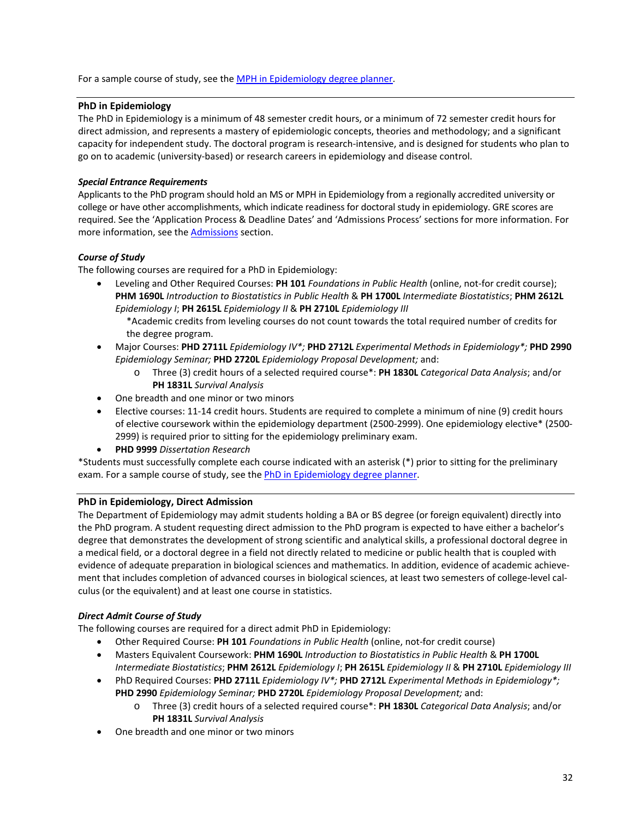For a sample course of study, see th[e MPH in Epidemiology degree planner.](https://web.sph.uth.edu/student-forms/Academic_Requirements/Degree%20Programs%20&%20Planners/Planner.MPH.EPID.2020-2021.docx)

### <span id="page-33-0"></span>**PhD in Epidemiology**

The PhD in Epidemiology is a minimum of 48 semester credit hours, or a minimum of 72 semester credit hours for direct admission, and represents a mastery of epidemiologic concepts, theories and methodology; and a significant capacity for independent study. The doctoral program is research-intensive, and is designed for students who plan to go on to academic (university-based) or research careers in epidemiology and disease control.

### *Special Entrance Requirements*

Applicants to the PhD program should hold an MS or MPH in Epidemiology from a regionally accredited university or college or have other accomplishments, which indicate readiness for doctoral study in epidemiology. GRE scores are required. See the 'Application Process & Deadline Dates' and 'Admissions Process' sections for more information. For more information, see th[e Admissions](#page-10-0) section.

### *Course of Study*

The following courses are required for a PhD in Epidemiology:

- Leveling and Other Required Courses: **PH 101** *Foundations in Public Health* (online, not-for credit course); **PHM 1690L** *Introduction to Biostatistics in Public Health* & **PH 1700L** *Intermediate Biostatistics*; **PHM 2612L** *Epidemiology I*; **PH 2615L** *Epidemiology II* & **PH 2710L** *Epidemiology III*
	- \*Academic credits from leveling courses do not count towards the total required number of credits for the degree program.
- Major Courses: **PHD 2711L** *Epidemiology IV\*;* **PHD 2712L** *Experimental Methods in Epidemiology\*;* **PHD 2990**  *Epidemiology Seminar;* **PHD 2720L** *Epidemiology Proposal Development;* and:
	- o Three (3) credit hours of a selected required course\*: **PH 1830L** *Categorical Data Analysis*; and/or **PH 1831L** *Survival Analysis*
- One breadth and one minor or two minors
- Elective courses: 11-14 credit hours. Students are required to complete a minimum of nine (9) credit hours of elective coursework within the epidemiology department (2500-2999). One epidemiology elective\* (2500- 2999) is required prior to sitting for the epidemiology preliminary exam.
- **PHD 9999** *Dissertation Research*

\*Students must successfully complete each course indicated with an asterisk (\*) prior to sitting for the preliminary exam. For a sample course of study, see th[e PhD in Epidemiology degree planner.](https://web.sph.uth.edu/student-forms/Academic_Requirements/Degree%20Programs%20&%20Planners/Planner.PhD.EPID.2020-2021.docx)

### <span id="page-33-1"></span>**PhD in Epidemiology, Direct Admission**

The Department of Epidemiology may admit students holding a BA or BS degree (or foreign equivalent) directly into the PhD program. A student requesting direct admission to the PhD program is expected to have either a bachelor's degree that demonstrates the development of strong scientific and analytical skills, a professional doctoral degree in a medical field, or a doctoral degree in a field not directly related to medicine or public health that is coupled with evidence of adequate preparation in biological sciences and mathematics. In addition, evidence of academic achievement that includes completion of advanced courses in biological sciences, at least two semesters of college-level calculus (or the equivalent) and at least one course in statistics.

### *Direct Admit Course of Study*

The following courses are required for a direct admit PhD in Epidemiology:

- Other Required Course: **PH 101** *Foundations in Public Health* (online, not-for credit course)
- Masters Equivalent Coursework: **PHM 1690L** *Introduction to Biostatistics in Public Health* & **PH 1700L** *Intermediate Biostatistics*; **PHM 2612L** *Epidemiology I*; **PH 2615L** *Epidemiology II* & **PH 2710L** *Epidemiology III*
- PhD Required Courses: **PHD 2711L** *Epidemiology IV\*;* **PHD 2712L** *Experimental Methods in Epidemiology\*;* **PHD 2990** *Epidemiology Seminar;* **PHD 2720L** *Epidemiology Proposal Development;* and:
	- o Three (3) credit hours of a selected required course\*: **PH 1830L** *Categorical Data Analysis*; and/or **PH 1831L** *Survival Analysis*
- One breadth and one minor or two minors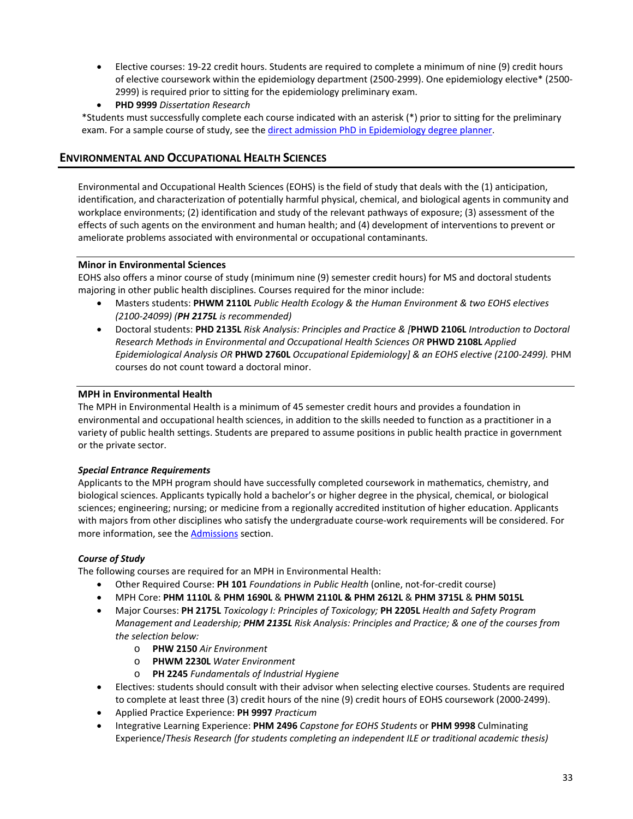- Elective courses: 19-22 credit hours. Students are required to complete a minimum of nine (9) credit hours of elective coursework within the epidemiology department (2500-2999). One epidemiology elective\* (2500- 2999) is required prior to sitting for the epidemiology preliminary exam.
- **PHD 9999** *Dissertation Research*

\*Students must successfully complete each course indicated with an asterisk (\*) prior to sitting for the preliminary exam. For a sample course of study, see the direct admission [PhD in Epidemiology degree planner.](https://web.sph.uth.edu/student-forms/Academic_Requirements/Degree%20Programs%20&%20Planners/Planner.PhD.EPID.2020-2021(Direct%20Admit).docx)

# <span id="page-34-0"></span>**ENVIRONMENTAL AND OCCUPATIONAL HEALTH SCIENCES**

Environmental and Occupational Health Sciences (EOHS) is the field of study that deals with the (1) anticipation, identification, and characterization of potentially harmful physical, chemical, and biological agents in community and workplace environments; (2) identification and study of the relevant pathways of exposure; (3) assessment of the effects of such agents on the environment and human health; and (4) development of interventions to prevent or ameliorate problems associated with environmental or occupational contaminants.

### <span id="page-34-1"></span>**Minor in Environmental Sciences**

EOHS also offers a minor course of study (minimum nine (9) semester credit hours) for MS and doctoral students majoring in other public health disciplines. Courses required for the minor include:

- Masters students: **PHWM 2110L** *Public Health Ecology & the Human Environment & two EOHS electives (2100-24099) (PH 2175L is recommended)*
- Doctoral students: **PHD 2135L** *Risk Analysis: Principles and Practice & [***PHWD 2106L** *Introduction to Doctoral Research Methods in Environmental and Occupational Health Sciences OR* **PHWD 2108L** *Applied Epidemiological Analysis OR* **PHWD 2760L** *Occupational Epidemiology] & an EOHS elective (2100-2499).* PHM courses do not count toward a doctoral minor.

### <span id="page-34-2"></span>**MPH in Environmental Health**

The MPH in Environmental Health is a minimum of 45 semester credit hours and provides a foundation in environmental and occupational health sciences, in addition to the skills needed to function as a practitioner in a variety of public health settings. Students are prepared to assume positions in public health practice in government or the private sector.

### *Special Entrance Requirements*

Applicants to the MPH program should have successfully completed coursework in mathematics, chemistry, and biological sciences. Applicants typically hold a bachelor's or higher degree in the physical, chemical, or biological sciences; engineering; nursing; or medicine from a regionally accredited institution of higher education. Applicants with majors from other disciplines who satisfy the undergraduate course-work requirements will be considered. For more information, see th[e Admissions](#page-10-0) section.

### *Course of Study*

The following courses are required for an MPH in Environmental Health:

- Other Required Course: **PH 101** *Foundations in Public Health* (online, not-for-credit course)
- MPH Core: **PHM 1110L** & **PHM 1690L** & **PHWM 2110L & PHM 2612L** & **PHM 3715L** & **PHM 5015L**
- Major Courses: **PH 2175L** *Toxicology I: Principles of Toxicology;* **PH 2205L** *Health and Safety Program Management and Leadership; PHM 2135L Risk Analysis: Principles and Practice; & one of the courses from the selection below:*
	- o **PHW 2150** *Air Environment*
	- o **PHWM 2230L** *Water Environment*
	- o **PH 2245** *Fundamentals of Industrial Hygiene*
- Electives: students should consult with their advisor when selecting elective courses. Students are required to complete at least three (3) credit hours of the nine (9) credit hours of EOHS coursework (2000-2499).
- Applied Practice Experience: **PH 9997** *Practicum*
- Integrative Learning Experience: **PHM 2496** *Capstone for EOHS Students* or **PHM 9998** Culminating Experience/*Thesis Research (for students completing an independent ILE or traditional academic thesis)*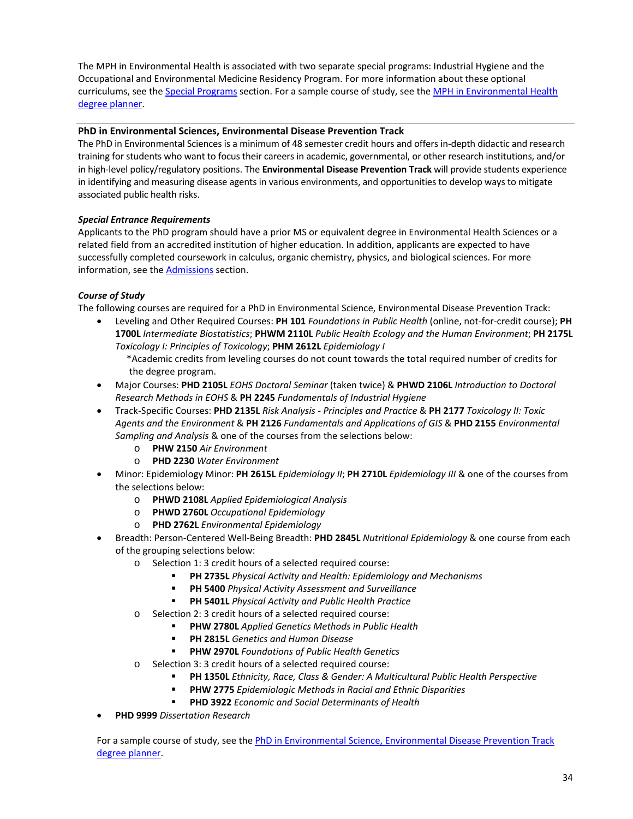The MPH in Environmental Health is associated with two separate special programs: Industrial Hygiene and the Occupational and Environmental Medicine Residency Program. For more information about these optional curriculums, see the [Special Programs](#page-27-0) section. For a sample course of study, see the [MPH in Environmental Health](https://web.sph.uth.edu/student-forms/Academic_Requirements/Degree%20Programs%20&%20Planners/Planner.MPH.EOHS_IH_OCM.2020-2021.docx) [degree planner.](https://web.sph.uth.edu/student-forms/Academic_Requirements/Degree%20Programs%20&%20Planners/Planner.MPH.EOHS_IH_OCM.2020-2021.docx)

### <span id="page-35-0"></span>**PhD in Environmental Sciences, Environmental Disease Prevention Track**

The PhD in Environmental Sciences is a minimum of 48 semester credit hours and offers in-depth didactic and research training for students who want to focus their careers in academic, governmental, or other research institutions, and/or in high-level policy/regulatory positions. The **Environmental Disease Prevention Track** will provide students experience in identifying and measuring disease agents in various environments, and opportunities to develop ways to mitigate associated public health risks.

### *Special Entrance Requirements*

Applicants to the PhD program should have a prior MS or equivalent degree in Environmental Health Sciences or a related field from an accredited institution of higher education. In addition, applicants are expected to have successfully completed coursework in calculus, organic chemistry, physics, and biological sciences. For more information, see th[e Admissions](#page-10-0) section.

# *Course of Study*

The following courses are required for a PhD in Environmental Science, Environmental Disease Prevention Track:

- Leveling and Other Required Courses: **PH 101** *Foundations in Public Health* (online, not-for-credit course); **PH 1700L** *Intermediate Biostatistics*; **PHWM 2110L** *Public Health Ecology and the Human Environment*; **PH 2175L** *Toxicology I: Principles of Toxicology*; **PHM 2612L** *Epidemiology I*
	- \*Academic credits from leveling courses do not count towards the total required number of credits for the degree program.
- Major Courses: **PHD 2105L** *EOHS Doctoral Seminar* (taken twice) & **PHWD 2106L** *Introduction to Doctoral Research Methods in EOHS* & **PH 2245** *Fundamentals of Industrial Hygiene*
- Track-Specific Courses: **PHD 2135L** *Risk Analysis - Principles and Practice* & **PH 2177** *Toxicology II: Toxic Agents and the Environment* & **PH 2126** *Fundamentals and Applications of GIS* & **PHD 2155** *Environmental Sampling and Analysis* & one of the courses from the selections below:
	- o **PHW 2150** *Air Environment*
	- o **PHD 2230** *Water Environment*
- Minor: Epidemiology Minor: **PH 2615L** *Epidemiology II*; **PH 2710L** *Epidemiology III* & one of the courses from the selections below:
	- o **PHWD 2108L** *Applied Epidemiological Analysis*
	- o **PHWD 2760L** *Occupational Epidemiology*
	- o **PHD 2762L** *Environmental Epidemiology*
- Breadth: Person-Centered Well-Being Breadth: **PHD 2845L** *Nutritional Epidemiology* & one course from each of the grouping selections below:
	- o Selection 1: 3 credit hours of a selected required course:
		- **PH 2735L** *Physical Activity and Health: Epidemiology and Mechanisms*
		- **PH 5400** *Physical Activity Assessment and Surveillance*
		- **PH 5401L** *Physical Activity and Public Health Practice*
	- o Selection 2: 3 credit hours of a selected required course:
		- **PHW 2780L** *Applied Genetics Methods in Public Health*
		- **PH 2815L** *Genetics and Human Disease*
		- **PHW 2970L** *Foundations of Public Health Genetics*
	- o Selection 3: 3 credit hours of a selected required course:
		- **PH 1350L** *Ethnicity, Race, Class & Gender: A Multicultural Public Health Perspective*
		- **PHW 2775** *Epidemiologic Methods in Racial and Ethnic Disparities*
		- **PHD 3922** *Economic and Social Determinants of Health*
- **PHD 9999** *Dissertation Research*

For a sample course of study, see the PhD in Environmental Science, Environmental Disease Prevention Track [degree planner.](https://web.sph.uth.edu/student-forms/Academic_Requirements/Degree%20Programs%20&%20Planners/Planner.PhD.EOHS_EDP.2020-2021.docx)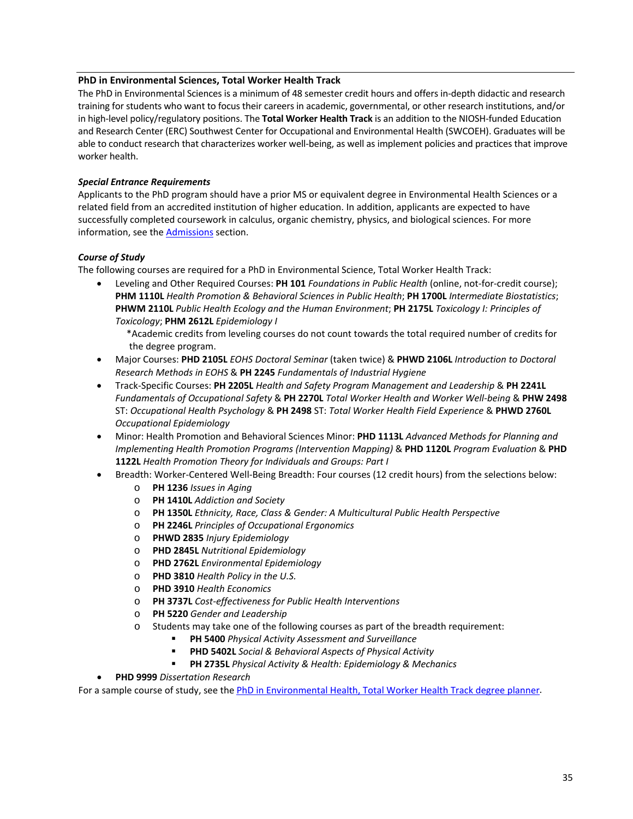### **PhD in Environmental Sciences, Total Worker Health Track**

The PhD in Environmental Sciences is a minimum of 48 semester credit hours and offers in-depth didactic and research training for students who want to focus their careers in academic, governmental, or other research institutions, and/or in high-level policy/regulatory positions. The **Total Worker Health Track** is an addition to the NIOSH-funded Education and Research Center (ERC) Southwest Center for Occupational and Environmental Health (SWCOEH). Graduates will be able to conduct research that characterizes worker well-being, as well as implement policies and practices that improve worker health.

## *Special Entrance Requirements*

Applicants to the PhD program should have a prior MS or equivalent degree in Environmental Health Sciences or a related field from an accredited institution of higher education. In addition, applicants are expected to have successfully completed coursework in calculus, organic chemistry, physics, and biological sciences. For more information, see the **Admissions** section.

## *Course of Study*

The following courses are required for a PhD in Environmental Science, Total Worker Health Track:

- Leveling and Other Required Courses: **PH 101** *Foundations in Public Health* (online, not-for-credit course); **PHM 1110L** *Health Promotion & Behavioral Sciences in Public Health*; **PH 1700L** *Intermediate Biostatistics*; **PHWM 2110L** *Public Health Ecology and the Human Environment*; **PH 2175L** *Toxicology I: Principles of Toxicology*; **PHM 2612L** *Epidemiology I*
	- \*Academic credits from leveling courses do not count towards the total required number of credits for the degree program.
- Major Courses: **PHD 2105L** *EOHS Doctoral Seminar* (taken twice) & **PHWD 2106L** *Introduction to Doctoral Research Methods in EOHS* & **PH 2245** *Fundamentals of Industrial Hygiene*
- Track-Specific Courses: **PH 2205L** *Health and Safety Program Management and Leadership* & **PH 2241L** *Fundamentals of Occupational Safety* & **PH 2270L** *Total Worker Health and Worker Well-being* & **PHW 2498** ST: *Occupational Health Psychology* & **PH 2498** ST: *Total Worker Health Field Experience* & **PHWD 2760L** *Occupational Epidemiology*
- Minor: Health Promotion and Behavioral Sciences Minor: **PHD 1113L** *Advanced Methods for Planning and Implementing Health Promotion Programs (Intervention Mapping)* & **PHD 1120L** *Program Evaluation* & **PHD 1122L** *Health Promotion Theory for Individuals and Groups: Part I*
- Breadth: Worker-Centered Well-Being Breadth: Four courses (12 credit hours) from the selections below:
	- o **PH 1236** *Issues in Aging*
	- o **PH 1410L** *Addiction and Society*
	- o **PH 1350L** *Ethnicity, Race, Class & Gender: A Multicultural Public Health Perspective*
	- o **PH 2246L** *Principles of Occupational Ergonomics*
	- o **PHWD 2835** *Injury Epidemiology*
	- o **PHD 2845L** *Nutritional Epidemiology*
	- o **PHD 2762L** *Environmental Epidemiology*
	- o **PHD 3810** *Health Policy in the U.S.*
	- o **PHD 3910** *Health Economics*
	- o **PH 3737L** *Cost-effectiveness for Public Health Interventions*
	- o **PH 5220** *Gender and Leadership*
	- o Students may take one of the following courses as part of the breadth requirement:
		- **PH 5400** *Physical Activity Assessment and Surveillance*
		- **PHD 5402L** *Social & Behavioral Aspects of Physical Activity*
		- **PH 2735L** *Physical Activity & Health: Epidemiology & Mechanics*
- **PHD 9999** *Dissertation Research*

For a sample course of study, see th[e PhD in Environmental Health, Total Worker Health Track degree planner.](https://web.sph.uth.edu/student-forms/Academic_Requirements/Degree%20Programs%20&%20Planners/Planner.PhD.EOHS_TWH.2020-2021.docx)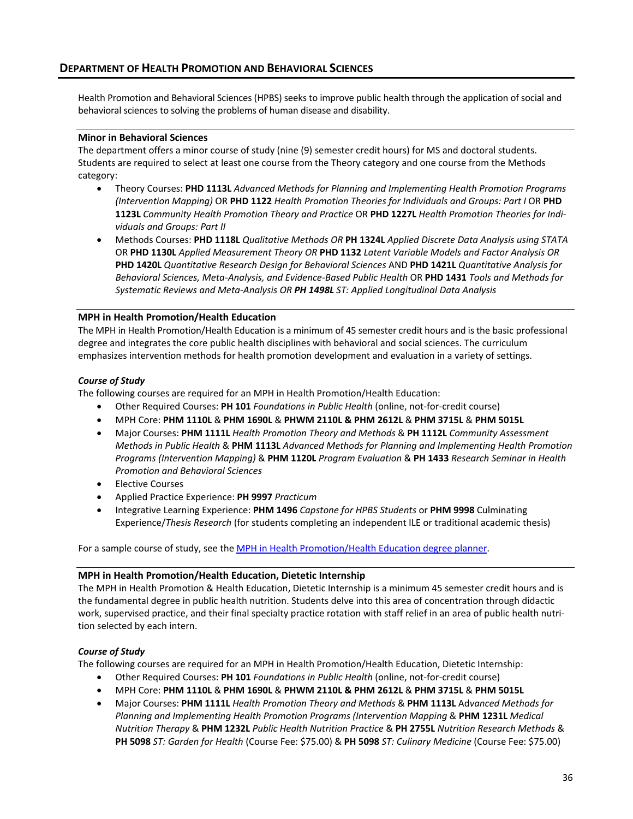Health Promotion and Behavioral Sciences (HPBS) seeks to improve public health through the application of social and behavioral sciences to solving the problems of human disease and disability.

#### **Minor in Behavioral Sciences**

The department offers a minor course of study (nine (9) semester credit hours) for MS and doctoral students. Students are required to select at least one course from the Theory category and one course from the Methods category:

- Theory Courses: **PHD 1113L** *Advanced Methods for Planning and Implementing Health Promotion Programs (Intervention Mapping)* OR **PHD 1122** *Health Promotion Theories for Individuals and Groups: Part I* OR **PHD 1123L** *Community Health Promotion Theory and Practice* OR **PHD 1227L** *Health Promotion Theories for Individuals and Groups: Part II*
- Methods Courses: **PHD 1118L** *Qualitative Methods OR* **PH 1324L** *Applied Discrete Data Analysis using STATA* OR **PHD 1130L** *Applied Measurement Theory OR* **PHD 1132** *Latent Variable Models and Factor Analysis OR*  **PHD 1420L** *Quantitative Research Design for Behavioral Sciences* AND **PHD 1421L** *Quantitative Analysis for Behavioral Sciences, Meta-Analysis, and Evidence-Based Public Health* OR **PHD 1431** *Tools and Methods for Systematic Reviews and Meta-Analysis OR PH 1498L ST: Applied Longitudinal Data Analysis*

### **MPH in Health Promotion/Health Education**

The MPH in Health Promotion/Health Education is a minimum of 45 semester credit hours and is the basic professional degree and integrates the core public health disciplines with behavioral and social sciences. The curriculum emphasizes intervention methods for health promotion development and evaluation in a variety of settings.

#### *Course of Study*

The following courses are required for an MPH in Health Promotion/Health Education:

- Other Required Courses: **PH 101** *Foundations in Public Health* (online, not-for-credit course)
- MPH Core: **PHM 1110L** & **PHM 1690L** & **PHWM 2110L & PHM 2612L** & **PHM 3715L** & **PHM 5015L**
- Major Courses: **PHM 1111L** *Health Promotion Theory and Methods* & **PH 1112L** *Community Assessment Methods in Public Health* & **PHM 1113L** *Advanced Methods for Planning and Implementing Health Promotion Programs (Intervention Mapping)* & **PHM 1120L** *Program Evaluation* & **PH 1433** *Research Seminar in Health Promotion and Behavioral Sciences*
- Elective Courses
- Applied Practice Experience: **PH 9997** *Practicum*
- Integrative Learning Experience: **PHM 1496** *Capstone for HPBS Students* or **PHM 9998** Culminating Experience/*Thesis Research* (for students completing an independent ILE or traditional academic thesis)

For a sample course of study, see th[e MPH in Health Promotion/Health Education degree planner.](https://web.sph.uth.edu/student-forms/Academic_Requirements/Degree%20Programs%20&%20Planners/Planner.MPH.HPHE.2020-2021.docx)

#### **MPH in Health Promotion/Health Education, Dietetic Internship**

The MPH in Health Promotion & Health Education, Dietetic Internship is a minimum 45 semester credit hours and is the fundamental degree in public health nutrition. Students delve into this area of concentration through didactic work, supervised practice, and their final specialty practice rotation with staff relief in an area of public health nutrition selected by each intern.

### *Course of Study*

The following courses are required for an MPH in Health Promotion/Health Education, Dietetic Internship:

- Other Required Courses: **PH 101** *Foundations in Public Health* (online, not-for-credit course)
- MPH Core: **PHM 1110L** & **PHM 1690L** & **PHWM 2110L & PHM 2612L** & **PHM 3715L** & **PHM 5015L**
- Major Courses: **PHM 1111L** *Health Promotion Theory and Methods* & **PHM 1113L** Ad*vanced Methods for Planning and Implementing Health Promotion Programs (Intervention Mapping* & **PHM 1231L** *Medical Nutrition Therapy* & **PHM 1232L** *Public Health Nutrition Practice* & **PH 2755L** *Nutrition Research Methods* & **PH 5098** *ST: Garden for Health* (Course Fee: \$75.00) & **PH 5098** *ST: Culinary Medicine* (Course Fee: \$75.00)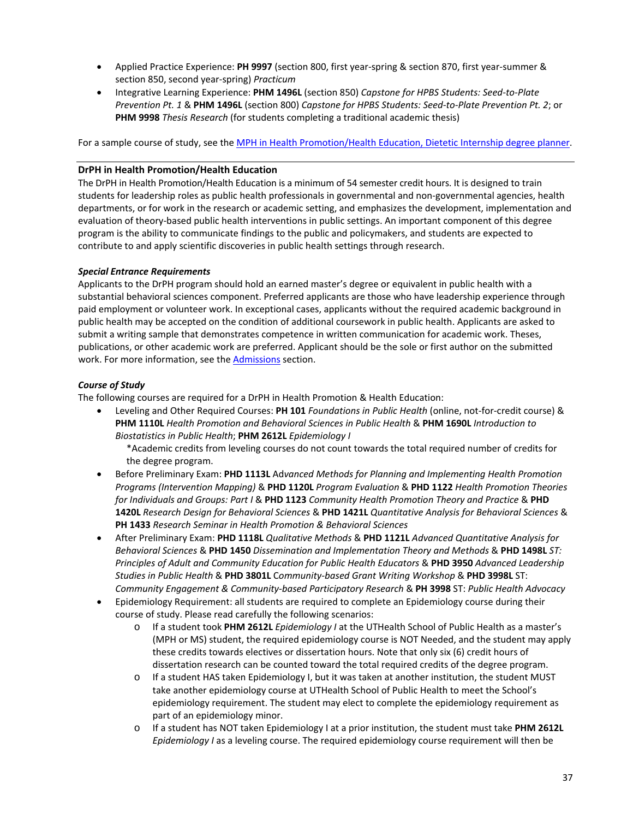- Applied Practice Experience: **PH 9997** (section 800, first year-spring & section 870, first year-summer & section 850, second year-spring) *Practicum*
- Integrative Learning Experience: **PHM 1496L** (section 850) *Capstone for HPBS Students: Seed-to-Plate Prevention Pt. 1* & **PHM 1496L** (section 800) *Capstone for HPBS Students: Seed-to-Plate Prevention Pt. 2*; or **PHM 9998** *Thesis Research* (for students completing a traditional academic thesis)

For a sample course of study, see th[e MPH in Health Promotion/Health Education, Dietetic Internship degree planner.](https://web.sph.uth.edu/student-forms/Academic_Requirements/Degree%20Programs%20&%20Planners/Planner.MPH.HPHE_DI.2020-2021.docx)

### **DrPH in Health Promotion/Health Education**

The DrPH in Health Promotion/Health Education is a minimum of 54 semester credit hours. It is designed to train students for leadership roles as public health professionals in governmental and non-governmental agencies, health departments, or for work in the research or academic setting, and emphasizes the development, implementation and evaluation of theory-based public health interventions in public settings. An important component of this degree program is the ability to communicate findings to the public and policymakers, and students are expected to contribute to and apply scientific discoveries in public health settings through research.

#### *Special Entrance Requirements*

Applicants to the DrPH program should hold an earned master's degree or equivalent in public health with a substantial behavioral sciences component. Preferred applicants are those who have leadership experience through paid employment or volunteer work. In exceptional cases, applicants without the required academic background in public health may be accepted on the condition of additional coursework in public health. Applicants are asked to submit a writing sample that demonstrates competence in written communication for academic work. Theses, publications, or other academic work are preferred. Applicant should be the sole or first author on the submitted work. For more information, see th[e Admissions](#page-10-0) section.

### *Course of Study*

The following courses are required for a DrPH in Health Promotion & Health Education:

• Leveling and Other Required Courses: **PH 101** *Foundations in Public Health* (online, not-for-credit course) & **PHM 1110L** *Health Promotion and Behavioral Sciences in Public Health* & **PHM 1690L** *Introduction to Biostatistics in Public Health*; **PHM 2612L** *Epidemiology I*

\*Academic credits from leveling courses do not count towards the total required number of credits for the degree program.

- Before Preliminary Exam: **PHD 1113L** Ad*vanced Methods for Planning and Implementing Health Promotion Programs (Intervention Mapping)* & **PHD 1120L** *Program Evaluation* & **PHD 1122** *Health Promotion Theories for Individuals and Groups: Part I* & **PHD 1123** *Community Health Promotion Theory and Practice* & **PHD 1420L** *Research Design for Behavioral Sciences* & **PHD 1421L** *Quantitative Analysis for Behavioral Sciences* & **PH 1433** *Research Seminar in Health Promotion & Behavioral Sciences*
- After Preliminary Exam: **PHD 1118L** *Qualitative Methods* & **PHD 1121L** *Advanced Quantitative Analysis for Behavioral Sciences* & **PHD 1450** *Dissemination and Implementation Theory and Methods* & **PHD 1498L** *ST: Principles of Adult and Community Education for Public Health Educators* & **PHD 3950** *Advanced Leadership Studies in Public Health* & **PHD 3801L** C*ommunity-based Grant Writing Workshop* & **PHD 3998L** ST: *Community Engagement & Community-based Participatory Research* & **PH 3998** ST: *Public Health Advocacy*
- Epidemiology Requirement: all students are required to complete an Epidemiology course during their course of study. Please read carefully the following scenarios:
	- o If a student took **PHM 2612L** *Epidemiology I* at the UTHealth School of Public Health as a master's (MPH or MS) student, the required epidemiology course is NOT Needed, and the student may apply these credits towards electives or dissertation hours. Note that only six (6) credit hours of dissertation research can be counted toward the total required credits of the degree program.
	- o If a student HAS taken Epidemiology I, but it was taken at another institution, the student MUST take another epidemiology course at UTHealth School of Public Health to meet the School's epidemiology requirement. The student may elect to complete the epidemiology requirement as part of an epidemiology minor.
	- o If a student has NOT taken Epidemiology I at a prior institution, the student must take **PHM 2612L** *Epidemiology I* as a leveling course. The required epidemiology course requirement will then be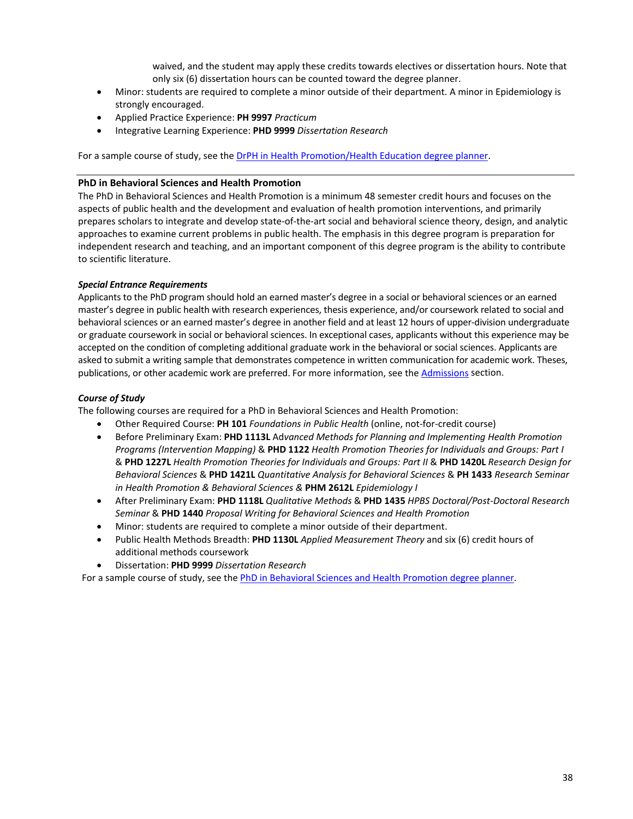waived, and the student may apply these credits towards electives or dissertation hours. Note that only six (6) dissertation hours can be counted toward the degree planner.

- Minor: students are required to complete a minor outside of their department. A minor in Epidemiology is strongly encouraged.
- Applied Practice Experience: **PH 9997** *Practicum*
- Integrative Learning Experience: **PHD 9999** *Dissertation Research*

For a sample course of study, see th[e DrPH in Health Promotion/Health Education degree planner.](https://web.sph.uth.edu/student-forms/Academic_Requirements/Degree%20Programs%20&%20Planners/Planner.DrPH.HPHE.2020-2021.docx)

#### **PhD in Behavioral Sciences and Health Promotion**

The PhD in Behavioral Sciences and Health Promotion is a minimum 48 semester credit hours and focuses on the aspects of public health and the development and evaluation of health promotion interventions, and primarily prepares scholars to integrate and develop state-of-the-art social and behavioral science theory, design, and analytic approaches to examine current problems in public health. The emphasis in this degree program is preparation for independent research and teaching, and an important component of this degree program is the ability to contribute to scientific literature.

### *Special Entrance Requirements*

Applicants to the PhD program should hold an earned master's degree in a social or behavioral sciences or an earned master's degree in public health with research experiences, thesis experience, and/or coursework related to social and behavioral sciences or an earned master's degree in another field and at least 12 hours of upper-division undergraduate or graduate coursework in social or behavioral sciences. In exceptional cases, applicants without this experience may be accepted on the condition of completing additional graduate work in the behavioral or social sciences. Applicants are asked to submit a writing sample that demonstrates competence in written communication for academic work. Theses, publications, or other academic work are preferred. For more information, see th[e Admissions](#page-10-0) section.

### *Course of Study*

The following courses are required for a PhD in Behavioral Sciences and Health Promotion:

- Other Required Course: **PH 101** *Foundations in Public Health* (online, not-for-credit course)
- Before Preliminary Exam: **PHD 1113L** Ad*vanced Methods for Planning and Implementing Health Promotion Programs (Intervention Mapping)* & **PHD 1122** *Health Promotion Theories for Individuals and Groups: Part I*  & **PHD 1227L** *Health Promotion Theories for Individuals and Groups: Part II* & **PHD 1420L** *Research Design for Behavioral Sciences* & **PHD 1421L** *Quantitative Analysis for Behavioral Sciences* & **PH 1433** *Research Seminar in Health Promotion & Behavioral Sciences &* **PHM 2612L** *Epidemiology I*
- After Preliminary Exam: **PHD 1118L** *Qualitative Methods* & **PHD 1435** *HPBS Doctoral/Post-Doctoral Research Seminar* & **PHD 1440** *Proposal Writing for Behavioral Sciences and Health Promotion*
- Minor: students are required to complete a minor outside of their department.
- Public Health Methods Breadth: **PHD 1130L** *Applied Measurement Theory* and six (6) credit hours of additional methods coursework
- Dissertation: **PHD 9999** *Dissertation Research*

For a sample course of study, see th[e PhD in Behavioral Sciences and Health Promotion degree planner.](https://web.sph.uth.edu/student-forms/Academic_Requirements/Degree%20Programs%20&%20Planners/Planner.PhD.BSHP.2020-2021.docx)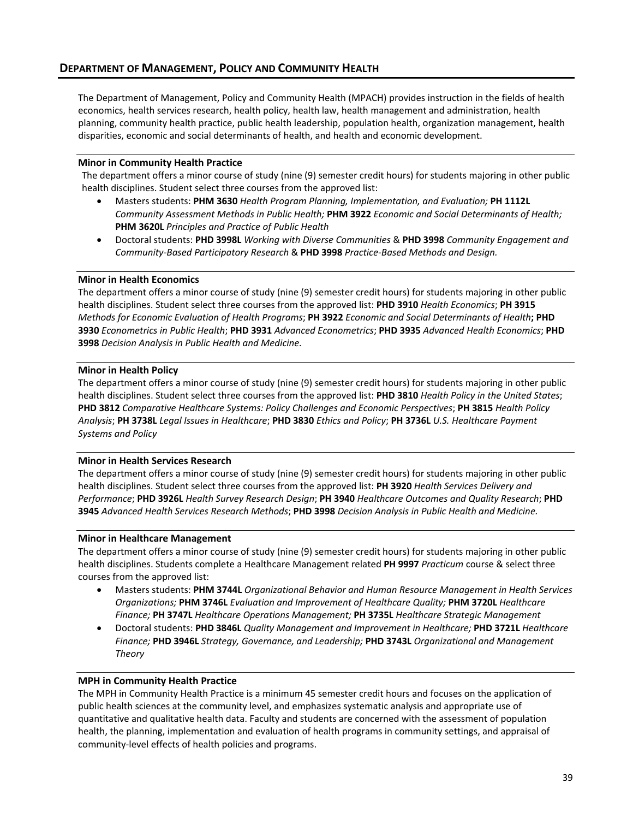The Department of Management, Policy and Community Health (MPACH) provides instruction in the fields of health economics, health services research, health policy, health law, health management and administration, health planning, community health practice, public health leadership, population health, organization management, health disparities, economic and social determinants of health, and health and economic development.

### **Minor in Community Health Practice**

The department offers a minor course of study (nine (9) semester credit hours) for students majoring in other public health disciplines. Student select three courses from the approved list:

- Masters students: **PHM 3630** *Health Program Planning, Implementation, and Evaluation;* **PH 1112L**  *Community Assessment Methods in Public Health;* **PHM 3922** *Economic and Social Determinants of Health;*  **PHM 3620L** *Principles and Practice of Public Health*
- Doctoral students: **PHD 3998L** *Working with Diverse Communities* & **PHD 3998** *Community Engagement and Community-Based Participatory Research* & **PHD 3998** *Practice-Based Methods and Design.*

#### **Minor in Health Economics**

The department offers a minor course of study (nine (9) semester credit hours) for students majoring in other public health disciplines. Student select three courses from the approved list: **PHD 3910** *Health Economics*; **PH 3915** *Methods for Economic Evaluation of Health Programs*; **PH 3922** *Economic and Social Determinants of Health***; PHD 3930** *Econometrics in Public Health*; **PHD 3931** *Advanced Econometrics*; **PHD 3935** *Advanced Health Economics*; **PHD 3998** *Decision Analysis in Public Health and Medicine.*

#### **Minor in Health Policy**

The department offers a minor course of study (nine (9) semester credit hours) for students majoring in other public health disciplines. Student select three courses from the approved list: **PHD 3810** *Health Policy in the United States*; **PHD 3812** *Comparative Healthcare Systems: Policy Challenges and Economic Perspectives*; **PH 3815** *Health Policy Analysis*; **PH 3738L** *Legal Issues in Healthcare*; **PHD 3830** *Ethics and Policy*; **PH 3736L** *U.S. Healthcare Payment Systems and Policy*

#### **Minor in Health Services Research**

The department offers a minor course of study (nine (9) semester credit hours) for students majoring in other public health disciplines. Student select three courses from the approved list: **PH 3920** *Health Services Delivery and Performance*; **PHD 3926L** *Health Survey Research Design*; **PH 3940** *Healthcare Outcomes and Quality Research*; **PHD 3945** *Advanced Health Services Research Methods*; **PHD 3998** *Decision Analysis in Public Health and Medicine.*

#### **Minor in Healthcare Management**

The department offers a minor course of study (nine (9) semester credit hours) for students majoring in other public health disciplines. Students complete a Healthcare Management related **PH 9997** *Practicum* course & select three courses from the approved list:

- Masters students: **PHM 3744L** *Organizational Behavior and Human Resource Management in Health Services Organizations;* **PHM 3746L** *Evaluation and Improvement of Healthcare Quality;* **PHM 3720L** *Healthcare Finance;* **PH 3747L** *Healthcare Operations Management;* **PH 3735L** *Healthcare Strategic Management*
- Doctoral students: **PHD 3846L** *Quality Management and Improvement in Healthcare;* **PHD 3721L** *Healthcare Finance;* **PHD 3946L** *Strategy, Governance, and Leadership;* **PHD 3743L** *Organizational and Management Theory*

#### **MPH in Community Health Practice**

The MPH in Community Health Practice is a minimum 45 semester credit hours and focuses on the application of public health sciences at the community level, and emphasizes systematic analysis and appropriate use of quantitative and qualitative health data. Faculty and students are concerned with the assessment of population health, the planning, implementation and evaluation of health programs in community settings, and appraisal of community-level effects of health policies and programs.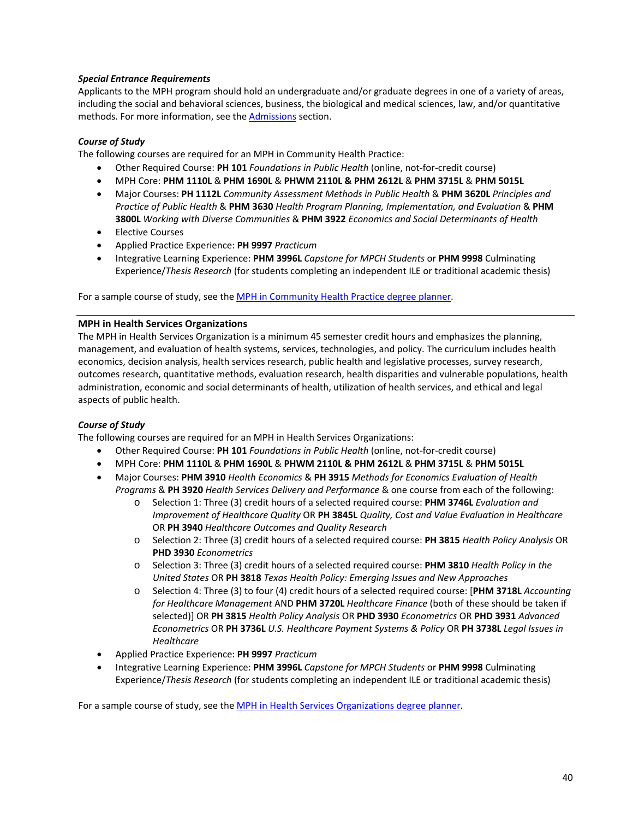## *Special Entrance Requirements*

Applicants to the MPH program should hold an undergraduate and/or graduate degrees in one of a variety of areas, including the social and behavioral sciences, business, the biological and medical sciences, law, and/or quantitative methods. For more information, see the [Admissions](#page-10-0) section.

# *Course of Study*

The following courses are required for an MPH in Community Health Practice:

- Other Required Course: **PH 101** *Foundations in Public Health* (online, not-for-credit course)
- MPH Core: **PHM 1110L** & **PHM 1690L** & **PHWM 2110L & PHM 2612L** & **PHM 3715L** & **PHM 5015L**
- Major Courses: **PH 1112L** *Community Assessment Methods in Public Health* & **PHM 3620L** *Principles and Practice of Public Health* & **PHM 3630** *Health Program Planning, Implementation, and Evaluation* & **PHM 3800L** *Working with Diverse Communities* & **PHM 3922** *Economics and Social Determinants of Health*
- Elective Courses
- Applied Practice Experience: **PH 9997** *Practicum*
- Integrative Learning Experience: **PHM 3996L** *Capstone for MPCH Students* or **PHM 9998** Culminating Experience/*Thesis Research* (for students completing an independent ILE or traditional academic thesis)

For a sample course of study, see th[e MPH in Community Health Practice degree planner.](https://web.sph.uth.edu/student-forms/Academic_Requirements/Degree%20Programs%20&%20Planners/Planner.MPH.CHP.2020-2021.docx)

### **MPH in Health Services Organizations**

The MPH in Health Services Organization is a minimum 45 semester credit hours and emphasizes the planning, management, and evaluation of health systems, services, technologies, and policy. The curriculum includes health economics, decision analysis, health services research, public health and legislative processes, survey research, outcomes research, quantitative methods, evaluation research, health disparities and vulnerable populations, health administration, economic and social determinants of health, utilization of health services, and ethical and legal aspects of public health.

### *Course of Study*

The following courses are required for an MPH in Health Services Organizations:

- Other Required Course: **PH 101** *Foundations in Public Health* (online, not-for-credit course)
- MPH Core: **PHM 1110L** & **PHM 1690L** & **PHWM 2110L & PHM 2612L** & **PHM 3715L** & **PHM 5015L**
- Major Courses: **PHM 3910** *Health Economics* & **PH 3915** *Methods for Economics Evaluation of Health Programs* & **PH 3920** *Health Services Delivery and Performance* & one course from each of the following:
	- o Selection 1: Three (3) credit hours of a selected required course: **PHM 3746L** *Evaluation and Improvement of Healthcare Quality* OR **PH 3845L** *Quality, Cost and Value Evaluation in Healthcare* OR **PH 3940** *Healthcare Outcomes and Quality Research*
	- o Selection 2: Three (3) credit hours of a selected required course: **PH 3815** *Health Policy Analysis* OR **PHD 3930** *Econometrics*
	- o Selection 3: Three (3) credit hours of a selected required course: **PHM 3810** *Health Policy in the United States* OR **PH 3818** *Texas Health Policy: Emerging Issues and New Approaches*
	- o Selection 4: Three (3) to four (4) credit hours of a selected required course: [**PHM 3718L** *Accounting for Healthcare Management* AND **PHM 3720L** *Healthcare Finance* (both of these should be taken if selected)] OR **PH 3815** *Health Policy Analysis* OR **PHD 3930** *Econometrics* OR **PHD 3931** *Advanced Econometrics* OR **PH 3736L** *U.S. Healthcare Payment Systems & Policy* OR **PH 3738L** *Legal Issues in Healthcare*
- Applied Practice Experience: **PH 9997** *Practicum*
- Integrative Learning Experience: **PHM 3996L** *Capstone for MPCH Students* or **PHM 9998** Culminating Experience/*Thesis Research* (for students completing an independent ILE or traditional academic thesis)

For a sample course of study, see th[e MPH in Health Services Organizations degree planner.](https://web.sph.uth.edu/student-forms/Academic_Requirements/Degree%20Programs%20&%20Planners/Planner.MPH.HSO.2020-2021.docx)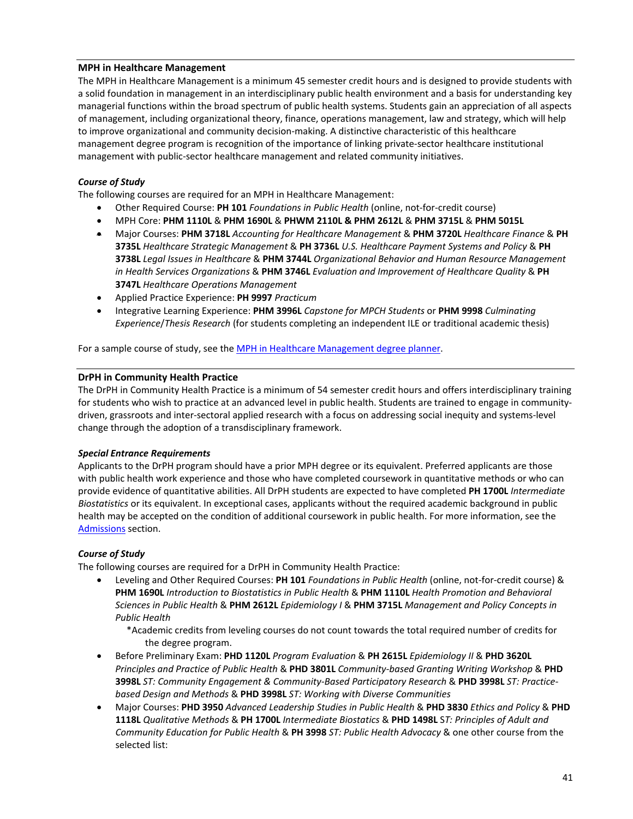## **MPH in Healthcare Management**

The MPH in Healthcare Management is a minimum 45 semester credit hours and is designed to provide students with a solid foundation in management in an interdisciplinary public health environment and a basis for understanding key managerial functions within the broad spectrum of public health systems. Students gain an appreciation of all aspects of management, including organizational theory, finance, operations management, law and strategy, which will help to improve organizational and community decision-making. A distinctive characteristic of this healthcare management degree program is recognition of the importance of linking private-sector healthcare institutional management with public-sector healthcare management and related community initiatives.

# *Course of Study*

The following courses are required for an MPH in Healthcare Management:

- Other Required Course: **PH 101** *Foundations in Public Health* (online, not-for-credit course)
- MPH Core: **PHM 1110L** & **PHM 1690L** & **PHWM 2110L & PHM 2612L** & **PHM 3715L** & **PHM 5015L**
- Major Courses: **PHM 3718L** *Accounting for Healthcare Management* & **PHM 3720L** *Healthcare Finance* & **PH 3735L** *Healthcare Strategic Management* & **PH 3736L** *U.S. Healthcare Payment Systems and Policy* & **PH 3738L** *Legal Issues in Healthcare* & **PHM 3744L** *Organizational Behavior and Human Resource Management in Health Services Organizations* & **PHM 3746L** *Evaluation and Improvement of Healthcare Quality* & **PH 3747L** *Healthcare Operations Management*
- Applied Practice Experience: **PH 9997** *Practicum*
- Integrative Learning Experience: **PHM 3996L** *Capstone for MPCH Students* or **PHM 9998** *Culminating Experience*/*Thesis Research* (for students completing an independent ILE or traditional academic thesis)

For a sample course of study, see th[e MPH in Healthcare Management degree planner.](https://web.sph.uth.edu/student-forms/Academic_Requirements/Degree%20Programs%20&%20Planners/Planner.MPH.HCM.2020-2021.docx)

### **DrPH in Community Health Practice**

The DrPH in Community Health Practice is a minimum of 54 semester credit hours and offers interdisciplinary training for students who wish to practice at an advanced level in public health. Students are trained to engage in communitydriven, grassroots and inter-sectoral applied research with a focus on addressing social inequity and systems-level change through the adoption of a transdisciplinary framework.

### *Special Entrance Requirements*

Applicants to the DrPH program should have a prior MPH degree or its equivalent. Preferred applicants are those with public health work experience and those who have completed coursework in quantitative methods or who can provide evidence of quantitative abilities. All DrPH students are expected to have completed **PH 1700L** *Intermediate Biostatistics* or its equivalent. In exceptional cases, applicants without the required academic background in public health may be accepted on the condition of additional coursework in public health. For more information, see the [Admissions](#page-10-0) section.

### *Course of Study*

The following courses are required for a DrPH in Community Health Practice:

- Leveling and Other Required Courses: **PH 101** *Foundations in Public Health* (online, not-for-credit course) & **PHM 1690L** *Introduction to Biostatistics in Public Health* & **PHM 1110L** *Health Promotion and Behavioral Sciences in Public Health* & **PHM 2612L** *Epidemiology I* & **PHM 3715L** *Management and Policy Concepts in Public Health*
	- \*Academic credits from leveling courses do not count towards the total required number of credits for the degree program.
- Before Preliminary Exam: **PHD 1120L** *Program Evaluation* & **PH 2615L** *Epidemiology II* & **PHD 3620L** *Principles and Practice of Public Health* & **PHD 3801L** *Community-based Granting Writing Workshop* & **PHD 3998L** *ST: Community Engagement & Community-Based Participatory Research* & **PHD 3998L** *ST: Practicebased Design and Methods* & **PHD 3998L** *ST: Working with Diverse Communities*
- Major Courses: **PHD 3950** *Advanced Leadership Studies in Public Health* & **PHD 3830** *Ethics and Policy* & **PHD 1118L** *Qualitative Methods* & **PH 1700L** *Intermediate Biostatics* & **PHD 1498L** S*T: Principles of Adult and Community Education for Public Health* & **PH 3998** *ST: Public Health Advocacy* & one other course from the selected list: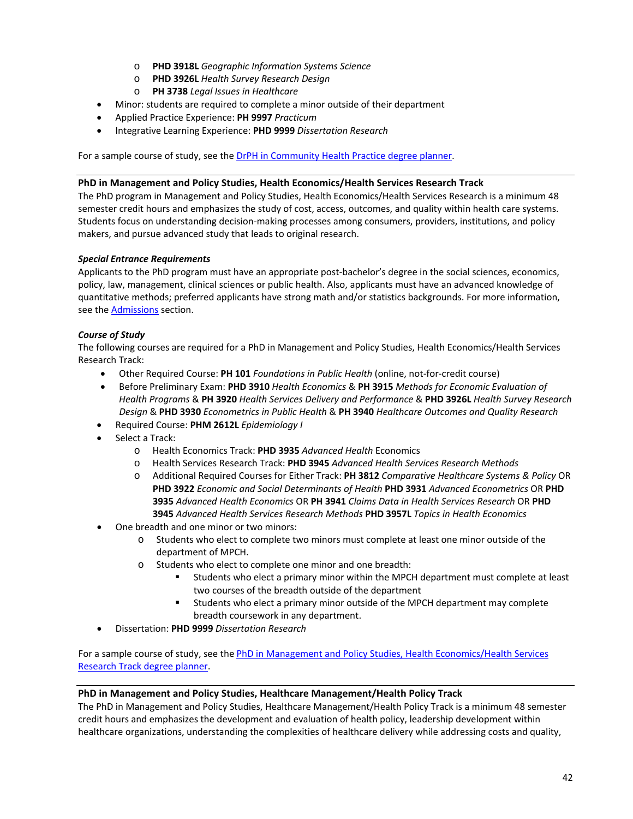- o **PHD 3918L** *Geographic Information Systems Science*
- o **PHD 3926L** *Health Survey Research Design*
- o **PH 3738** *Legal Issues in Healthcare*
- Minor: students are required to complete a minor outside of their department
- Applied Practice Experience: **PH 9997** *Practicum*
- Integrative Learning Experience: **PHD 9999** *Dissertation Research*

For a sample course of study, see the **DrPH in Community Health Practice degree planner**.

#### **PhD in Management and Policy Studies, Health Economics/Health Services Research Track**

The PhD program in Management and Policy Studies, Health Economics/Health Services Research is a minimum 48 semester credit hours and emphasizes the study of cost, access, outcomes, and quality within health care systems. Students focus on understanding decision-making processes among consumers, providers, institutions, and policy makers, and pursue advanced study that leads to original research.

### *Special Entrance Requirements*

Applicants to the PhD program must have an appropriate post-bachelor's degree in the social sciences, economics, policy, law, management, clinical sciences or public health. Also, applicants must have an advanced knowledge of quantitative methods; preferred applicants have strong math and/or statistics backgrounds. For more information, see th[e Admissions](#page-10-0) section.

### *Course of Study*

The following courses are required for a PhD in Management and Policy Studies, Health Economics/Health Services Research Track:

- Other Required Course: **PH 101** *Foundations in Public Health* (online, not-for-credit course)
- Before Preliminary Exam: **PHD 3910** *Health Economics* & **PH 3915** *Methods for Economic Evaluation of Health Programs* & **PH 3920** *Health Services Delivery and Performance* & **PHD 3926L** *Health Survey Research Design* & **PHD 3930** *Econometrics in Public Health* & **PH 3940** *Healthcare Outcomes and Quality Research*
- Required Course: **PHM 2612L** *Epidemiology I*
- Select a Track:
	- o Health Economics Track: **PHD 3935** *Advanced Health* Economics
	- o Health Services Research Track: **PHD 3945** *Advanced Health Services Research Methods*
	- o Additional Required Courses for Either Track: **PH 3812** *Comparative Healthcare Systems & Policy* OR **PHD 3922** *Economic and Social Determinants of Health* **PHD 3931** *Advanced Econometrics* OR **PHD 3935** *Advanced Health Economics* OR **PH 3941** *Claims Data in Health Services Research* OR **PHD 3945** *Advanced Health Services Research Methods* **PHD 3957L** *Topics in Health Economics*
- One breadth and one minor or two minors:
	- o Students who elect to complete two minors must complete at least one minor outside of the department of MPCH.
	- o Students who elect to complete one minor and one breadth:
		- Students who elect a primary minor within the MPCH department must complete at least two courses of the breadth outside of the department
		- Students who elect a primary minor outside of the MPCH department may complete breadth coursework in any department.
- Dissertation: **PHD 9999** *Dissertation Research*

For a sample course of study, see th[e PhD in Management and Policy Studies, Health Economics/Health Services](https://web.sph.uth.edu/student-forms/Academic_Requirements/Degree%20Programs%20&%20Planners/Planner.PhD.HEHSR.2020-2021.docx)  [Research Track degree planner.](https://web.sph.uth.edu/student-forms/Academic_Requirements/Degree%20Programs%20&%20Planners/Planner.PhD.HEHSR.2020-2021.docx)

#### **PhD in Management and Policy Studies, Healthcare Management/Health Policy Track**

The PhD in Management and Policy Studies, Healthcare Management/Health Policy Track is a minimum 48 semester credit hours and emphasizes the development and evaluation of health policy, leadership development within healthcare organizations, understanding the complexities of healthcare delivery while addressing costs and quality,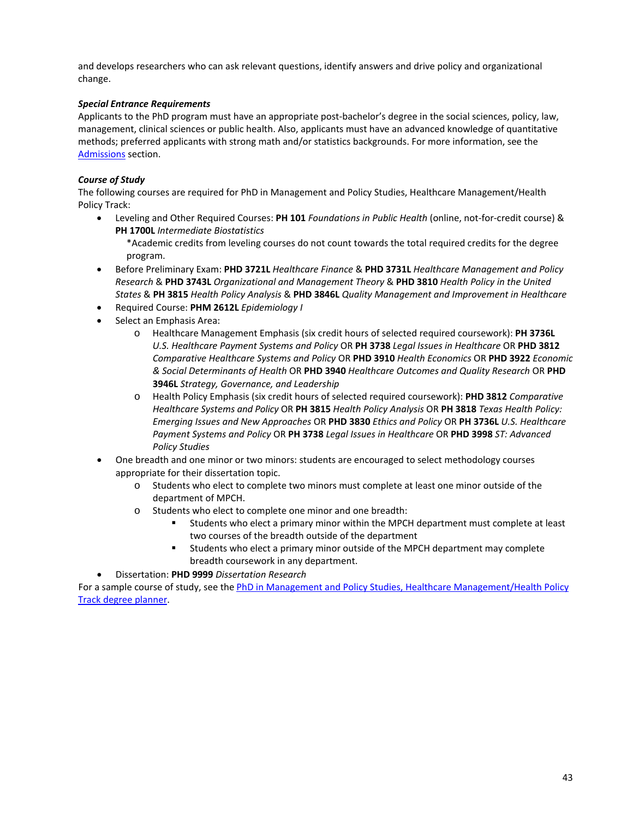and develops researchers who can ask relevant questions, identify answers and drive policy and organizational change.

## *Special Entrance Requirements*

Applicants to the PhD program must have an appropriate post-bachelor's degree in the social sciences, policy, law, management, clinical sciences or public health. Also, applicants must have an advanced knowledge of quantitative methods; preferred applicants with strong math and/or statistics backgrounds. For more information, see the [Admissions](#page-10-0) section.

# *Course of Study*

The following courses are required for PhD in Management and Policy Studies, Healthcare Management/Health Policy Track:

• Leveling and Other Required Courses: **PH 101** *Foundations in Public Health* (online, not-for-credit course) & **PH 1700L** *Intermediate Biostatistics*

\*Academic credits from leveling courses do not count towards the total required credits for the degree program.

- Before Preliminary Exam: **PHD 3721L** *Healthcare Finance* & **PHD 3731L** *Healthcare Management and Policy Research* & **PHD 3743L** *Organizational and Management Theory* & **PHD 3810** *Health Policy in the United States* & **PH 3815** *Health Policy Analysis* & **PHD 3846L** *Quality Management and Improvement in Healthcare*
- Required Course: **PHM 2612L** *Epidemiology I*
- Select an Emphasis Area:
	- o Healthcare Management Emphasis (six credit hours of selected required coursework): **PH 3736L** *U.S. Healthcare Payment Systems and Policy* OR **PH 3738** *Legal Issues in Healthcare* OR **PHD 3812**  *Comparative Healthcare Systems and Policy* OR **PHD 3910** *Health Economics* OR **PHD 3922** *Economic & Social Determinants of Health* OR **PHD 3940** *Healthcare Outcomes and Quality Research* OR **PHD 3946L** *Strategy, Governance, and Leadership*
	- o Health Policy Emphasis (six credit hours of selected required coursework): **PHD 3812** *Comparative Healthcare Systems and Policy* OR **PH 3815** *Health Policy Analysis* OR **PH 3818** *Texas Health Policy: Emerging Issues and New Approaches* OR **PHD 3830** *Ethics and Policy* OR **PH 3736L** *U.S. Healthcare Payment Systems and Policy* OR **PH 3738** *Legal Issues in Healthcare* OR **PHD 3998** *ST: Advanced Policy Studies*
- One breadth and one minor or two minors: students are encouraged to select methodology courses appropriate for their dissertation topic.
	- o Students who elect to complete two minors must complete at least one minor outside of the department of MPCH.
	- o Students who elect to complete one minor and one breadth:
		- Students who elect a primary minor within the MPCH department must complete at least two courses of the breadth outside of the department
		- Students who elect a primary minor outside of the MPCH department may complete breadth coursework in any department.
- Dissertation: **PHD 9999** *Dissertation Research*

For a sample course of study, see th[e PhD in Management and Policy Studies, Healthcare Management/Health Policy](https://web.sph.uth.edu/student-forms/Academic_Requirements/Degree%20Programs%20&%20Planners/Planner.PhD.HCMHP.2020-2021.docx)  [Track degree planner.](https://web.sph.uth.edu/student-forms/Academic_Requirements/Degree%20Programs%20&%20Planners/Planner.PhD.HCMHP.2020-2021.docx)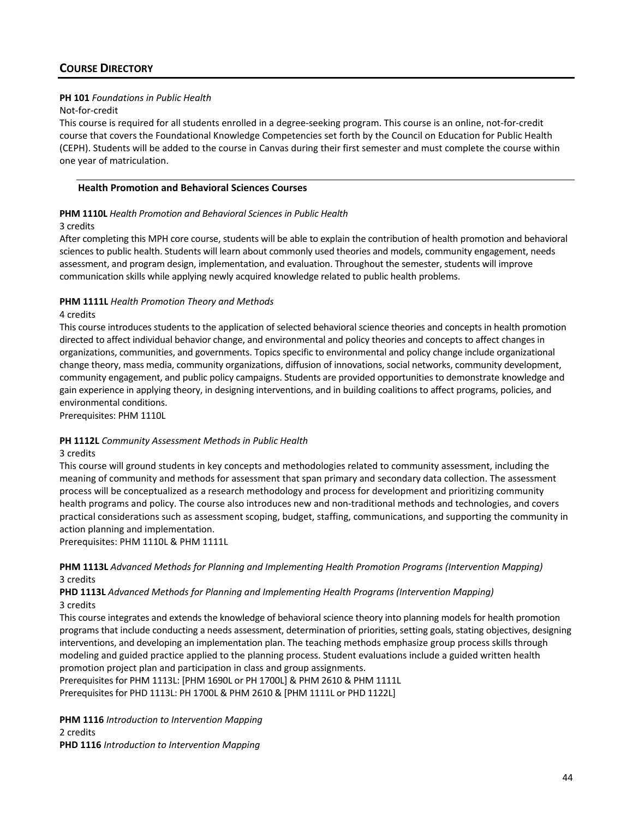# **PH 101** *Foundations in Public Health*

#### Not-for-credit

This course is required for all students enrolled in a degree-seeking program. This course is an online, not-for-credit course that covers the Foundational Knowledge Competencies set forth by the Council on Education for Public Health (CEPH). Students will be added to the course in Canvas during their first semester and must complete the course within one year of matriculation.

### **Health Promotion and Behavioral Sciences Courses**

### **PHM 1110L** *Health Promotion and Behavioral Sciences in Public Health*

### 3 credits

After completing this MPH core course, students will be able to explain the contribution of health promotion and behavioral sciences to public health. Students will learn about commonly used theories and models, community engagement, needs assessment, and program design, implementation, and evaluation. Throughout the semester, students will improve communication skills while applying newly acquired knowledge related to public health problems.

# **PHM 1111L** *Health Promotion Theory and Methods*

### 4 credits

This course introduces students to the application of selected behavioral science theories and concepts in health promotion directed to affect individual behavior change, and environmental and policy theories and concepts to affect changes in organizations, communities, and governments. Topics specific to environmental and policy change include organizational change theory, mass media, community organizations, diffusion of innovations, social networks, community development, community engagement, and public policy campaigns. Students are provided opportunities to demonstrate knowledge and gain experience in applying theory, in designing interventions, and in building coalitions to affect programs, policies, and environmental conditions.

Prerequisites: PHM 1110L

# **PH 1112L** *Community Assessment Methods in Public Health*

### 3 credits

This course will ground students in key concepts and methodologies related to community assessment, including the meaning of community and methods for assessment that span primary and secondary data collection. The assessment process will be conceptualized as a research methodology and process for development and prioritizing community health programs and policy. The course also introduces new and non-traditional methods and technologies, and covers practical considerations such as assessment scoping, budget, staffing, communications, and supporting the community in action planning and implementation.

Prerequisites: PHM 1110L & PHM 1111L

## **PHM 1113L** *Advanced Methods for Planning and Implementing Health Promotion Programs (Intervention Mapping)* 3 credits

## **PHD 1113L** *Advanced Methods for Planning and Implementing Health Programs (Intervention Mapping)* 3 credits

This course integrates and extends the knowledge of behavioral science theory into planning models for health promotion programs that include conducting a needs assessment, determination of priorities, setting goals, stating objectives, designing interventions, and developing an implementation plan. The teaching methods emphasize group process skills through modeling and guided practice applied to the planning process. Student evaluations include a guided written health promotion project plan and participation in class and group assignments.

Prerequisites for PHM 1113L: [PHM 1690L or PH 1700L] & PHM 2610 & PHM 1111L Prerequisites for PHD 1113L: PH 1700L & PHM 2610 & [PHM 1111L or PHD 1122L]

**PHM 1116** *Introduction to Intervention Mapping* 2 credits **PHD 1116** *Introduction to Intervention Mapping*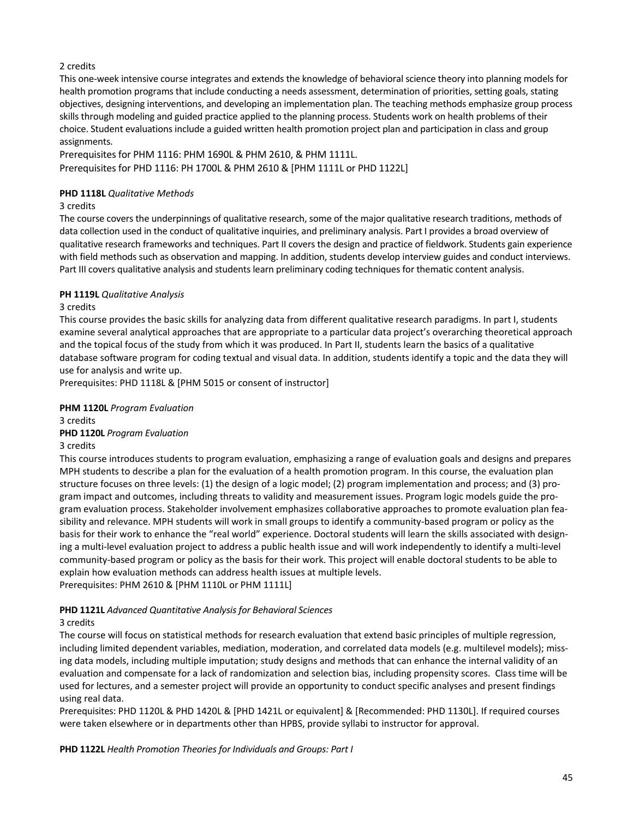# 2 credits

This one-week intensive course integrates and extends the knowledge of behavioral science theory into planning models for health promotion programs that include conducting a needs assessment, determination of priorities, setting goals, stating objectives, designing interventions, and developing an implementation plan. The teaching methods emphasize group process skills through modeling and guided practice applied to the planning process. Students work on health problems of their choice. Student evaluations include a guided written health promotion project plan and participation in class and group assignments.

Prerequisites for PHM 1116: PHM 1690L & PHM 2610, & PHM 1111L. Prerequisites for PHD 1116: PH 1700L & PHM 2610 & [PHM 1111L or PHD 1122L]

### **PHD 1118L** *Qualitative Methods*

### 3 credits

The course covers the underpinnings of qualitative research, some of the major qualitative research traditions, methods of data collection used in the conduct of qualitative inquiries, and preliminary analysis. Part I provides a broad overview of qualitative research frameworks and techniques. Part II covers the design and practice of fieldwork. Students gain experience with field methods such as observation and mapping. In addition, students develop interview guides and conduct interviews. Part III covers qualitative analysis and students learn preliminary coding techniques for thematic content analysis.

## **PH 1119L** *Qualitative Analysis*

## 3 credits

This course provides the basic skills for analyzing data from different qualitative research paradigms. In part I, students examine several analytical approaches that are appropriate to a particular data project's overarching theoretical approach and the topical focus of the study from which it was produced. In Part II, students learn the basics of a qualitative database software program for coding textual and visual data. In addition, students identify a topic and the data they will use for analysis and write up.

Prerequisites: PHD 1118L & [PHM 5015 or consent of instructor]

### **PHM 1120L** *Program Evaluation*

3 credits

### **PHD 1120L** *Program Evaluation*

3 credits

This course introduces students to program evaluation, emphasizing a range of evaluation goals and designs and prepares MPH students to describe a plan for the evaluation of a health promotion program. In this course, the evaluation plan structure focuses on three levels: (1) the design of a logic model; (2) program implementation and process; and (3) program impact and outcomes, including threats to validity and measurement issues. Program logic models guide the program evaluation process. Stakeholder involvement emphasizes collaborative approaches to promote evaluation plan feasibility and relevance. MPH students will work in small groups to identify a community-based program or policy as the basis for their work to enhance the "real world" experience. Doctoral students will learn the skills associated with designing a multi-level evaluation project to address a public health issue and will work independently to identify a multi-level community-based program or policy as the basis for their work. This project will enable doctoral students to be able to explain how evaluation methods can address health issues at multiple levels. Prerequisites: PHM 2610 & [PHM 1110L or PHM 1111L]

# **PHD 1121L** *Advanced Quantitative Analysis for Behavioral Sciences*

# 3 credits

The course will focus on statistical methods for research evaluation that extend basic principles of multiple regression, including limited dependent variables, mediation, moderation, and correlated data models (e.g. multilevel models); missing data models, including multiple imputation; study designs and methods that can enhance the internal validity of an evaluation and compensate for a lack of randomization and selection bias, including propensity scores. Class time will be used for lectures, and a semester project will provide an opportunity to conduct specific analyses and present findings using real data.

Prerequisites: PHD 1120L & PHD 1420L & [PHD 1421L or equivalent] & [Recommended: PHD 1130L]. If required courses were taken elsewhere or in departments other than HPBS, provide syllabi to instructor for approval.

**PHD 1122L** *Health Promotion Theories for Individuals and Groups: Part I*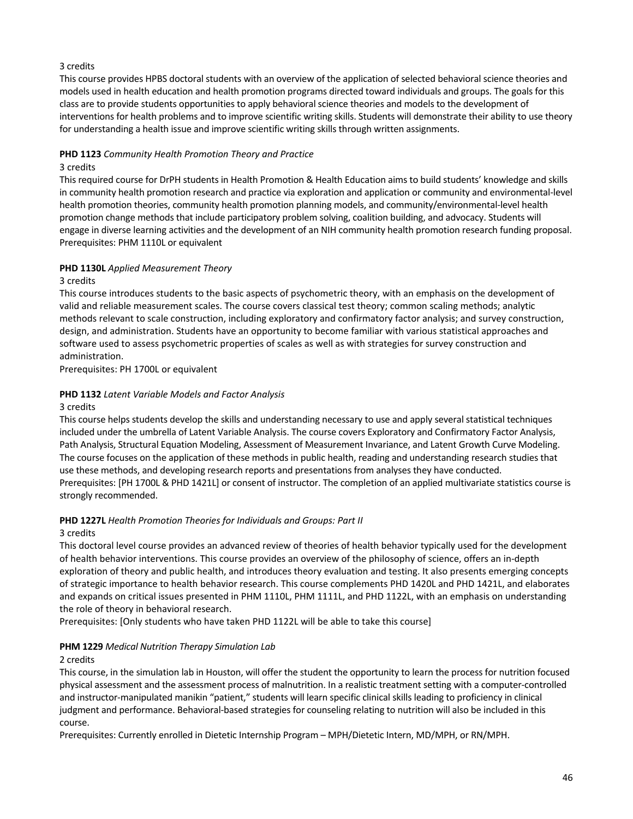# 3 credits

This course provides HPBS doctoral students with an overview of the application of selected behavioral science theories and models used in health education and health promotion programs directed toward individuals and groups. The goals for this class are to provide students opportunities to apply behavioral science theories and models to the development of interventions for health problems and to improve scientific writing skills. Students will demonstrate their ability to use theory for understanding a health issue and improve scientific writing skills through written assignments.

### **PHD 1123** *Community Health Promotion Theory and Practice*

### 3 credits

This required course for DrPH students in Health Promotion & Health Education aims to build students' knowledge and skills in community health promotion research and practice via exploration and application or community and environmental-level health promotion theories, community health promotion planning models, and community/environmental-level health promotion change methods that include participatory problem solving, coalition building, and advocacy. Students will engage in diverse learning activities and the development of an NIH community health promotion research funding proposal. Prerequisites: PHM 1110L or equivalent

## **PHD 1130L** *Applied Measurement Theory*

### 3 credits

This course introduces students to the basic aspects of psychometric theory, with an emphasis on the development of valid and reliable measurement scales. The course covers classical test theory; common scaling methods; analytic methods relevant to scale construction, including exploratory and confirmatory factor analysis; and survey construction, design, and administration. Students have an opportunity to become familiar with various statistical approaches and software used to assess psychometric properties of scales as well as with strategies for survey construction and administration.

Prerequisites: PH 1700L or equivalent

## **PHD 1132** *Latent Variable Models and Factor Analysis*

#### 3 credits

This course helps students develop the skills and understanding necessary to use and apply several statistical techniques included under the umbrella of Latent Variable Analysis. The course covers Exploratory and Confirmatory Factor Analysis, Path Analysis, Structural Equation Modeling, Assessment of Measurement Invariance, and Latent Growth Curve Modeling. The course focuses on the application of these methods in public health, reading and understanding research studies that use these methods, and developing research reports and presentations from analyses they have conducted. Prerequisites: [PH 1700L & PHD 1421L] or consent of instructor. The completion of an applied multivariate statistics course is strongly recommended.

# **PHD 1227L** *Health Promotion Theories for Individuals and Groups: Part II*

### 3 credits

This doctoral level course provides an advanced review of theories of health behavior typically used for the development of health behavior interventions. This course provides an overview of the philosophy of science, offers an in-depth exploration of theory and public health, and introduces theory evaluation and testing. It also presents emerging concepts of strategic importance to health behavior research. This course complements PHD 1420L and PHD 1421L, and elaborates and expands on critical issues presented in PHM 1110L, PHM 1111L, and PHD 1122L, with an emphasis on understanding the role of theory in behavioral research.

Prerequisites: [Only students who have taken PHD 1122L will be able to take this course]

### **PHM 1229** *Medical Nutrition Therapy Simulation Lab*

### 2 credits

This course, in the simulation lab in Houston, will offer the student the opportunity to learn the process for nutrition focused physical assessment and the assessment process of malnutrition. In a realistic treatment setting with a computer-controlled and instructor-manipulated manikin "patient," students will learn specific clinical skills leading to proficiency in clinical judgment and performance. Behavioral-based strategies for counseling relating to nutrition will also be included in this course.

Prerequisites: Currently enrolled in Dietetic Internship Program – MPH/Dietetic Intern, MD/MPH, or RN/MPH.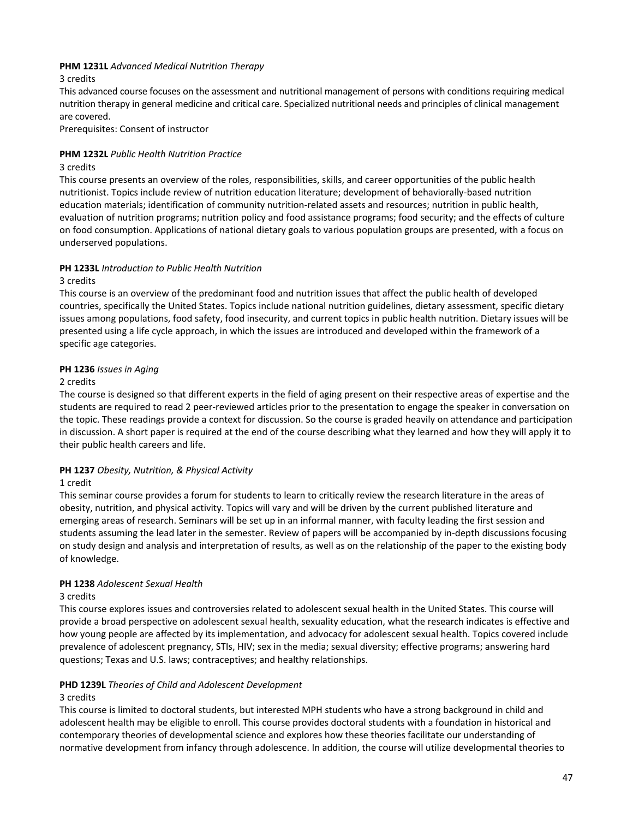## **PHM 1231L** *Advanced Medical Nutrition Therapy*

### 3 credits

This advanced course focuses on the assessment and nutritional management of persons with conditions requiring medical nutrition therapy in general medicine and critical care. Specialized nutritional needs and principles of clinical management are covered.

Prerequisites: Consent of instructor

### **PHM 1232L** *Public Health Nutrition Practice*

#### 3 credits

This course presents an overview of the roles, responsibilities, skills, and career opportunities of the public health nutritionist. Topics include review of nutrition education literature; development of behaviorally-based nutrition education materials; identification of community nutrition-related assets and resources; nutrition in public health, evaluation of nutrition programs; nutrition policy and food assistance programs; food security; and the effects of culture on food consumption. Applications of national dietary goals to various population groups are presented, with a focus on underserved populations.

## **PH 1233L** *Introduction to Public Health Nutrition*

#### 3 credits

This course is an overview of the predominant food and nutrition issues that affect the public health of developed countries, specifically the United States. Topics include national nutrition guidelines, dietary assessment, specific dietary issues among populations, food safety, food insecurity, and current topics in public health nutrition. Dietary issues will be presented using a life cycle approach, in which the issues are introduced and developed within the framework of a specific age categories.

## **PH 1236** *Issues in Aging*

## 2 credits

The course is designed so that different experts in the field of aging present on their respective areas of expertise and the students are required to read 2 peer-reviewed articles prior to the presentation to engage the speaker in conversation on the topic. These readings provide a context for discussion. So the course is graded heavily on attendance and participation in discussion. A short paper is required at the end of the course describing what they learned and how they will apply it to their public health careers and life.

### **PH 1237** *Obesity, Nutrition, & Physical Activity*

### 1 credit

This seminar course provides a forum for students to learn to critically review the research literature in the areas of obesity, nutrition, and physical activity. Topics will vary and will be driven by the current published literature and emerging areas of research. Seminars will be set up in an informal manner, with faculty leading the first session and students assuming the lead later in the semester. Review of papers will be accompanied by in-depth discussions focusing on study design and analysis and interpretation of results, as well as on the relationship of the paper to the existing body of knowledge.

### **PH 1238** *Adolescent Sexual Health*

### 3 credits

This course explores issues and controversies related to adolescent sexual health in the United States. This course will provide a broad perspective on adolescent sexual health, sexuality education, what the research indicates is effective and how young people are affected by its implementation, and advocacy for adolescent sexual health. Topics covered include prevalence of adolescent pregnancy, STIs, HIV; sex in the media; sexual diversity; effective programs; answering hard questions; Texas and U.S. laws; contraceptives; and healthy relationships.

# **PHD 1239L** *Theories of Child and Adolescent Development*

### 3 credits

This course is limited to doctoral students, but interested MPH students who have a strong background in child and adolescent health may be eligible to enroll. This course provides doctoral students with a foundation in historical and contemporary theories of developmental science and explores how these theories facilitate our understanding of normative development from infancy through adolescence. In addition, the course will utilize developmental theories to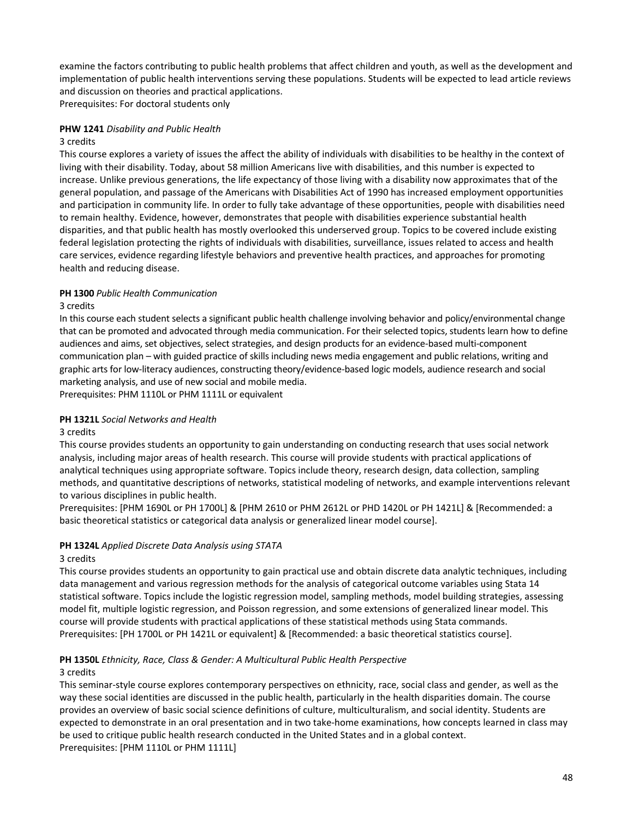examine the factors contributing to public health problems that affect children and youth, as well as the development and implementation of public health interventions serving these populations. Students will be expected to lead article reviews and discussion on theories and practical applications. Prerequisites: For doctoral students only

# **PHW 1241** *Disability and Public Health*

#### 3 credits

This course explores a variety of issues the affect the ability of individuals with disabilities to be healthy in the context of living with their disability. Today, about 58 million Americans live with disabilities, and this number is expected to increase. Unlike previous generations, the life expectancy of those living with a disability now approximates that of the general population, and passage of the Americans with Disabilities Act of 1990 has increased employment opportunities and participation in community life. In order to fully take advantage of these opportunities, people with disabilities need to remain healthy. Evidence, however, demonstrates that people with disabilities experience substantial health disparities, and that public health has mostly overlooked this underserved group. Topics to be covered include existing federal legislation protecting the rights of individuals with disabilities, surveillance, issues related to access and health care services, evidence regarding lifestyle behaviors and preventive health practices, and approaches for promoting health and reducing disease.

### **PH 1300** *Public Health Communication*

#### 3 credits

In this course each student selects a significant public health challenge involving behavior and policy/environmental change that can be promoted and advocated through media communication. For their selected topics, students learn how to define audiences and aims, set objectives, select strategies, and design products for an evidence-based multi-component communication plan – with guided practice of skills including news media engagement and public relations, writing and graphic arts for low-literacy audiences, constructing theory/evidence-based logic models, audience research and social marketing analysis, and use of new social and mobile media.

Prerequisites: PHM 1110L or PHM 1111L or equivalent

### **PH 1321L** *Social Networks and Health*

#### 3 credits

This course provides students an opportunity to gain understanding on conducting research that uses social network analysis, including major areas of health research. This course will provide students with practical applications of analytical techniques using appropriate software. Topics include theory, research design, data collection, sampling methods, and quantitative descriptions of networks, statistical modeling of networks, and example interventions relevant to various disciplines in public health.

Prerequisites: [PHM 1690L or PH 1700L] & [PHM 2610 or PHM 2612L or PHD 1420L or PH 1421L] & [Recommended: a basic theoretical statistics or categorical data analysis or generalized linear model course].

### **PH 1324L** *Applied Discrete Data Analysis using STATA*

### 3 credits

This course provides students an opportunity to gain practical use and obtain discrete data analytic techniques, including data management and various regression methods for the analysis of categorical outcome variables using Stata 14 statistical software. Topics include the logistic regression model, sampling methods, model building strategies, assessing model fit, multiple logistic regression, and Poisson regression, and some extensions of generalized linear model. This course will provide students with practical applications of these statistical methods using Stata commands. Prerequisites: [PH 1700L or PH 1421L or equivalent] & [Recommended: a basic theoretical statistics course].

# **PH 1350L** *Ethnicity, Race, Class & Gender: A Multicultural Public Health Perspective*

### 3 credits

This seminar-style course explores contemporary perspectives on ethnicity, race, social class and gender, as well as the way these social identities are discussed in the public health, particularly in the health disparities domain. The course provides an overview of basic social science definitions of culture, multiculturalism, and social identity. Students are expected to demonstrate in an oral presentation and in two take-home examinations, how concepts learned in class may be used to critique public health research conducted in the United States and in a global context. Prerequisites: [PHM 1110L or PHM 1111L]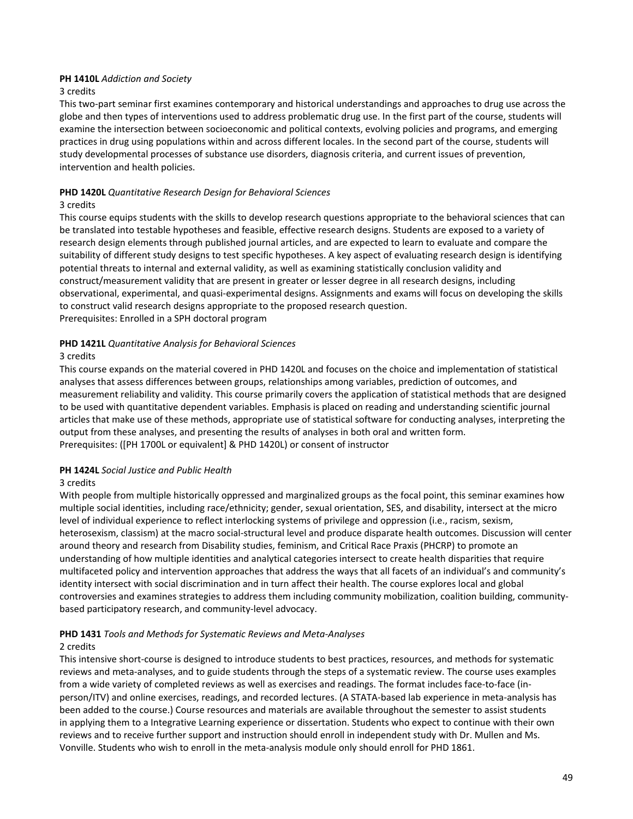## **PH 1410L** *Addiction and Society*

#### 3 credits

This two-part seminar first examines contemporary and historical understandings and approaches to drug use across the globe and then types of interventions used to address problematic drug use. In the first part of the course, students will examine the intersection between socioeconomic and political contexts, evolving policies and programs, and emerging practices in drug using populations within and across different locales. In the second part of the course, students will study developmental processes of substance use disorders, diagnosis criteria, and current issues of prevention, intervention and health policies.

## **PHD 1420L** *Quantitative Research Design for Behavioral Sciences*

### 3 credits

This course equips students with the skills to develop research questions appropriate to the behavioral sciences that can be translated into testable hypotheses and feasible, effective research designs. Students are exposed to a variety of research design elements through published journal articles, and are expected to learn to evaluate and compare the suitability of different study designs to test specific hypotheses. A key aspect of evaluating research design is identifying potential threats to internal and external validity, as well as examining statistically conclusion validity and construct/measurement validity that are present in greater or lesser degree in all research designs, including observational, experimental, and quasi-experimental designs. Assignments and exams will focus on developing the skills to construct valid research designs appropriate to the proposed research question. Prerequisites: Enrolled in a SPH doctoral program

## **PHD 1421L** *Quantitative Analysis for Behavioral Sciences*

## 3 credits

This course expands on the material covered in PHD 1420L and focuses on the choice and implementation of statistical analyses that assess differences between groups, relationships among variables, prediction of outcomes, and measurement reliability and validity. This course primarily covers the application of statistical methods that are designed to be used with quantitative dependent variables. Emphasis is placed on reading and understanding scientific journal articles that make use of these methods, appropriate use of statistical software for conducting analyses, interpreting the output from these analyses, and presenting the results of analyses in both oral and written form. Prerequisites: ([PH 1700L or equivalent] & PHD 1420L) or consent of instructor

### **PH 1424L** *Social Justice and Public Health*

### 3 credits

With people from multiple historically oppressed and marginalized groups as the focal point, this seminar examines how multiple social identities, including race/ethnicity; gender, sexual orientation, SES, and disability, intersect at the micro level of individual experience to reflect interlocking systems of privilege and oppression (i.e., racism, sexism, heterosexism, classism) at the macro social-structural level and produce disparate health outcomes. Discussion will center around theory and research from Disability studies, feminism, and Critical Race Praxis (PHCRP) to promote an understanding of how multiple identities and analytical categories intersect to create health disparities that require multifaceted policy and intervention approaches that address the ways that all facets of an individual's and community's identity intersect with social discrimination and in turn affect their health. The course explores local and global controversies and examines strategies to address them including community mobilization, coalition building, communitybased participatory research, and community-level advocacy.

# **PHD 1431** *Tools and Methods for Systematic Reviews and Meta-Analyses*

### 2 credits

This intensive short-course is designed to introduce students to best practices, resources, and methods for systematic reviews and meta-analyses, and to guide students through the steps of a systematic review. The course uses examples from a wide variety of completed reviews as well as exercises and readings. The format includes face-to-face (inperson/ITV) and online exercises, readings, and recorded lectures. (A STATA-based lab experience in meta-analysis has been added to the course.) Course resources and materials are available throughout the semester to assist students in applying them to a Integrative Learning experience or dissertation. Students who expect to continue with their own reviews and to receive further support and instruction should enroll in independent study with Dr. Mullen and Ms. Vonville. Students who wish to enroll in the meta-analysis module only should enroll for PHD 1861.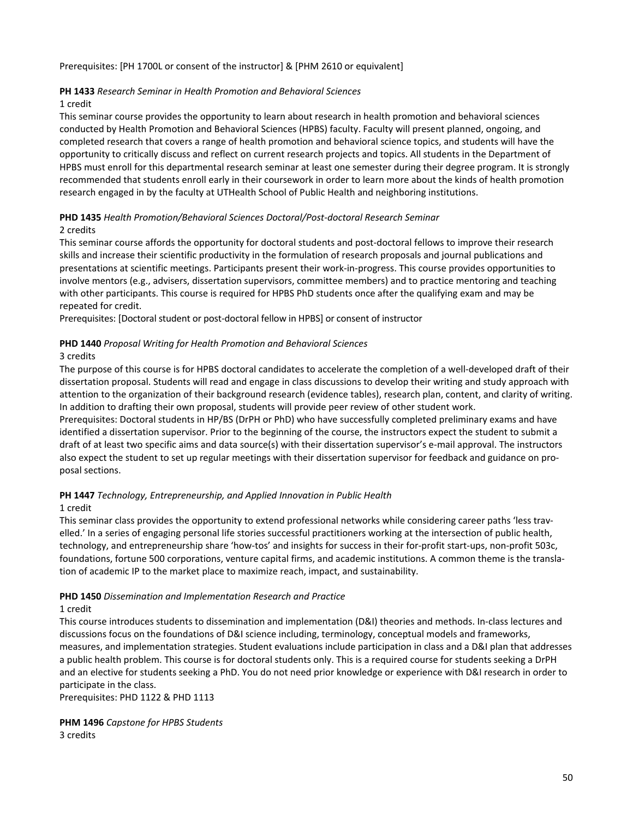Prerequisites: [PH 1700L or consent of the instructor] & [PHM 2610 or equivalent]

#### **PH 1433** *Research Seminar in Health Promotion and Behavioral Sciences*

#### 1 credit

This seminar course provides the opportunity to learn about research in health promotion and behavioral sciences conducted by Health Promotion and Behavioral Sciences (HPBS) faculty. Faculty will present planned, ongoing, and completed research that covers a range of health promotion and behavioral science topics, and students will have the opportunity to critically discuss and reflect on current research projects and topics. All students in the Department of HPBS must enroll for this departmental research seminar at least one semester during their degree program. It is strongly recommended that students enroll early in their coursework in order to learn more about the kinds of health promotion research engaged in by the faculty at UTHealth School of Public Health and neighboring institutions.

### **PHD 1435** *Health Promotion/Behavioral Sciences Doctoral/Post-doctoral Research Seminar* 2 credits

This seminar course affords the opportunity for doctoral students and post-doctoral fellows to improve their research skills and increase their scientific productivity in the formulation of research proposals and journal publications and presentations at scientific meetings. Participants present their work-in-progress. This course provides opportunities to involve mentors (e.g., advisers, dissertation supervisors, committee members) and to practice mentoring and teaching with other participants. This course is required for HPBS PhD students once after the qualifying exam and may be repeated for credit.

Prerequisites: [Doctoral student or post-doctoral fellow in HPBS] or consent of instructor

### **PHD 1440** *Proposal Writing for Health Promotion and Behavioral Sciences*

#### 3 credits

The purpose of this course is for HPBS doctoral candidates to accelerate the completion of a well-developed draft of their dissertation proposal. Students will read and engage in class discussions to develop their writing and study approach with attention to the organization of their background research (evidence tables), research plan, content, and clarity of writing. In addition to drafting their own proposal, students will provide peer review of other student work.

Prerequisites: Doctoral students in HP/BS (DrPH or PhD) who have successfully completed preliminary exams and have identified a dissertation supervisor. Prior to the beginning of the course, the instructors expect the student to submit a draft of at least two specific aims and data source(s) with their dissertation supervisor's e-mail approval. The instructors also expect the student to set up regular meetings with their dissertation supervisor for feedback and guidance on proposal sections.

# **PH 1447** *Technology, Entrepreneurship, and Applied Innovation in Public Health*

#### 1 credit

This seminar class provides the opportunity to extend professional networks while considering career paths 'less travelled.' In a series of engaging personal life stories successful practitioners working at the intersection of public health, technology, and entrepreneurship share 'how-tos' and insights for success in their for-profit start-ups, non-profit 503c, foundations, fortune 500 corporations, venture capital firms, and academic institutions. A common theme is the translation of academic IP to the market place to maximize reach, impact, and sustainability.

### **PHD 1450** *Dissemination and Implementation Research and Practice*

# 1 credit

This course introduces students to dissemination and implementation (D&I) theories and methods. In-class lectures and discussions focus on the foundations of D&I science including, terminology, conceptual models and frameworks, measures, and implementation strategies. Student evaluations include participation in class and a D&I plan that addresses a public health problem. This course is for doctoral students only. This is a required course for students seeking a DrPH and an elective for students seeking a PhD. You do not need prior knowledge or experience with D&I research in order to participate in the class.

Prerequisites: PHD 1122 & PHD 1113

**PHM 1496** *Capstone for HPBS Students* 3 credits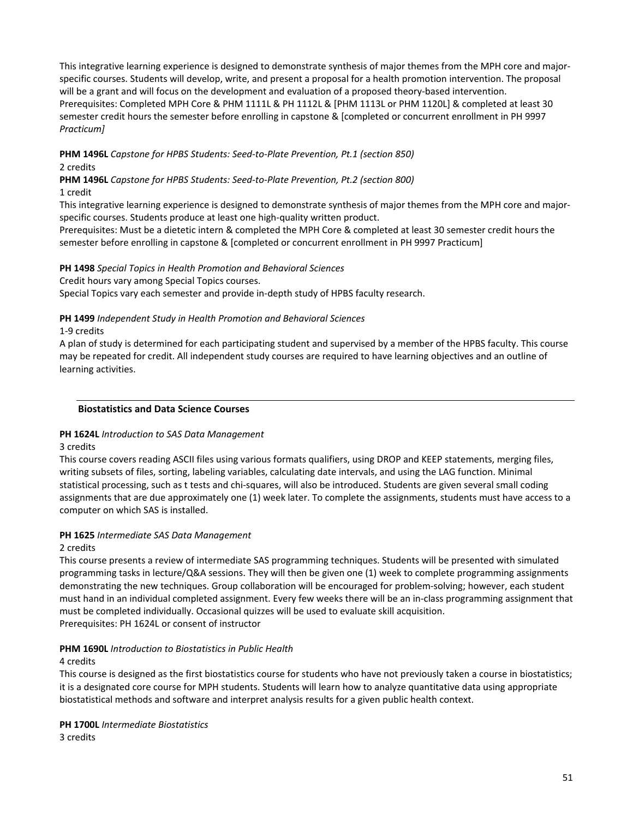This integrative learning experience is designed to demonstrate synthesis of major themes from the MPH core and majorspecific courses. Students will develop, write, and present a proposal for a health promotion intervention. The proposal will be a grant and will focus on the development and evaluation of a proposed theory-based intervention. Prerequisites: Completed MPH Core & PHM 1111L & PH 1112L & [PHM 1113L or PHM 1120L] & completed at least 30 semester credit hours the semester before enrolling in capstone & [completed or concurrent enrollment in PH 9997 *Practicum]*

# **PHM 1496L** *Capstone for HPBS Students: Seed-to-Plate Prevention, Pt.1 (section 850)* 2 credits

**PHM 1496L** *Capstone for HPBS Students: Seed-to-Plate Prevention, Pt.2 (section 800)*  1 credit

This integrative learning experience is designed to demonstrate synthesis of major themes from the MPH core and majorspecific courses. Students produce at least one high-quality written product.

Prerequisites: Must be a dietetic intern & completed the MPH Core & completed at least 30 semester credit hours the semester before enrolling in capstone & [completed or concurrent enrollment in PH 9997 Practicum]

## **PH 1498** *Special Topics in Health Promotion and Behavioral Sciences*

Credit hours vary among Special Topics courses.

Special Topics vary each semester and provide in-depth study of HPBS faculty research.

## **PH 1499** *Independent Study in Health Promotion and Behavioral Sciences*

1-9 credits

A plan of study is determined for each participating student and supervised by a member of the HPBS faculty. This course may be repeated for credit. All independent study courses are required to have learning objectives and an outline of learning activities.

### **Biostatistics and Data Science Courses**

### **PH 1624L** *Introduction to SAS Data Management*

### 3 credits

This course covers reading ASCII files using various formats qualifiers, using DROP and KEEP statements, merging files, writing subsets of files, sorting, labeling variables, calculating date intervals, and using the LAG function. Minimal statistical processing, such as t tests and chi-squares, will also be introduced. Students are given several small coding assignments that are due approximately one (1) week later. To complete the assignments, students must have access to a computer on which SAS is installed.

### **PH 1625** *Intermediate SAS Data Management*

2 credits

This course presents a review of intermediate SAS programming techniques. Students will be presented with simulated programming tasks in lecture/Q&A sessions. They will then be given one (1) week to complete programming assignments demonstrating the new techniques. Group collaboration will be encouraged for problem-solving; however, each student must hand in an individual completed assignment. Every few weeks there will be an in-class programming assignment that must be completed individually. Occasional quizzes will be used to evaluate skill acquisition. Prerequisites: PH 1624L or consent of instructor

# **PHM 1690L** *Introduction to Biostatistics in Public Health*

### 4 credits

This course is designed as the first biostatistics course for students who have not previously taken a course in biostatistics; it is a designated core course for MPH students. Students will learn how to analyze quantitative data using appropriate biostatistical methods and software and interpret analysis results for a given public health context.

**PH 1700L** *Intermediate Biostatistics* 3 credits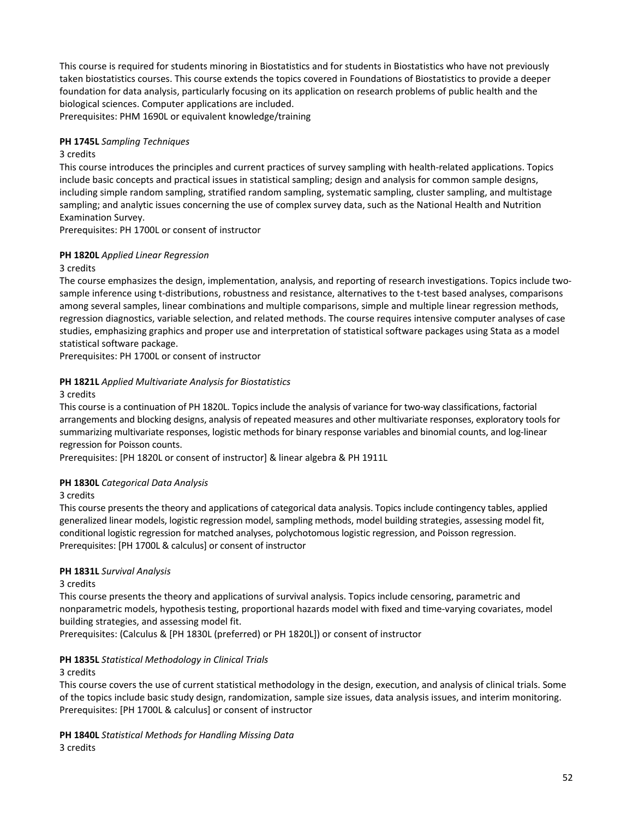This course is required for students minoring in Biostatistics and for students in Biostatistics who have not previously taken biostatistics courses. This course extends the topics covered in Foundations of Biostatistics to provide a deeper foundation for data analysis, particularly focusing on its application on research problems of public health and the biological sciences. Computer applications are included.

Prerequisites: PHM 1690L or equivalent knowledge/training

# **PH 1745L** *Sampling Techniques*

### 3 credits

This course introduces the principles and current practices of survey sampling with health-related applications. Topics include basic concepts and practical issues in statistical sampling; design and analysis for common sample designs, including simple random sampling, stratified random sampling, systematic sampling, cluster sampling, and multistage sampling; and analytic issues concerning the use of complex survey data, such as the National Health and Nutrition Examination Survey.

Prerequisites: PH 1700L or consent of instructor

## **PH 1820L** *Applied Linear Regression*

### 3 credits

The course emphasizes the design, implementation, analysis, and reporting of research investigations. Topics include twosample inference using t-distributions, robustness and resistance, alternatives to the t-test based analyses, comparisons among several samples, linear combinations and multiple comparisons, simple and multiple linear regression methods, regression diagnostics, variable selection, and related methods. The course requires intensive computer analyses of case studies, emphasizing graphics and proper use and interpretation of statistical software packages using Stata as a model statistical software package.

Prerequisites: PH 1700L or consent of instructor

## **PH 1821L** *Applied Multivariate Analysis for Biostatistics*

## 3 credits

This course is a continuation of PH 1820L. Topics include the analysis of variance for two-way classifications, factorial arrangements and blocking designs, analysis of repeated measures and other multivariate responses, exploratory tools for summarizing multivariate responses, logistic methods for binary response variables and binomial counts, and log-linear regression for Poisson counts.

Prerequisites: [PH 1820L or consent of instructor] & linear algebra & PH 1911L

# **PH 1830L** *Categorical Data Analysis*

### 3 credits

This course presents the theory and applications of categorical data analysis. Topics include contingency tables, applied generalized linear models, logistic regression model, sampling methods, model building strategies, assessing model fit, conditional logistic regression for matched analyses, polychotomous logistic regression, and Poisson regression. Prerequisites: [PH 1700L & calculus] or consent of instructor

### **PH 1831L** *Survival Analysis*

### 3 credits

This course presents the theory and applications of survival analysis. Topics include censoring, parametric and nonparametric models, hypothesis testing, proportional hazards model with fixed and time-varying covariates, model building strategies, and assessing model fit.

Prerequisites: (Calculus & [PH 1830L (preferred) or PH 1820L]) or consent of instructor

# **PH 1835L** *Statistical Methodology in Clinical Trials*

### 3 credits

This course covers the use of current statistical methodology in the design, execution, and analysis of clinical trials. Some of the topics include basic study design, randomization, sample size issues, data analysis issues, and interim monitoring. Prerequisites: [PH 1700L & calculus] or consent of instructor

**PH 1840L** *Statistical Methods for Handling Missing Data* 3 credits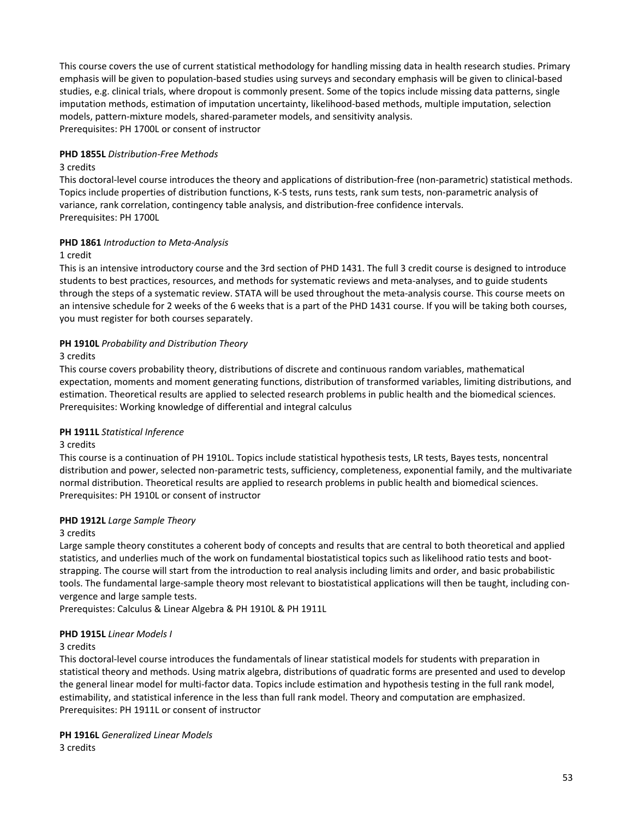This course covers the use of current statistical methodology for handling missing data in health research studies. Primary emphasis will be given to population-based studies using surveys and secondary emphasis will be given to clinical-based studies, e.g. clinical trials, where dropout is commonly present. Some of the topics include missing data patterns, single imputation methods, estimation of imputation uncertainty, likelihood-based methods, multiple imputation, selection models, pattern-mixture models, shared-parameter models, and sensitivity analysis. Prerequisites: PH 1700L or consent of instructor

### **PHD 1855L** *Distribution-Free Methods*

### 3 credits

This doctoral-level course introduces the theory and applications of distribution-free (non-parametric) statistical methods. Topics include properties of distribution functions, K-S tests, runs tests, rank sum tests, non-parametric analysis of variance, rank correlation, contingency table analysis, and distribution-free confidence intervals. Prerequisites: PH 1700L

## **PHD 1861** *Introduction to Meta-Analysis*

### 1 credit

This is an intensive introductory course and the 3rd section of PHD 1431. The full 3 credit course is designed to introduce students to best practices, resources, and methods for systematic reviews and meta-analyses, and to guide students through the steps of a systematic review. STATA will be used throughout the meta-analysis course. This course meets on an intensive schedule for 2 weeks of the 6 weeks that is a part of the PHD 1431 course. If you will be taking both courses, you must register for both courses separately.

## **PH 1910L** *Probability and Distribution Theory*

## 3 credits

This course covers probability theory, distributions of discrete and continuous random variables, mathematical expectation, moments and moment generating functions, distribution of transformed variables, limiting distributions, and estimation. Theoretical results are applied to selected research problems in public health and the biomedical sciences. Prerequisites: Working knowledge of differential and integral calculus

### **PH 1911L** *Statistical Inference*

### 3 credits

This course is a continuation of PH 1910L. Topics include statistical hypothesis tests, LR tests, Bayes tests, noncentral distribution and power, selected non-parametric tests, sufficiency, completeness, exponential family, and the multivariate normal distribution. Theoretical results are applied to research problems in public health and biomedical sciences. Prerequisites: PH 1910L or consent of instructor

# **PHD 1912L** *Large Sample Theory*

### 3 credits

Large sample theory constitutes a coherent body of concepts and results that are central to both theoretical and applied statistics, and underlies much of the work on fundamental biostatistical topics such as likelihood ratio tests and bootstrapping. The course will start from the introduction to real analysis including limits and order, and basic probabilistic tools. The fundamental large-sample theory most relevant to biostatistical applications will then be taught, including convergence and large sample tests.

Prerequistes: Calculus & Linear Algebra & PH 1910L & PH 1911L

# **PHD 1915L** *Linear Models I*

### 3 credits

This doctoral-level course introduces the fundamentals of linear statistical models for students with preparation in statistical theory and methods. Using matrix algebra, distributions of quadratic forms are presented and used to develop the general linear model for multi-factor data. Topics include estimation and hypothesis testing in the full rank model, estimability, and statistical inference in the less than full rank model. Theory and computation are emphasized. Prerequisites: PH 1911L or consent of instructor

**PH 1916L** *Generalized Linear Models* 3 credits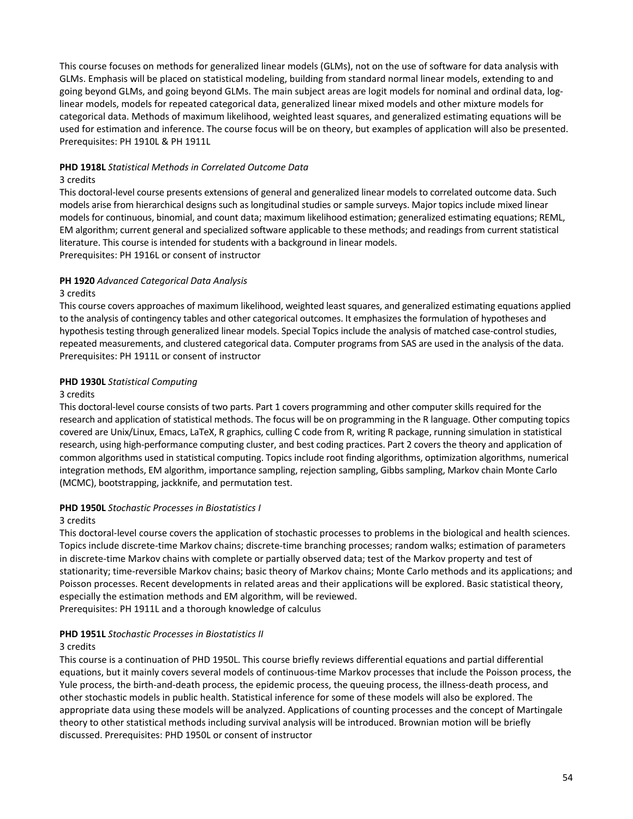This course focuses on methods for generalized linear models (GLMs), not on the use of software for data analysis with GLMs. Emphasis will be placed on statistical modeling, building from standard normal linear models, extending to and going beyond GLMs, and going beyond GLMs. The main subject areas are logit models for nominal and ordinal data, loglinear models, models for repeated categorical data, generalized linear mixed models and other mixture models for categorical data. Methods of maximum likelihood, weighted least squares, and generalized estimating equations will be used for estimation and inference. The course focus will be on theory, but examples of application will also be presented. Prerequisites: PH 1910L & PH 1911L

# **PHD 1918L** *Statistical Methods in Correlated Outcome Data*

#### 3 credits

This doctoral-level course presents extensions of general and generalized linear models to correlated outcome data. Such models arise from hierarchical designs such as longitudinal studies or sample surveys. Major topics include mixed linear models for continuous, binomial, and count data; maximum likelihood estimation; generalized estimating equations; REML, EM algorithm; current general and specialized software applicable to these methods; and readings from current statistical literature. This course is intended for students with a background in linear models. Prerequisites: PH 1916L or consent of instructor

## **PH 1920** *Advanced Categorical Data Analysis*

### 3 credits

This course covers approaches of maximum likelihood, weighted least squares, and generalized estimating equations applied to the analysis of contingency tables and other categorical outcomes. It emphasizes the formulation of hypotheses and hypothesis testing through generalized linear models. Special Topics include the analysis of matched case-control studies, repeated measurements, and clustered categorical data. Computer programs from SAS are used in the analysis of the data. Prerequisites: PH 1911L or consent of instructor

### **PHD 1930L** *Statistical Computing*

### 3 credits

This doctoral-level course consists of two parts. Part 1 covers programming and other computer skills required for the research and application of statistical methods. The focus will be on programming in the R language. Other computing topics covered are Unix/Linux, Emacs, LaTeX, R graphics, culling C code from R, writing R package, running simulation in statistical research, using high-performance computing cluster, and best coding practices. Part 2 covers the theory and application of common algorithms used in statistical computing. Topics include root finding algorithms, optimization algorithms, numerical integration methods, EM algorithm, importance sampling, rejection sampling, Gibbs sampling, Markov chain Monte Carlo (MCMC), bootstrapping, jackknife, and permutation test.

### **PHD 1950L** *Stochastic Processes in Biostatistics I*

### 3 credits

This doctoral-level course covers the application of stochastic processes to problems in the biological and health sciences. Topics include discrete-time Markov chains; discrete-time branching processes; random walks; estimation of parameters in discrete-time Markov chains with complete or partially observed data; test of the Markov property and test of stationarity; time-reversible Markov chains; basic theory of Markov chains; Monte Carlo methods and its applications; and Poisson processes. Recent developments in related areas and their applications will be explored. Basic statistical theory, especially the estimation methods and EM algorithm, will be reviewed. Prerequisites: PH 1911L and a thorough knowledge of calculus

### **PHD 1951L** *Stochastic Processes in Biostatistics II*

### 3 credits

This course is a continuation of PHD 1950L. This course briefly reviews differential equations and partial differential equations, but it mainly covers several models of continuous-time Markov processes that include the Poisson process, the Yule process, the birth-and-death process, the epidemic process, the queuing process, the illness-death process, and other stochastic models in public health. Statistical inference for some of these models will also be explored. The appropriate data using these models will be analyzed. Applications of counting processes and the concept of Martingale theory to other statistical methods including survival analysis will be introduced. Brownian motion will be briefly discussed. Prerequisites: PHD 1950L or consent of instructor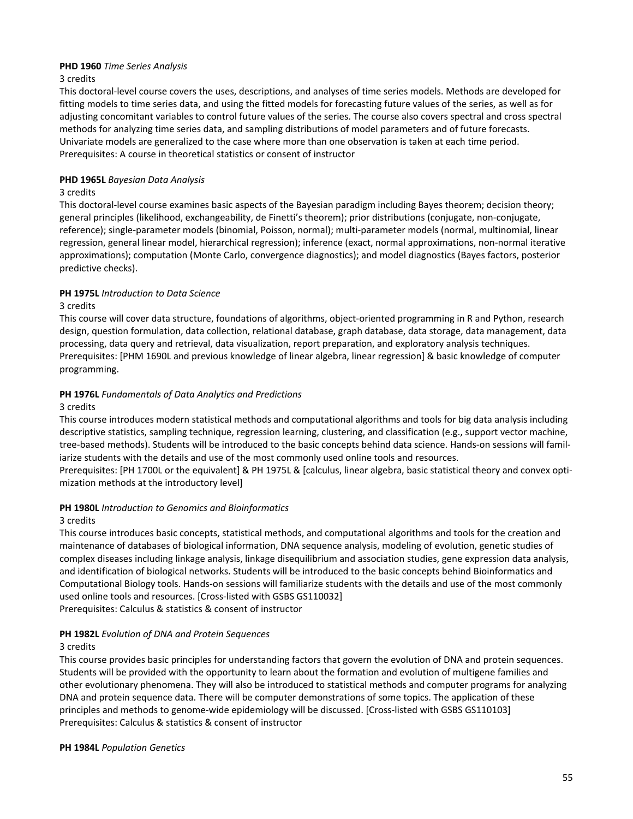### **PHD 1960** *Time Series Analysis*

### 3 credits

This doctoral-level course covers the uses, descriptions, and analyses of time series models. Methods are developed for fitting models to time series data, and using the fitted models for forecasting future values of the series, as well as for adjusting concomitant variables to control future values of the series. The course also covers spectral and cross spectral methods for analyzing time series data, and sampling distributions of model parameters and of future forecasts. Univariate models are generalized to the case where more than one observation is taken at each time period. Prerequisites: A course in theoretical statistics or consent of instructor

# **PHD 1965L** *Bayesian Data Analysis*

### 3 credits

This doctoral-level course examines basic aspects of the Bayesian paradigm including Bayes theorem; decision theory; general principles (likelihood, exchangeability, de Finetti's theorem); prior distributions (conjugate, non-conjugate, reference); single-parameter models (binomial, Poisson, normal); multi-parameter models (normal, multinomial, linear regression, general linear model, hierarchical regression); inference (exact, normal approximations, non-normal iterative approximations); computation (Monte Carlo, convergence diagnostics); and model diagnostics (Bayes factors, posterior predictive checks).

# **PH 1975L** *Introduction to Data Science*

## 3 credits

This course will cover data structure, foundations of algorithms, object-oriented programming in R and Python, research design, question formulation, data collection, relational database, graph database, data storage, data management, data processing, data query and retrieval, data visualization, report preparation, and exploratory analysis techniques. Prerequisites: [PHM 1690L and previous knowledge of linear algebra, linear regression] & basic knowledge of computer programming.

## **PH 1976L** *Fundamentals of Data Analytics and Predictions*

### 3 credits

This course introduces modern statistical methods and computational algorithms and tools for big data analysis including descriptive statistics, sampling technique, regression learning, clustering, and classification (e.g., support vector machine, tree-based methods). Students will be introduced to the basic concepts behind data science. Hands-on sessions will familiarize students with the details and use of the most commonly used online tools and resources.

Prerequisites: [PH 1700L or the equivalent] & PH 1975L & [calculus, linear algebra, basic statistical theory and convex optimization methods at the introductory level]

### **PH 1980L** *Introduction to Genomics and Bioinformatics*

### 3 credits

This course introduces basic concepts, statistical methods, and computational algorithms and tools for the creation and maintenance of databases of biological information, DNA sequence analysis, modeling of evolution, genetic studies of complex diseases including linkage analysis, linkage disequilibrium and association studies, gene expression data analysis, and identification of biological networks. Students will be introduced to the basic concepts behind Bioinformatics and Computational Biology tools. Hands-on sessions will familiarize students with the details and use of the most commonly used online tools and resources. [Cross-listed with GSBS GS110032]

Prerequisites: Calculus & statistics & consent of instructor

# **PH 1982L** *Evolution of DNA and Protein Sequences*

### 3 credits

This course provides basic principles for understanding factors that govern the evolution of DNA and protein sequences. Students will be provided with the opportunity to learn about the formation and evolution of multigene families and other evolutionary phenomena. They will also be introduced to statistical methods and computer programs for analyzing DNA and protein sequence data. There will be computer demonstrations of some topics. The application of these principles and methods to genome-wide epidemiology will be discussed. [Cross-listed with GSBS GS110103] Prerequisites: Calculus & statistics & consent of instructor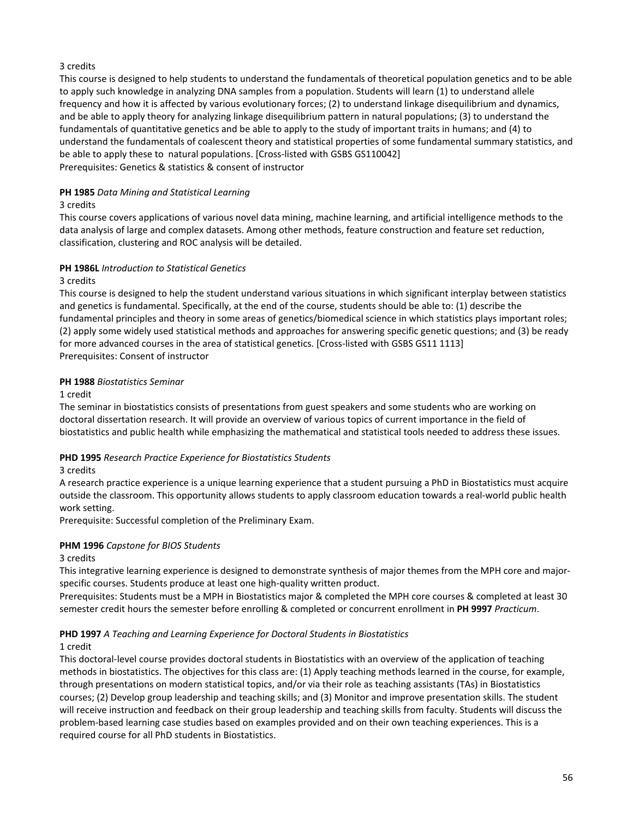# 3 credits

This course is designed to help students to understand the fundamentals of theoretical population genetics and to be able to apply such knowledge in analyzing DNA samples from a population. Students will learn (1) to understand allele frequency and how it is affected by various evolutionary forces; (2) to understand linkage disequilibrium and dynamics, and be able to apply theory for analyzing linkage disequilibrium pattern in natural populations; (3) to understand the fundamentals of quantitative genetics and be able to apply to the study of important traits in humans; and (4) to understand the fundamentals of coalescent theory and statistical properties of some fundamental summary statistics, and be able to apply these to natural populations. [Cross-listed with GSBS GS110042] Prerequisites: Genetics & statistics & consent of instructor

# **PH 1985** *Data Mining and Statistical Learning*

## 3 credits

This course covers applications of various novel data mining, machine learning, and artificial intelligence methods to the data analysis of large and complex datasets. Among other methods, feature construction and feature set reduction, classification, clustering and ROC analysis will be detailed.

## **PH 1986L** *Introduction to Statistical Genetics*

3 credits

This course is designed to help the student understand various situations in which significant interplay between statistics and genetics is fundamental. Specifically, at the end of the course, students should be able to: (1) describe the fundamental principles and theory in some areas of genetics/biomedical science in which statistics plays important roles; (2) apply some widely used statistical methods and approaches for answering specific genetic questions; and (3) be ready for more advanced courses in the area of statistical genetics. [Cross-listed with GSBS GS11 1113] Prerequisites: Consent of instructor

## **PH 1988** *Biostatistics Seminar*

1 credit

The seminar in biostatistics consists of presentations from guest speakers and some students who are working on doctoral dissertation research. It will provide an overview of various topics of current importance in the field of biostatistics and public health while emphasizing the mathematical and statistical tools needed to address these issues.

# **PHD 1995** *Research Practice Experience for Biostatistics Students*

3 credits

A research practice experience is a unique learning experience that a student pursuing a PhD in Biostatistics must acquire outside the classroom. This opportunity allows students to apply classroom education towards a real-world public health work setting.

Prerequisite: Successful completion of the Preliminary Exam.

# **PHM 1996** *Capstone for BIOS Students*

### 3 credits

This integrative learning experience is designed to demonstrate synthesis of major themes from the MPH core and majorspecific courses. Students produce at least one high-quality written product.

Prerequisites: Students must be a MPH in Biostatistics major & completed the MPH core courses & completed at least 30 semester credit hours the semester before enrolling & completed or concurrent enrollment in **PH 9997** *Practicum*.

# **PHD 1997** *A Teaching and Learning Experience for Doctoral Students in Biostatistics*

### 1 credit

This doctoral-level course provides doctoral students in Biostatistics with an overview of the application of teaching methods in biostatistics. The objectives for this class are: (1) Apply teaching methods learned in the course, for example, through presentations on modern statistical topics, and/or via their role as teaching assistants (TAs) in Biostatistics courses; (2) Develop group leadership and teaching skills; and (3) Monitor and improve presentation skills. The student will receive instruction and feedback on their group leadership and teaching skills from faculty. Students will discuss the problem-based learning case studies based on examples provided and on their own teaching experiences. This is a required course for all PhD students in Biostatistics.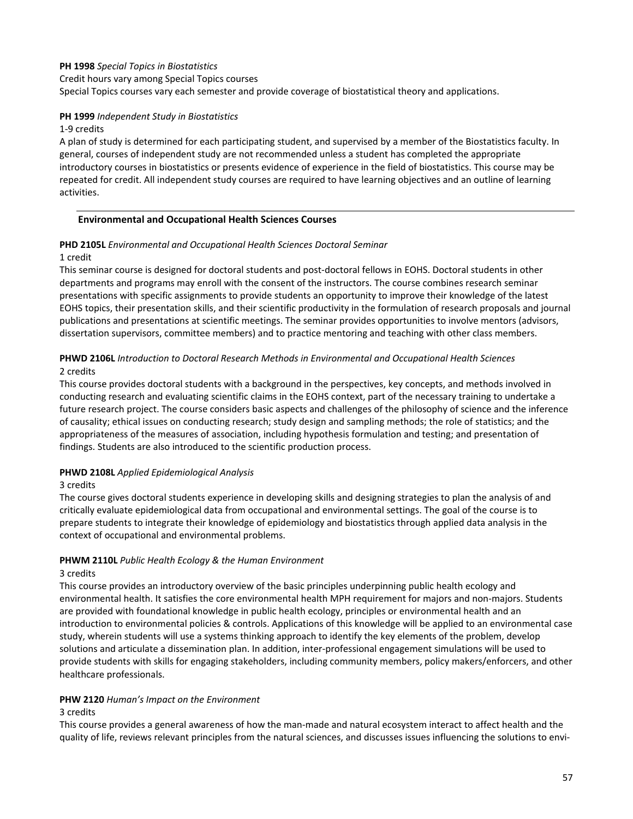# **PH 1998** *Special Topics in Biostatistics*

Credit hours vary among Special Topics courses

Special Topics courses vary each semester and provide coverage of biostatistical theory and applications.

### **PH 1999** *Independent Study in Biostatistics*

#### 1-9 credits

A plan of study is determined for each participating student, and supervised by a member of the Biostatistics faculty. In general, courses of independent study are not recommended unless a student has completed the appropriate introductory courses in biostatistics or presents evidence of experience in the field of biostatistics. This course may be repeated for credit. All independent study courses are required to have learning objectives and an outline of learning activities.

### **Environmental and Occupational Health Sciences Courses**

# **PHD 2105L** *Environmental and Occupational Health Sciences Doctoral Seminar*

#### 1 credit

This seminar course is designed for doctoral students and post-doctoral fellows in EOHS. Doctoral students in other departments and programs may enroll with the consent of the instructors. The course combines research seminar presentations with specific assignments to provide students an opportunity to improve their knowledge of the latest EOHS topics, their presentation skills, and their scientific productivity in the formulation of research proposals and journal publications and presentations at scientific meetings. The seminar provides opportunities to involve mentors (advisors, dissertation supervisors, committee members) and to practice mentoring and teaching with other class members.

# **PHWD 2106L** *Introduction to Doctoral Research Methods in Environmental and Occupational Health Sciences*  2 credits

This course provides doctoral students with a background in the perspectives, key concepts, and methods involved in conducting research and evaluating scientific claims in the EOHS context, part of the necessary training to undertake a future research project. The course considers basic aspects and challenges of the philosophy of science and the inference of causality; ethical issues on conducting research; study design and sampling methods; the role of statistics; and the appropriateness of the measures of association, including hypothesis formulation and testing; and presentation of findings. Students are also introduced to the scientific production process.

### **PHWD 2108L** *Applied Epidemiological Analysis*

### 3 credits

The course gives doctoral students experience in developing skills and designing strategies to plan the analysis of and critically evaluate epidemiological data from occupational and environmental settings. The goal of the course is to prepare students to integrate their knowledge of epidemiology and biostatistics through applied data analysis in the context of occupational and environmental problems.

# **PHWM 2110L** *Public Health Ecology & the Human Environment*

### 3 credits

This course provides an introductory overview of the basic principles underpinning public health ecology and environmental health. It satisfies the core environmental health MPH requirement for majors and non-majors. Students are provided with foundational knowledge in public health ecology, principles or environmental health and an introduction to environmental policies & controls. Applications of this knowledge will be applied to an environmental case study, wherein students will use a systems thinking approach to identify the key elements of the problem, develop solutions and articulate a dissemination plan. In addition, inter-professional engagement simulations will be used to provide students with skills for engaging stakeholders, including community members, policy makers/enforcers, and other healthcare professionals.

### **PHW 2120** *Human's Impact on the Environment*

### 3 credits

This course provides a general awareness of how the man-made and natural ecosystem interact to affect health and the quality of life, reviews relevant principles from the natural sciences, and discusses issues influencing the solutions to envi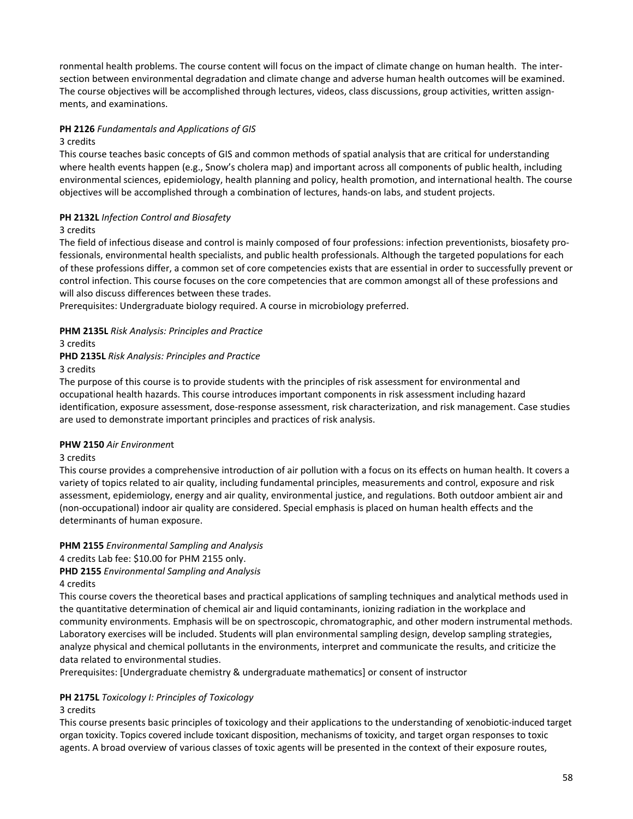ronmental health problems. The course content will focus on the impact of climate change on human health. The intersection between environmental degradation and climate change and adverse human health outcomes will be examined. The course objectives will be accomplished through lectures, videos, class discussions, group activities, written assignments, and examinations.

### **PH 2126** *Fundamentals and Applications of GIS*

#### 3 credits

This course teaches basic concepts of GIS and common methods of spatial analysis that are critical for understanding where health events happen (e.g., Snow's cholera map) and important across all components of public health, including environmental sciences, epidemiology, health planning and policy, health promotion, and international health. The course objectives will be accomplished through a combination of lectures, hands-on labs, and student projects.

## **PH 2132L** *Infection Control and Biosafety*

### 3 credits

The field of infectious disease and control is mainly composed of four professions: infection preventionists, biosafety professionals, environmental health specialists, and public health professionals. Although the targeted populations for each of these professions differ, a common set of core competencies exists that are essential in order to successfully prevent or control infection. This course focuses on the core competencies that are common amongst all of these professions and will also discuss differences between these trades.

Prerequisites: Undergraduate biology required. A course in microbiology preferred.

### **PHM 2135L** *Risk Analysis: Principles and Practice*

# 3 credits

**PHD 2135L** *Risk Analysis: Principles and Practice*

# 3 credits

The purpose of this course is to provide students with the principles of risk assessment for environmental and occupational health hazards. This course introduces important components in risk assessment including hazard identification, exposure assessment, dose-response assessment, risk characterization, and risk management. Case studies are used to demonstrate important principles and practices of risk analysis.

### **PHW 2150** *Air Environmen*t

### 3 credits

This course provides a comprehensive introduction of air pollution with a focus on its effects on human health. It covers a variety of topics related to air quality, including fundamental principles, measurements and control, exposure and risk assessment, epidemiology, energy and air quality, environmental justice, and regulations. Both outdoor ambient air and (non-occupational) indoor air quality are considered. Special emphasis is placed on human health effects and the determinants of human exposure.

### **PHM 2155** *Environmental Sampling and Analysis*

4 credits Lab fee: \$10.00 for PHM 2155 only.

### **PHD 2155** *Environmental Sampling and Analysis*

### 4 credits

This course covers the theoretical bases and practical applications of sampling techniques and analytical methods used in the quantitative determination of chemical air and liquid contaminants, ionizing radiation in the workplace and community environments. Emphasis will be on spectroscopic, chromatographic, and other modern instrumental methods. Laboratory exercises will be included. Students will plan environmental sampling design, develop sampling strategies, analyze physical and chemical pollutants in the environments, interpret and communicate the results, and criticize the data related to environmental studies.

Prerequisites: [Undergraduate chemistry & undergraduate mathematics] or consent of instructor

### **PH 2175L** *Toxicology I: Principles of Toxicology*

### 3 credits

This course presents basic principles of toxicology and their applications to the understanding of xenobiotic-induced target organ toxicity. Topics covered include toxicant disposition, mechanisms of toxicity, and target organ responses to toxic agents. A broad overview of various classes of toxic agents will be presented in the context of their exposure routes,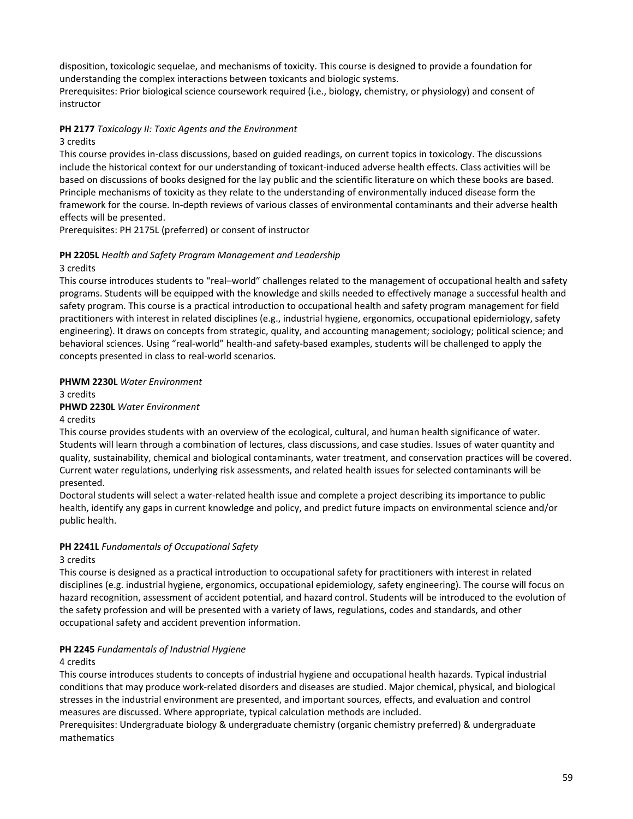disposition, toxicologic sequelae, and mechanisms of toxicity. This course is designed to provide a foundation for understanding the complex interactions between toxicants and biologic systems.

Prerequisites: Prior biological science coursework required (i.e., biology, chemistry, or physiology) and consent of instructor

# **PH 2177** *Toxicology II: Toxic Agents and the Environment*

### 3 credits

This course provides in-class discussions, based on guided readings, on current topics in toxicology. The discussions include the historical context for our understanding of toxicant-induced adverse health effects. Class activities will be based on discussions of books designed for the lay public and the scientific literature on which these books are based. Principle mechanisms of toxicity as they relate to the understanding of environmentally induced disease form the framework for the course. In-depth reviews of various classes of environmental contaminants and their adverse health effects will be presented.

Prerequisites: PH 2175L (preferred) or consent of instructor

# **PH 2205L** *Health and Safety Program Management and Leadership*

# 3 credits

This course introduces students to "real–world" challenges related to the management of occupational health and safety programs. Students will be equipped with the knowledge and skills needed to effectively manage a successful health and safety program. This course is a practical introduction to occupational health and safety program management for field practitioners with interest in related disciplines (e.g., industrial hygiene, ergonomics, occupational epidemiology, safety engineering). It draws on concepts from strategic, quality, and accounting management; sociology; political science; and behavioral sciences. Using "real-world" health-and safety-based examples, students will be challenged to apply the concepts presented in class to real-world scenarios.

# **PHWM 2230L** *Water Environment*

3 credits

# **PHWD 2230L** *Water Environment*

### 4 credits

This course provides students with an overview of the ecological, cultural, and human health significance of water. Students will learn through a combination of lectures, class discussions, and case studies. Issues of water quantity and quality, sustainability, chemical and biological contaminants, water treatment, and conservation practices will be covered. Current water regulations, underlying risk assessments, and related health issues for selected contaminants will be presented.

Doctoral students will select a water-related health issue and complete a project describing its importance to public health, identify any gaps in current knowledge and policy, and predict future impacts on environmental science and/or public health.

# **PH 2241L** *Fundamentals of Occupational Safety*

# 3 credits

This course is designed as a practical introduction to occupational safety for practitioners with interest in related disciplines (e.g. industrial hygiene, ergonomics, occupational epidemiology, safety engineering). The course will focus on hazard recognition, assessment of accident potential, and hazard control. Students will be introduced to the evolution of the safety profession and will be presented with a variety of laws, regulations, codes and standards, and other occupational safety and accident prevention information.

# **PH 2245** *Fundamentals of Industrial Hygiene*

# 4 credits

This course introduces students to concepts of industrial hygiene and occupational health hazards. Typical industrial conditions that may produce work-related disorders and diseases are studied. Major chemical, physical, and biological stresses in the industrial environment are presented, and important sources, effects, and evaluation and control measures are discussed. Where appropriate, typical calculation methods are included.

Prerequisites: Undergraduate biology & undergraduate chemistry (organic chemistry preferred) & undergraduate mathematics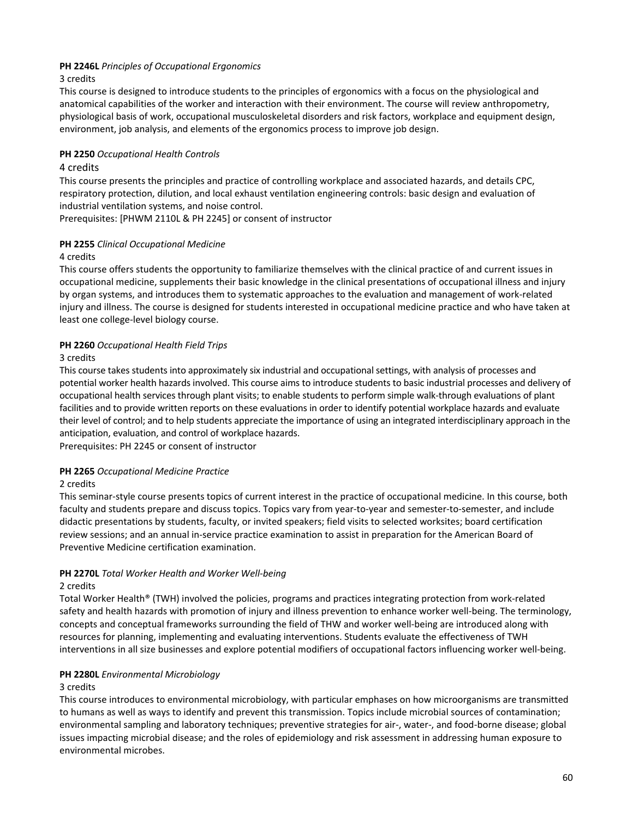# **PH 2246L** *Principles of Occupational Ergonomics*

### 3 credits

This course is designed to introduce students to the principles of ergonomics with a focus on the physiological and anatomical capabilities of the worker and interaction with their environment. The course will review anthropometry, physiological basis of work, occupational musculoskeletal disorders and risk factors, workplace and equipment design, environment, job analysis, and elements of the ergonomics process to improve job design.

### **PH 2250** *Occupational Health Controls*

### 4 credits

This course presents the principles and practice of controlling workplace and associated hazards, and details CPC, respiratory protection, dilution, and local exhaust ventilation engineering controls: basic design and evaluation of industrial ventilation systems, and noise control.

Prerequisites: [PHWM 2110L & PH 2245] or consent of instructor

## **PH 2255** *Clinical Occupational Medicine*

## 4 credits

This course offers students the opportunity to familiarize themselves with the clinical practice of and current issues in occupational medicine, supplements their basic knowledge in the clinical presentations of occupational illness and injury by organ systems, and introduces them to systematic approaches to the evaluation and management of work-related injury and illness. The course is designed for students interested in occupational medicine practice and who have taken at least one college-level biology course.

## **PH 2260** *Occupational Health Field Trips*

## 3 credits

This course takes students into approximately six industrial and occupational settings, with analysis of processes and potential worker health hazards involved. This course aims to introduce students to basic industrial processes and delivery of occupational health services through plant visits; to enable students to perform simple walk-through evaluations of plant facilities and to provide written reports on these evaluations in order to identify potential workplace hazards and evaluate their level of control; and to help students appreciate the importance of using an integrated interdisciplinary approach in the anticipation, evaluation, and control of workplace hazards.

Prerequisites: PH 2245 or consent of instructor

### **PH 2265** *Occupational Medicine Practice*

### 2 credits

This seminar-style course presents topics of current interest in the practice of occupational medicine. In this course, both faculty and students prepare and discuss topics. Topics vary from year-to-year and semester-to-semester, and include didactic presentations by students, faculty, or invited speakers; field visits to selected worksites; board certification review sessions; and an annual in-service practice examination to assist in preparation for the American Board of Preventive Medicine certification examination.

# **PH 2270L** *Total Worker Health and Worker Well-being*

### 2 credits

Total Worker Health® (TWH) involved the policies, programs and practices integrating protection from work-related safety and health hazards with promotion of injury and illness prevention to enhance worker well-being. The terminology, concepts and conceptual frameworks surrounding the field of THW and worker well-being are introduced along with resources for planning, implementing and evaluating interventions. Students evaluate the effectiveness of TWH interventions in all size businesses and explore potential modifiers of occupational factors influencing worker well-being.

### **PH 2280L** *Environmental Microbiology*

# 3 credits

This course introduces to environmental microbiology, with particular emphases on how microorganisms are transmitted to humans as well as ways to identify and prevent this transmission. Topics include microbial sources of contamination; environmental sampling and laboratory techniques; preventive strategies for air-, water-, and food-borne disease; global issues impacting microbial disease; and the roles of epidemiology and risk assessment in addressing human exposure to environmental microbes.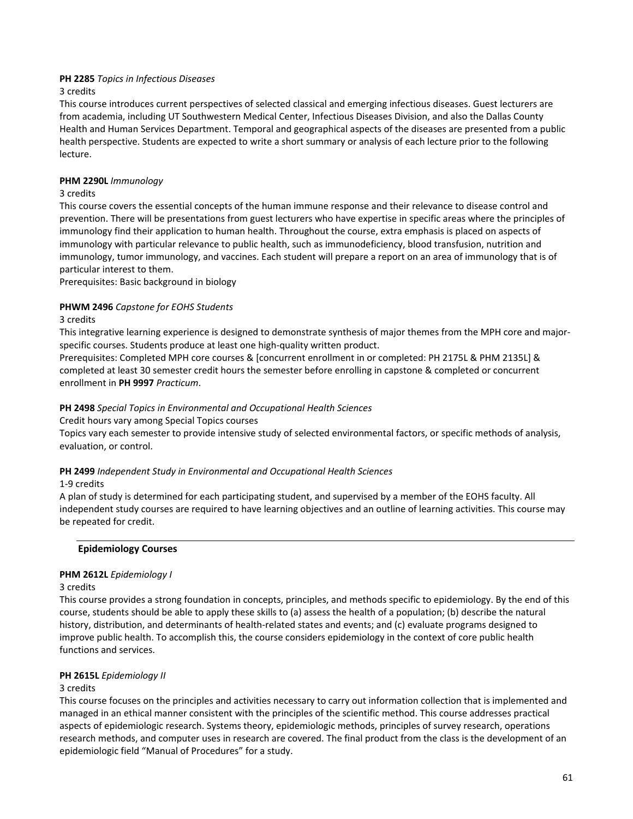## **PH 2285** *Topics in Infectious Diseases*

3 credits

This course introduces current perspectives of selected classical and emerging infectious diseases. Guest lecturers are from academia, including UT Southwestern Medical Center, Infectious Diseases Division, and also the Dallas County Health and Human Services Department. Temporal and geographical aspects of the diseases are presented from a public health perspective. Students are expected to write a short summary or analysis of each lecture prior to the following lecture.

### **PHM 2290L** *Immunology*

### 3 credits

This course covers the essential concepts of the human immune response and their relevance to disease control and prevention. There will be presentations from guest lecturers who have expertise in specific areas where the principles of immunology find their application to human health. Throughout the course, extra emphasis is placed on aspects of immunology with particular relevance to public health, such as immunodeficiency, blood transfusion, nutrition and immunology, tumor immunology, and vaccines. Each student will prepare a report on an area of immunology that is of particular interest to them.

Prerequisites: Basic background in biology

## **PHWM 2496** *Capstone for EOHS Students*

### 3 credits

This integrative learning experience is designed to demonstrate synthesis of major themes from the MPH core and majorspecific courses. Students produce at least one high-quality written product.

Prerequisites: Completed MPH core courses & [concurrent enrollment in or completed: PH 2175L & PHM 2135L] & completed at least 30 semester credit hours the semester before enrolling in capstone & completed or concurrent enrollment in **PH 9997** *Practicum*.

### **PH 2498** *Special Topics in Environmental and Occupational Health Sciences*

Credit hours vary among Special Topics courses

Topics vary each semester to provide intensive study of selected environmental factors, or specific methods of analysis, evaluation, or control.

### **PH 2499** *Independent Study in Environmental and Occupational Health Sciences*

### 1-9 credits

A plan of study is determined for each participating student, and supervised by a member of the EOHS faculty. All independent study courses are required to have learning objectives and an outline of learning activities. This course may be repeated for credit.

### **Epidemiology Courses**

### **PHM 2612L** *Epidemiology I*

### 3 credits

This course provides a strong foundation in concepts, principles, and methods specific to epidemiology. By the end of this course, students should be able to apply these skills to (a) assess the health of a population; (b) describe the natural history, distribution, and determinants of health-related states and events; and (c) evaluate programs designed to improve public health. To accomplish this, the course considers epidemiology in the context of core public health functions and services.

### **PH 2615L** *Epidemiology II*

### 3 credits

This course focuses on the principles and activities necessary to carry out information collection that is implemented and managed in an ethical manner consistent with the principles of the scientific method. This course addresses practical aspects of epidemiologic research. Systems theory, epidemiologic methods, principles of survey research, operations research methods, and computer uses in research are covered. The final product from the class is the development of an epidemiologic field "Manual of Procedures" for a study.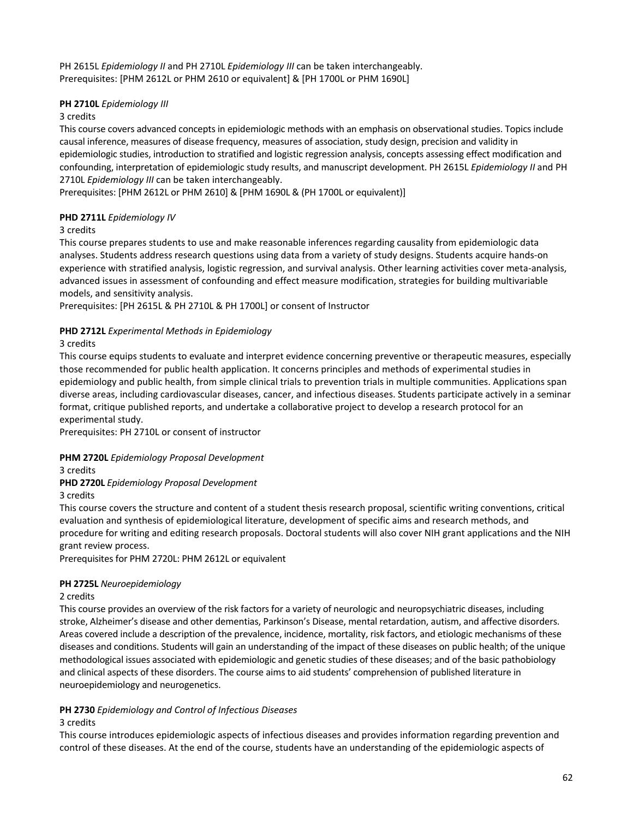PH 2615L *Epidemiology II* and PH 2710L *Epidemiology III* can be taken interchangeably. Prerequisites: [PHM 2612L or PHM 2610 or equivalent] & [PH 1700L or PHM 1690L]

# **PH 2710L** *Epidemiology III*

### 3 credits

This course covers advanced concepts in epidemiologic methods with an emphasis on observational studies. Topics include causal inference, measures of disease frequency, measures of association, study design, precision and validity in epidemiologic studies, introduction to stratified and logistic regression analysis, concepts assessing effect modification and confounding, interpretation of epidemiologic study results, and manuscript development. PH 2615L *Epidemiology II* and PH 2710L *Epidemiology III* can be taken interchangeably.

Prerequisites: [PHM 2612L or PHM 2610] & [PHM 1690L & (PH 1700L or equivalent)]

# **PHD 2711L** *Epidemiology IV*

## 3 credits

This course prepares students to use and make reasonable inferences regarding causality from epidemiologic data analyses. Students address research questions using data from a variety of study designs. Students acquire hands-on experience with stratified analysis, logistic regression, and survival analysis. Other learning activities cover meta-analysis, advanced issues in assessment of confounding and effect measure modification, strategies for building multivariable models, and sensitivity analysis.

Prerequisites: [PH 2615L & PH 2710L & PH 1700L] or consent of Instructor

## **PHD 2712L** *Experimental Methods in Epidemiology*

## 3 credits

This course equips students to evaluate and interpret evidence concerning preventive or therapeutic measures, especially those recommended for public health application. It concerns principles and methods of experimental studies in epidemiology and public health, from simple clinical trials to prevention trials in multiple communities. Applications span diverse areas, including cardiovascular diseases, cancer, and infectious diseases. Students participate actively in a seminar format, critique published reports, and undertake a collaborative project to develop a research protocol for an experimental study.

Prerequisites: PH 2710L or consent of instructor

# **PHM 2720L** *Epidemiology Proposal Development*

3 credits

### **PHD 2720L** *Epidemiology Proposal Development*

3 credits

This course covers the structure and content of a student thesis research proposal, scientific writing conventions, critical evaluation and synthesis of epidemiological literature, development of specific aims and research methods, and procedure for writing and editing research proposals. Doctoral students will also cover NIH grant applications and the NIH grant review process.

Prerequisites for PHM 2720L: PHM 2612L or equivalent

### **PH 2725L** *Neuroepidemiology*

### 2 credits

This course provides an overview of the risk factors for a variety of neurologic and neuropsychiatric diseases, including stroke, Alzheimer's disease and other dementias, Parkinson's Disease, mental retardation, autism, and affective disorders. Areas covered include a description of the prevalence, incidence, mortality, risk factors, and etiologic mechanisms of these diseases and conditions. Students will gain an understanding of the impact of these diseases on public health; of the unique methodological issues associated with epidemiologic and genetic studies of these diseases; and of the basic pathobiology and clinical aspects of these disorders. The course aims to aid students' comprehension of published literature in neuroepidemiology and neurogenetics.

# **PH 2730** *Epidemiology and Control of Infectious Diseases*

### 3 credits

This course introduces epidemiologic aspects of infectious diseases and provides information regarding prevention and control of these diseases. At the end of the course, students have an understanding of the epidemiologic aspects of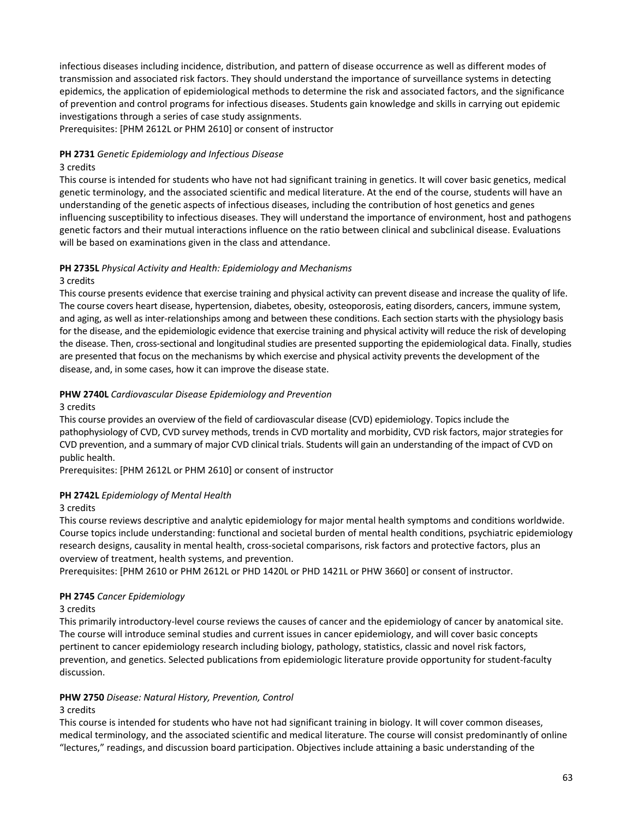infectious diseases including incidence, distribution, and pattern of disease occurrence as well as different modes of transmission and associated risk factors. They should understand the importance of surveillance systems in detecting epidemics, the application of epidemiological methods to determine the risk and associated factors, and the significance of prevention and control programs for infectious diseases. Students gain knowledge and skills in carrying out epidemic investigations through a series of case study assignments.

Prerequisites: [PHM 2612L or PHM 2610] or consent of instructor

### **PH 2731** *Genetic Epidemiology and Infectious Disease*

### 3 credits

This course is intended for students who have not had significant training in genetics. It will cover basic genetics, medical genetic terminology, and the associated scientific and medical literature. At the end of the course, students will have an understanding of the genetic aspects of infectious diseases, including the contribution of host genetics and genes influencing susceptibility to infectious diseases. They will understand the importance of environment, host and pathogens genetic factors and their mutual interactions influence on the ratio between clinical and subclinical disease. Evaluations will be based on examinations given in the class and attendance.

# **PH 2735L** *Physical Activity and Health: Epidemiology and Mechanisms*

### 3 credits

This course presents evidence that exercise training and physical activity can prevent disease and increase the quality of life. The course covers heart disease, hypertension, diabetes, obesity, osteoporosis, eating disorders, cancers, immune system, and aging, as well as inter-relationships among and between these conditions. Each section starts with the physiology basis for the disease, and the epidemiologic evidence that exercise training and physical activity will reduce the risk of developing the disease. Then, cross-sectional and longitudinal studies are presented supporting the epidemiological data. Finally, studies are presented that focus on the mechanisms by which exercise and physical activity prevents the development of the disease, and, in some cases, how it can improve the disease state.

# **PHW 2740L** *Cardiovascular Disease Epidemiology and Prevention*

### 3 credits

This course provides an overview of the field of cardiovascular disease (CVD) epidemiology. Topics include the pathophysiology of CVD, CVD survey methods, trends in CVD mortality and morbidity, CVD risk factors, major strategies for CVD prevention, and a summary of major CVD clinical trials. Students will gain an understanding of the impact of CVD on public health.

Prerequisites: [PHM 2612L or PHM 2610] or consent of instructor

# **PH 2742L** *Epidemiology of Mental Health*

### 3 credits

This course reviews descriptive and analytic epidemiology for major mental health symptoms and conditions worldwide. Course topics include understanding: functional and societal burden of mental health conditions, psychiatric epidemiology research designs, causality in mental health, cross-societal comparisons, risk factors and protective factors, plus an overview of treatment, health systems, and prevention.

Prerequisites: [PHM 2610 or PHM 2612L or PHD 1420L or PHD 1421L or PHW 3660] or consent of instructor.

# **PH 2745** *Cancer Epidemiology*

### 3 credits

This primarily introductory-level course reviews the causes of cancer and the epidemiology of cancer by anatomical site. The course will introduce seminal studies and current issues in cancer epidemiology, and will cover basic concepts pertinent to cancer epidemiology research including biology, pathology, statistics, classic and novel risk factors, prevention, and genetics. Selected publications from epidemiologic literature provide opportunity for student-faculty discussion.

# **PHW 2750** *Disease: Natural History, Prevention, Control*

### 3 credits

This course is intended for students who have not had significant training in biology. It will cover common diseases, medical terminology, and the associated scientific and medical literature. The course will consist predominantly of online "lectures," readings, and discussion board participation. Objectives include attaining a basic understanding of the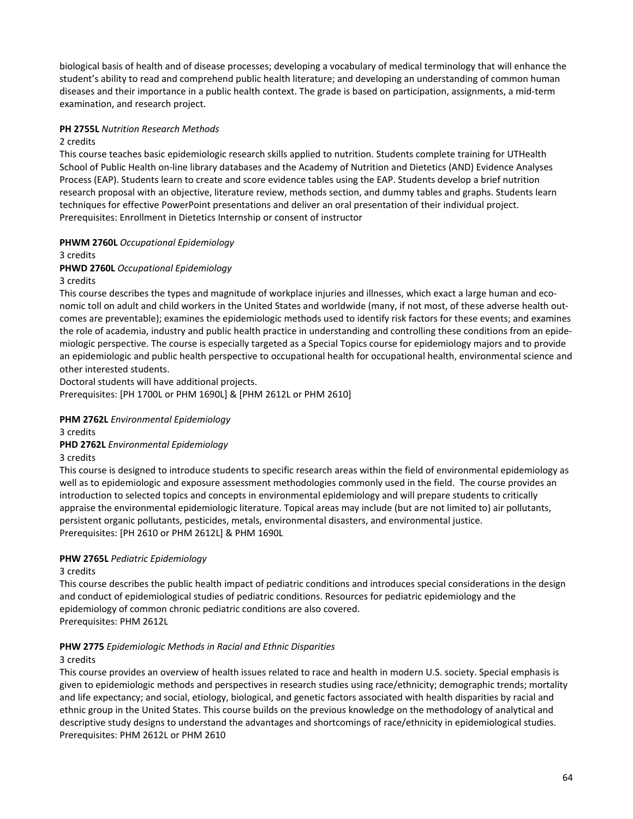biological basis of health and of disease processes; developing a vocabulary of medical terminology that will enhance the student's ability to read and comprehend public health literature; and developing an understanding of common human diseases and their importance in a public health context. The grade is based on participation, assignments, a mid-term examination, and research project.

### **PH 2755L** *Nutrition Research Methods*

### 2 credits

This course teaches basic epidemiologic research skills applied to nutrition. Students complete training for UTHealth School of Public Health on-line library databases and the Academy of Nutrition and Dietetics (AND) Evidence Analyses Process (EAP). Students learn to create and score evidence tables using the EAP. Students develop a brief nutrition research proposal with an objective, literature review, methods section, and dummy tables and graphs. Students learn techniques for effective PowerPoint presentations and deliver an oral presentation of their individual project. Prerequisites: Enrollment in Dietetics Internship or consent of instructor

## **PHWM 2760L** *Occupational Epidemiology*

### 3 credits

## **PHWD 2760L** *Occupational Epidemiology*

### 3 credits

This course describes the types and magnitude of workplace injuries and illnesses, which exact a large human and economic toll on adult and child workers in the United States and worldwide (many, if not most, of these adverse health outcomes are preventable); examines the epidemiologic methods used to identify risk factors for these events; and examines the role of academia, industry and public health practice in understanding and controlling these conditions from an epidemiologic perspective. The course is especially targeted as a Special Topics course for epidemiology majors and to provide an epidemiologic and public health perspective to occupational health for occupational health, environmental science and other interested students.

Doctoral students will have additional projects. Prerequisites: [PH 1700L or PHM 1690L] & [PHM 2612L or PHM 2610]

# **PHM 2762L** *Environmental Epidemiology*

3 credits

# **PHD 2762L** *Environmental Epidemiology*

### 3 credits

This course is designed to introduce students to specific research areas within the field of environmental epidemiology as well as to epidemiologic and exposure assessment methodologies commonly used in the field. The course provides an introduction to selected topics and concepts in environmental epidemiology and will prepare students to critically appraise the environmental epidemiologic literature. Topical areas may include (but are not limited to) air pollutants, persistent organic pollutants, pesticides, metals, environmental disasters, and environmental justice. Prerequisites: [PH 2610 or PHM 2612L] & PHM 1690L

# **PHW 2765L** *Pediatric Epidemiology*

### 3 credits

This course describes the public health impact of pediatric conditions and introduces special considerations in the design and conduct of epidemiological studies of pediatric conditions. Resources for pediatric epidemiology and the epidemiology of common chronic pediatric conditions are also covered. Prerequisites: PHM 2612L

# **PHW 2775** *Epidemiologic Methods in Racial and Ethnic Disparities*

# 3 credits

This course provides an overview of health issues related to race and health in modern U.S. society. Special emphasis is given to epidemiologic methods and perspectives in research studies using race/ethnicity; demographic trends; mortality and life expectancy; and social, etiology, biological, and genetic factors associated with health disparities by racial and ethnic group in the United States. This course builds on the previous knowledge on the methodology of analytical and descriptive study designs to understand the advantages and shortcomings of race/ethnicity in epidemiological studies. Prerequisites: PHM 2612L or PHM 2610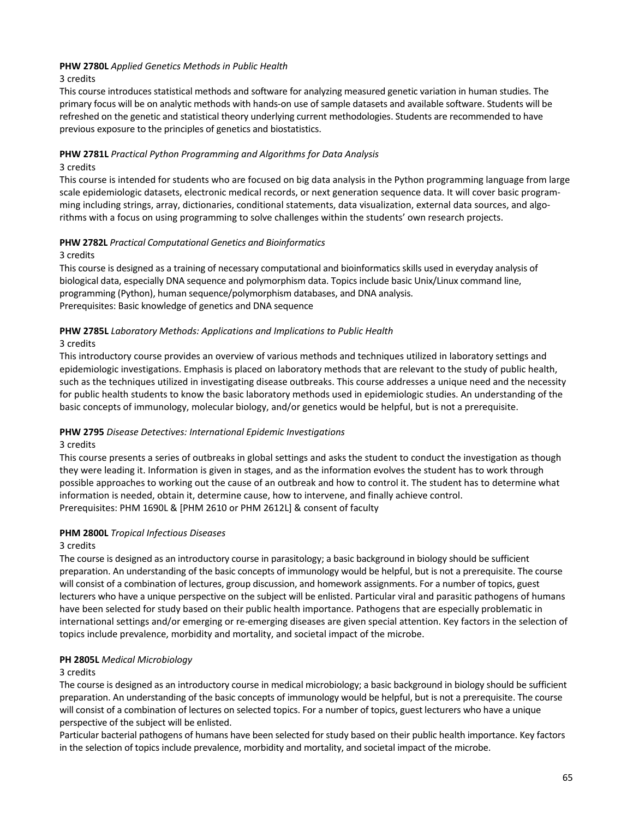# **PHW 2780L** *Applied Genetics Methods in Public Health*

### 3 credits

This course introduces statistical methods and software for analyzing measured genetic variation in human studies. The primary focus will be on analytic methods with hands-on use of sample datasets and available software. Students will be refreshed on the genetic and statistical theory underlying current methodologies. Students are recommended to have previous exposure to the principles of genetics and biostatistics.

# **PHW 2781L** *Practical Python Programming and Algorithms for Data Analysis*

### 3 credits

This course is intended for students who are focused on big data analysis in the Python programming language from large scale epidemiologic datasets, electronic medical records, or next generation sequence data. It will cover basic programming including strings, array, dictionaries, conditional statements, data visualization, external data sources, and algorithms with a focus on using programming to solve challenges within the students' own research projects.

## **PHW 2782L** *Practical Computational Genetics and Bioinformatics*

## 3 credits

This course is designed as a training of necessary computational and bioinformatics skills used in everyday analysis of biological data, especially DNA sequence and polymorphism data. Topics include basic Unix/Linux command line, programming (Python), human sequence/polymorphism databases, and DNA analysis. Prerequisites: Basic knowledge of genetics and DNA sequence

## **PHW 2785L** *Laboratory Methods: Applications and Implications to Public Health*

# 3 credits

This introductory course provides an overview of various methods and techniques utilized in laboratory settings and epidemiologic investigations. Emphasis is placed on laboratory methods that are relevant to the study of public health, such as the techniques utilized in investigating disease outbreaks. This course addresses a unique need and the necessity for public health students to know the basic laboratory methods used in epidemiologic studies. An understanding of the basic concepts of immunology, molecular biology, and/or genetics would be helpful, but is not a prerequisite.

# **PHW 2795** *Disease Detectives: International Epidemic Investigations*

### 3 credits

This course presents a series of outbreaks in global settings and asks the student to conduct the investigation as though they were leading it. Information is given in stages, and as the information evolves the student has to work through possible approaches to working out the cause of an outbreak and how to control it. The student has to determine what information is needed, obtain it, determine cause, how to intervene, and finally achieve control. Prerequisites: PHM 1690L & [PHM 2610 or PHM 2612L] & consent of faculty

# **PHM 2800L** *Tropical Infectious Diseases*

# 3 credits

The course is designed as an introductory course in parasitology; a basic background in biology should be sufficient preparation. An understanding of the basic concepts of immunology would be helpful, but is not a prerequisite. The course will consist of a combination of lectures, group discussion, and homework assignments. For a number of topics, guest lecturers who have a unique perspective on the subject will be enlisted. Particular viral and parasitic pathogens of humans have been selected for study based on their public health importance. Pathogens that are especially problematic in international settings and/or emerging or re-emerging diseases are given special attention. Key factors in the selection of topics include prevalence, morbidity and mortality, and societal impact of the microbe.

# **PH 2805L** *Medical Microbiology*

### 3 credits

The course is designed as an introductory course in medical microbiology; a basic background in biology should be sufficient preparation. An understanding of the basic concepts of immunology would be helpful, but is not a prerequisite. The course will consist of a combination of lectures on selected topics. For a number of topics, guest lecturers who have a unique perspective of the subject will be enlisted.

Particular bacterial pathogens of humans have been selected for study based on their public health importance. Key factors in the selection of topics include prevalence, morbidity and mortality, and societal impact of the microbe.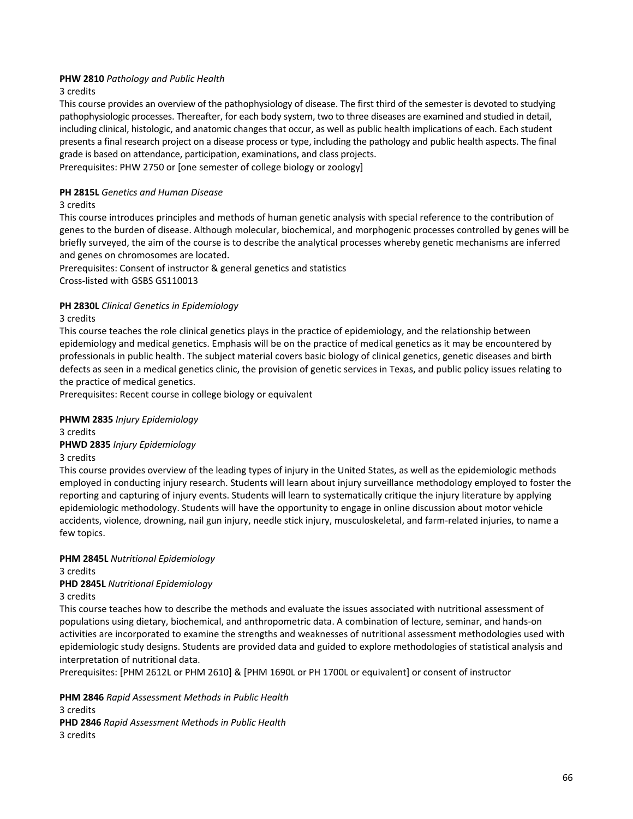# **PHW 2810** *Pathology and Public Health*

3 credits

This course provides an overview of the pathophysiology of disease. The first third of the semester is devoted to studying pathophysiologic processes. Thereafter, for each body system, two to three diseases are examined and studied in detail, including clinical, histologic, and anatomic changes that occur, as well as public health implications of each. Each student presents a final research project on a disease process or type, including the pathology and public health aspects. The final grade is based on attendance, participation, examinations, and class projects.

Prerequisites: PHW 2750 or [one semester of college biology or zoology]

#### **PH 2815L** *Genetics and Human Disease*

#### 3 credits

This course introduces principles and methods of human genetic analysis with special reference to the contribution of genes to the burden of disease. Although molecular, biochemical, and morphogenic processes controlled by genes will be briefly surveyed, the aim of the course is to describe the analytical processes whereby genetic mechanisms are inferred and genes on chromosomes are located.

Prerequisites: Consent of instructor & general genetics and statistics Cross-listed with GSBS GS110013

### **PH 2830L** *Clinical Genetics in Epidemiology*

#### 3 credits

This course teaches the role clinical genetics plays in the practice of epidemiology, and the relationship between epidemiology and medical genetics. Emphasis will be on the practice of medical genetics as it may be encountered by professionals in public health. The subject material covers basic biology of clinical genetics, genetic diseases and birth defects as seen in a medical genetics clinic, the provision of genetic services in Texas, and public policy issues relating to the practice of medical genetics.

Prerequisites: Recent course in college biology or equivalent

### **PHWM 2835** *Injury Epidemiology*

3 credits

### **PHWD 2835** *Injury Epidemiology*

### 3 credits

This course provides overview of the leading types of injury in the United States, as well as the epidemiologic methods employed in conducting injury research. Students will learn about injury surveillance methodology employed to foster the reporting and capturing of injury events. Students will learn to systematically critique the injury literature by applying epidemiologic methodology. Students will have the opportunity to engage in online discussion about motor vehicle accidents, violence, drowning, nail gun injury, needle stick injury, musculoskeletal, and farm-related injuries, to name a few topics.

### **PHM 2845L** *Nutritional Epidemiology*

3 credits

### **PHD 2845L** *Nutritional Epidemiology*

### 3 credits

This course teaches how to describe the methods and evaluate the issues associated with nutritional assessment of populations using dietary, biochemical, and anthropometric data. A combination of lecture, seminar, and hands-on activities are incorporated to examine the strengths and weaknesses of nutritional assessment methodologies used with epidemiologic study designs. Students are provided data and guided to explore methodologies of statistical analysis and interpretation of nutritional data.

Prerequisites: [PHM 2612L or PHM 2610] & [PHM 1690L or PH 1700L or equivalent] or consent of instructor

**PHM 2846** *Rapid Assessment Methods in Public Health* 3 credits **PHD 2846** *Rapid Assessment Methods in Public Health* 3 credits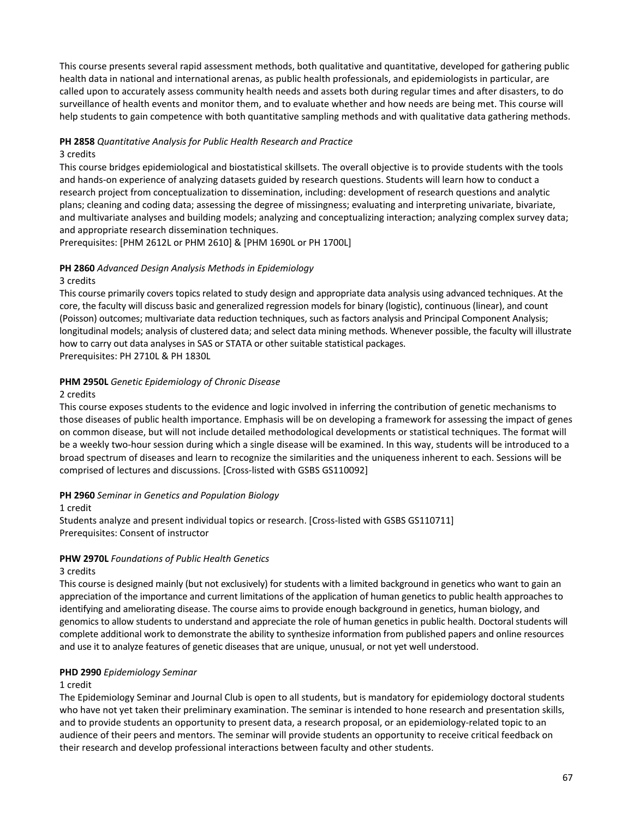This course presents several rapid assessment methods, both qualitative and quantitative, developed for gathering public health data in national and international arenas, as public health professionals, and epidemiologists in particular, are called upon to accurately assess community health needs and assets both during regular times and after disasters, to do surveillance of health events and monitor them, and to evaluate whether and how needs are being met. This course will help students to gain competence with both quantitative sampling methods and with qualitative data gathering methods.

# **PH 2858** *Quantitative Analysis for Public Health Research and Practice*

#### 3 credits

This course bridges epidemiological and biostatistical skillsets. The overall objective is to provide students with the tools and hands-on experience of analyzing datasets guided by research questions. Students will learn how to conduct a research project from conceptualization to dissemination, including: development of research questions and analytic plans; cleaning and coding data; assessing the degree of missingness; evaluating and interpreting univariate, bivariate, and multivariate analyses and building models; analyzing and conceptualizing interaction; analyzing complex survey data; and appropriate research dissemination techniques.

Prerequisites: [PHM 2612L or PHM 2610] & [PHM 1690L or PH 1700L]

# **PH 2860** *Advanced Design Analysis Methods in Epidemiology*

#### 3 credits

This course primarily covers topics related to study design and appropriate data analysis using advanced techniques. At the core, the faculty will discuss basic and generalized regression models for binary (logistic), continuous (linear), and count (Poisson) outcomes; multivariate data reduction techniques, such as factors analysis and Principal Component Analysis; longitudinal models; analysis of clustered data; and select data mining methods. Whenever possible, the faculty will illustrate how to carry out data analyses in SAS or STATA or other suitable statistical packages. Prerequisites: PH 2710L & PH 1830L

## **PHM 2950L** *Genetic Epidemiology of Chronic Disease*

### 2 credits

This course exposes students to the evidence and logic involved in inferring the contribution of genetic mechanisms to those diseases of public health importance. Emphasis will be on developing a framework for assessing the impact of genes on common disease, but will not include detailed methodological developments or statistical techniques. The format will be a weekly two-hour session during which a single disease will be examined. In this way, students will be introduced to a broad spectrum of diseases and learn to recognize the similarities and the uniqueness inherent to each. Sessions will be comprised of lectures and discussions. [Cross-listed with GSBS GS110092]

### **PH 2960** *Seminar in Genetics and Population Biology*

#### 1 credit

Students analyze and present individual topics or research. [Cross-listed with GSBS GS110711] Prerequisites: Consent of instructor

### **PHW 2970L** *Foundations of Public Health Genetics*

### 3 credits

This course is designed mainly (but not exclusively) for students with a limited background in genetics who want to gain an appreciation of the importance and current limitations of the application of human genetics to public health approaches to identifying and ameliorating disease. The course aims to provide enough background in genetics, human biology, and genomics to allow students to understand and appreciate the role of human genetics in public health. Doctoral students will complete additional work to demonstrate the ability to synthesize information from published papers and online resources and use it to analyze features of genetic diseases that are unique, unusual, or not yet well understood.

### **PHD 2990** *Epidemiology Seminar*

### 1 credit

The Epidemiology Seminar and Journal Club is open to all students, but is mandatory for epidemiology doctoral students who have not yet taken their preliminary examination. The seminar is intended to hone research and presentation skills, and to provide students an opportunity to present data, a research proposal, or an epidemiology-related topic to an audience of their peers and mentors. The seminar will provide students an opportunity to receive critical feedback on their research and develop professional interactions between faculty and other students.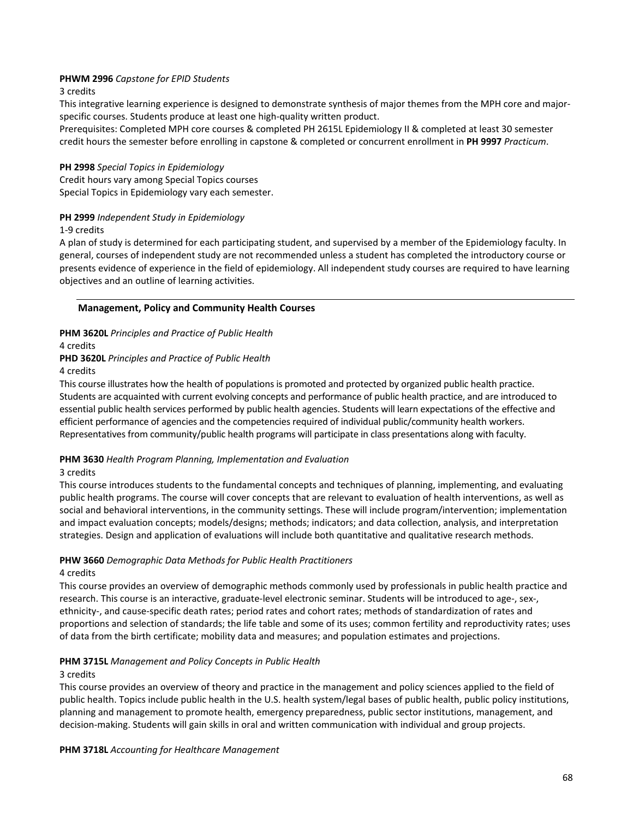## **PHWM 2996** *Capstone for EPID Students*

#### 3 credits

This integrative learning experience is designed to demonstrate synthesis of major themes from the MPH core and majorspecific courses. Students produce at least one high-quality written product.

Prerequisites: Completed MPH core courses & completed PH 2615L Epidemiology II & completed at least 30 semester credit hours the semester before enrolling in capstone & completed or concurrent enrollment in **PH 9997** *Practicum*.

#### **PH 2998** *Special Topics in Epidemiology*

Credit hours vary among Special Topics courses Special Topics in Epidemiology vary each semester.

### **PH 2999** *Independent Study in Epidemiology*

#### 1-9 credits

A plan of study is determined for each participating student, and supervised by a member of the Epidemiology faculty. In general, courses of independent study are not recommended unless a student has completed the introductory course or presents evidence of experience in the field of epidemiology. All independent study courses are required to have learning objectives and an outline of learning activities.

#### **Management, Policy and Community Health Courses**

#### **PHM 3620L** *Principles and Practice of Public Health*

4 credits

#### **PHD 3620L** *Principles and Practice of Public Health*

4 credits

This course illustrates how the health of populations is promoted and protected by organized public health practice. Students are acquainted with current evolving concepts and performance of public health practice, and are introduced to essential public health services performed by public health agencies. Students will learn expectations of the effective and efficient performance of agencies and the competencies required of individual public/community health workers. Representatives from community/public health programs will participate in class presentations along with faculty.

### **PHM 3630** *Health Program Planning, Implementation and Evaluation*

#### 3 credits

This course introduces students to the fundamental concepts and techniques of planning, implementing, and evaluating public health programs. The course will cover concepts that are relevant to evaluation of health interventions, as well as social and behavioral interventions, in the community settings. These will include program/intervention; implementation and impact evaluation concepts; models/designs; methods; indicators; and data collection, analysis, and interpretation strategies. Design and application of evaluations will include both quantitative and qualitative research methods.

# **PHW 3660** *Demographic Data Methods for Public Health Practitioners*

# 4 credits

This course provides an overview of demographic methods commonly used by professionals in public health practice and research. This course is an interactive, graduate-level electronic seminar. Students will be introduced to age-, sex-, ethnicity-, and cause-specific death rates; period rates and cohort rates; methods of standardization of rates and proportions and selection of standards; the life table and some of its uses; common fertility and reproductivity rates; uses of data from the birth certificate; mobility data and measures; and population estimates and projections.

### **PHM 3715L** *Management and Policy Concepts in Public Health*

#### 3 credits

This course provides an overview of theory and practice in the management and policy sciences applied to the field of public health. Topics include public health in the U.S. health system/legal bases of public health, public policy institutions, planning and management to promote health, emergency preparedness, public sector institutions, management, and decision-making. Students will gain skills in oral and written communication with individual and group projects.

#### **PHM 3718L** *Accounting for Healthcare Management*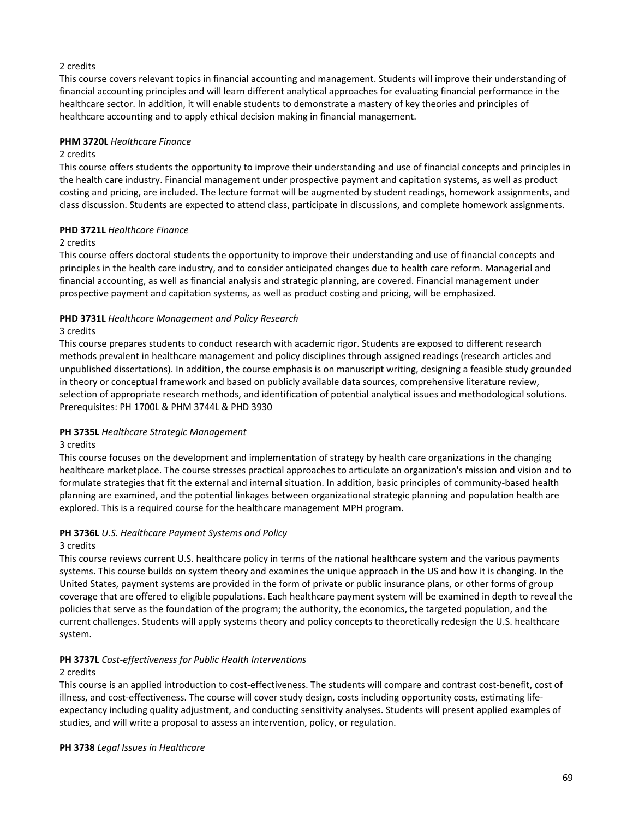# 2 credits

This course covers relevant topics in financial accounting and management. Students will improve their understanding of financial accounting principles and will learn different analytical approaches for evaluating financial performance in the healthcare sector. In addition, it will enable students to demonstrate a mastery of key theories and principles of healthcare accounting and to apply ethical decision making in financial management.

## **PHM 3720L** *Healthcare Finance*

### 2 credits

This course offers students the opportunity to improve their understanding and use of financial concepts and principles in the health care industry. Financial management under prospective payment and capitation systems, as well as product costing and pricing, are included. The lecture format will be augmented by student readings, homework assignments, and class discussion. Students are expected to attend class, participate in discussions, and complete homework assignments.

### **PHD 3721L** *Healthcare Finance*

## 2 credits

This course offers doctoral students the opportunity to improve their understanding and use of financial concepts and principles in the health care industry, and to consider anticipated changes due to health care reform. Managerial and financial accounting, as well as financial analysis and strategic planning, are covered. Financial management under prospective payment and capitation systems, as well as product costing and pricing, will be emphasized.

## **PHD 3731L** *Healthcare Management and Policy Research*

## 3 credits

This course prepares students to conduct research with academic rigor. Students are exposed to different research methods prevalent in healthcare management and policy disciplines through assigned readings (research articles and unpublished dissertations). In addition, the course emphasis is on manuscript writing, designing a feasible study grounded in theory or conceptual framework and based on publicly available data sources, comprehensive literature review, selection of appropriate research methods, and identification of potential analytical issues and methodological solutions. Prerequisites: PH 1700L & PHM 3744L & PHD 3930

### **PH 3735L** *Healthcare Strategic Management*

### 3 credits

This course focuses on the development and implementation of strategy by health care organizations in the changing healthcare marketplace. The course stresses practical approaches to articulate an organization's mission and vision and to formulate strategies that fit the external and internal situation. In addition, basic principles of community-based health planning are examined, and the potential linkages between organizational strategic planning and population health are explored. This is a required course for the healthcare management MPH program.

### **PH 3736L** *U.S. Healthcare Payment Systems and Policy*

### 3 credits

This course reviews current U.S. healthcare policy in terms of the national healthcare system and the various payments systems. This course builds on system theory and examines the unique approach in the US and how it is changing. In the United States, payment systems are provided in the form of private or public insurance plans, or other forms of group coverage that are offered to eligible populations. Each healthcare payment system will be examined in depth to reveal the policies that serve as the foundation of the program; the authority, the economics, the targeted population, and the current challenges. Students will apply systems theory and policy concepts to theoretically redesign the U.S. healthcare system.

# **PH 3737L** *Cost-effectiveness for Public Health Interventions*

### 2 credits

This course is an applied introduction to cost-effectiveness. The students will compare and contrast cost-benefit, cost of illness, and cost-effectiveness. The course will cover study design, costs including opportunity costs, estimating lifeexpectancy including quality adjustment, and conducting sensitivity analyses. Students will present applied examples of studies, and will write a proposal to assess an intervention, policy, or regulation.

**PH 3738** *Legal Issues in Healthcare*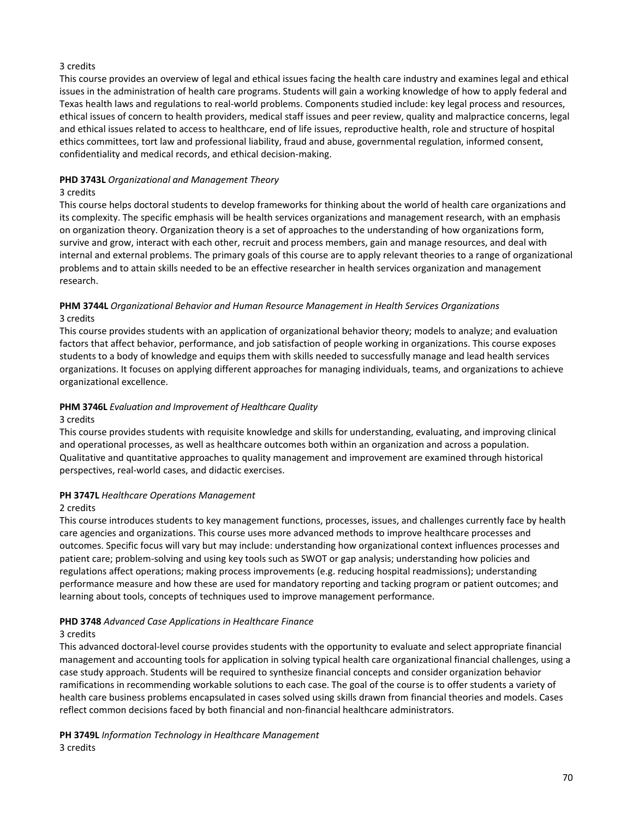# 3 credits

This course provides an overview of legal and ethical issues facing the health care industry and examines legal and ethical issues in the administration of health care programs. Students will gain a working knowledge of how to apply federal and Texas health laws and regulations to real-world problems. Components studied include: key legal process and resources, ethical issues of concern to health providers, medical staff issues and peer review, quality and malpractice concerns, legal and ethical issues related to access to healthcare, end of life issues, reproductive health, role and structure of hospital ethics committees, tort law and professional liability, fraud and abuse, governmental regulation, informed consent, confidentiality and medical records, and ethical decision-making.

# **PHD 3743L** *Organizational and Management Theory*

### 3 credits

This course helps doctoral students to develop frameworks for thinking about the world of health care organizations and its complexity. The specific emphasis will be health services organizations and management research, with an emphasis on organization theory. Organization theory is a set of approaches to the understanding of how organizations form, survive and grow, interact with each other, recruit and process members, gain and manage resources, and deal with internal and external problems. The primary goals of this course are to apply relevant theories to a range of organizational problems and to attain skills needed to be an effective researcher in health services organization and management research.

### **PHM 3744L** *Organizational Behavior and Human Resource Management in Health Services Organizations*  3 credits

This course provides students with an application of organizational behavior theory; models to analyze; and evaluation factors that affect behavior, performance, and job satisfaction of people working in organizations. This course exposes students to a body of knowledge and equips them with skills needed to successfully manage and lead health services organizations. It focuses on applying different approaches for managing individuals, teams, and organizations to achieve organizational excellence.

# **PHM 3746L** *Evaluation and Improvement of Healthcare Quality*

### 3 credits

This course provides students with requisite knowledge and skills for understanding, evaluating, and improving clinical and operational processes, as well as healthcare outcomes both within an organization and across a population. Qualitative and quantitative approaches to quality management and improvement are examined through historical perspectives, real-world cases, and didactic exercises.

### **PH 3747L** *Healthcare Operations Management*

### 2 credits

This course introduces students to key management functions, processes, issues, and challenges currently face by health care agencies and organizations. This course uses more advanced methods to improve healthcare processes and outcomes. Specific focus will vary but may include: understanding how organizational context influences processes and patient care; problem-solving and using key tools such as SWOT or gap analysis; understanding how policies and regulations affect operations; making process improvements (e.g. reducing hospital readmissions); understanding performance measure and how these are used for mandatory reporting and tacking program or patient outcomes; and learning about tools, concepts of techniques used to improve management performance.

### **PHD 3748** *Advanced Case Applications in Healthcare Finance*

### 3 credits

This advanced doctoral-level course provides students with the opportunity to evaluate and select appropriate financial management and accounting tools for application in solving typical health care organizational financial challenges, using a case study approach. Students will be required to synthesize financial concepts and consider organization behavior ramifications in recommending workable solutions to each case. The goal of the course is to offer students a variety of health care business problems encapsulated in cases solved using skills drawn from financial theories and models. Cases reflect common decisions faced by both financial and non-financial healthcare administrators.

**PH 3749L** *Information Technology in Healthcare Management* 3 credits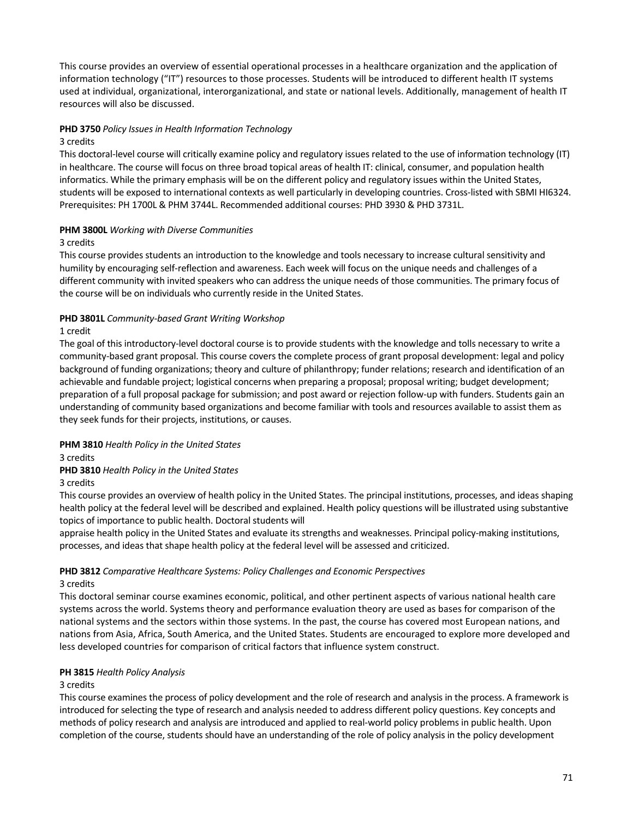This course provides an overview of essential operational processes in a healthcare organization and the application of information technology ("IT") resources to those processes. Students will be introduced to different health IT systems used at individual, organizational, interorganizational, and state or national levels. Additionally, management of health IT resources will also be discussed.

## **PHD 3750** *Policy Issues in Health Information Technology*

#### 3 credits

This doctoral-level course will critically examine policy and regulatory issues related to the use of information technology (IT) in healthcare. The course will focus on three broad topical areas of health IT: clinical, consumer, and population health informatics. While the primary emphasis will be on the different policy and regulatory issues within the United States, students will be exposed to international contexts as well particularly in developing countries. Cross-listed with SBMI HI6324. Prerequisites: PH 1700L & PHM 3744L. Recommended additional courses: PHD 3930 & PHD 3731L.

#### **PHM 3800L** *Working with Diverse Communities*

#### 3 credits

This course provides students an introduction to the knowledge and tools necessary to increase cultural sensitivity and humility by encouraging self-reflection and awareness. Each week will focus on the unique needs and challenges of a different community with invited speakers who can address the unique needs of those communities. The primary focus of the course will be on individuals who currently reside in the United States.

## **PHD 3801L** *Community-based Grant Writing Workshop*

#### 1 credit

The goal of this introductory-level doctoral course is to provide students with the knowledge and tolls necessary to write a community-based grant proposal. This course covers the complete process of grant proposal development: legal and policy background of funding organizations; theory and culture of philanthropy; funder relations; research and identification of an achievable and fundable project; logistical concerns when preparing a proposal; proposal writing; budget development; preparation of a full proposal package for submission; and post award or rejection follow-up with funders. Students gain an understanding of community based organizations and become familiar with tools and resources available to assist them as they seek funds for their projects, institutions, or causes.

#### **PHM 3810** *Health Policy in the United States*

#### 3 credits

**PHD 3810** *Health Policy in the United States*

#### 3 credits

This course provides an overview of health policy in the United States. The principal institutions, processes, and ideas shaping health policy at the federal level will be described and explained. Health policy questions will be illustrated using substantive topics of importance to public health. Doctoral students will

appraise health policy in the United States and evaluate its strengths and weaknesses. Principal policy-making institutions, processes, and ideas that shape health policy at the federal level will be assessed and criticized.

#### **PHD 3812** *Comparative Healthcare Systems: Policy Challenges and Economic Perspectives*

#### 3 credits

This doctoral seminar course examines economic, political, and other pertinent aspects of various national health care systems across the world. Systems theory and performance evaluation theory are used as bases for comparison of the national systems and the sectors within those systems. In the past, the course has covered most European nations, and nations from Asia, Africa, South America, and the United States. Students are encouraged to explore more developed and less developed countries for comparison of critical factors that influence system construct.

#### **PH 3815** *Health Policy Analysis*

#### 3 credits

This course examines the process of policy development and the role of research and analysis in the process. A framework is introduced for selecting the type of research and analysis needed to address different policy questions. Key concepts and methods of policy research and analysis are introduced and applied to real-world policy problems in public health. Upon completion of the course, students should have an understanding of the role of policy analysis in the policy development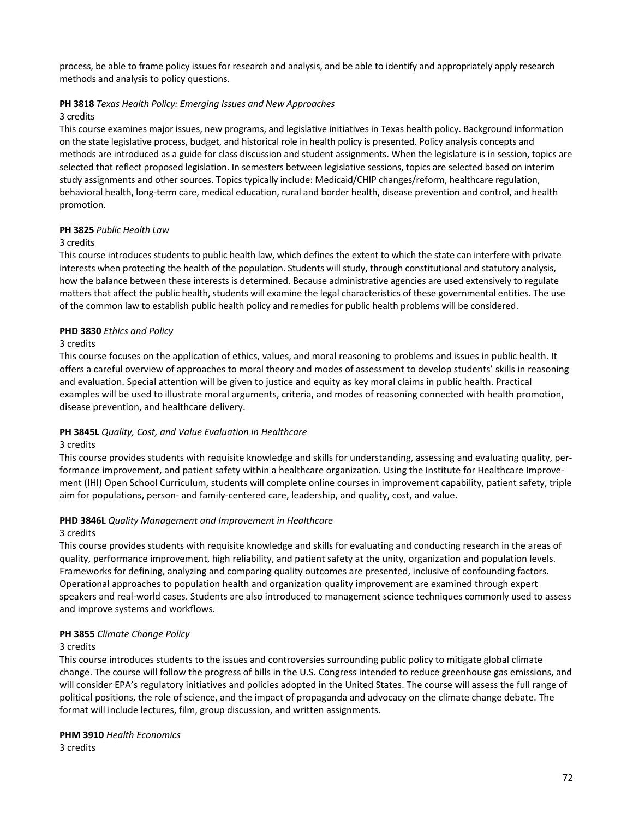process, be able to frame policy issues for research and analysis, and be able to identify and appropriately apply research methods and analysis to policy questions.

#### **PH 3818** *Texas Health Policy: Emerging Issues and New Approaches*

#### 3 credits

This course examines major issues, new programs, and legislative initiatives in Texas health policy. Background information on the state legislative process, budget, and historical role in health policy is presented. Policy analysis concepts and methods are introduced as a guide for class discussion and student assignments. When the legislature is in session, topics are selected that reflect proposed legislation. In semesters between legislative sessions, topics are selected based on interim study assignments and other sources. Topics typically include: Medicaid/CHIP changes/reform, healthcare regulation, behavioral health, long-term care, medical education, rural and border health, disease prevention and control, and health promotion.

## **PH 3825** *Public Health Law*

#### 3 credits

This course introduces students to public health law, which defines the extent to which the state can interfere with private interests when protecting the health of the population. Students will study, through constitutional and statutory analysis, how the balance between these interests is determined. Because administrative agencies are used extensively to regulate matters that affect the public health, students will examine the legal characteristics of these governmental entities. The use of the common law to establish public health policy and remedies for public health problems will be considered.

## **PHD 3830** *Ethics and Policy*

## 3 credits

This course focuses on the application of ethics, values, and moral reasoning to problems and issues in public health. It offers a careful overview of approaches to moral theory and modes of assessment to develop students' skills in reasoning and evaluation. Special attention will be given to justice and equity as key moral claims in public health. Practical examples will be used to illustrate moral arguments, criteria, and modes of reasoning connected with health promotion, disease prevention, and healthcare delivery.

## **PH 3845L** *Quality, Cost, and Value Evaluation in Healthcare*

#### 3 credits

This course provides students with requisite knowledge and skills for understanding, assessing and evaluating quality, performance improvement, and patient safety within a healthcare organization. Using the Institute for Healthcare Improvement (IHI) Open School Curriculum, students will complete online courses in improvement capability, patient safety, triple aim for populations, person- and family-centered care, leadership, and quality, cost, and value.

#### **PHD 3846L** *Quality Management and Improvement in Healthcare*

#### 3 credits

This course provides students with requisite knowledge and skills for evaluating and conducting research in the areas of quality, performance improvement, high reliability, and patient safety at the unity, organization and population levels. Frameworks for defining, analyzing and comparing quality outcomes are presented, inclusive of confounding factors. Operational approaches to population health and organization quality improvement are examined through expert speakers and real-world cases. Students are also introduced to management science techniques commonly used to assess and improve systems and workflows.

#### **PH 3855** *Climate Change Policy*

#### 3 credits

This course introduces students to the issues and controversies surrounding public policy to mitigate global climate change. The course will follow the progress of bills in the U.S. Congress intended to reduce greenhouse gas emissions, and will consider EPA's regulatory initiatives and policies adopted in the United States. The course will assess the full range of political positions, the role of science, and the impact of propaganda and advocacy on the climate change debate. The format will include lectures, film, group discussion, and written assignments.

#### **PHM 3910** *Health Economics* 3 credits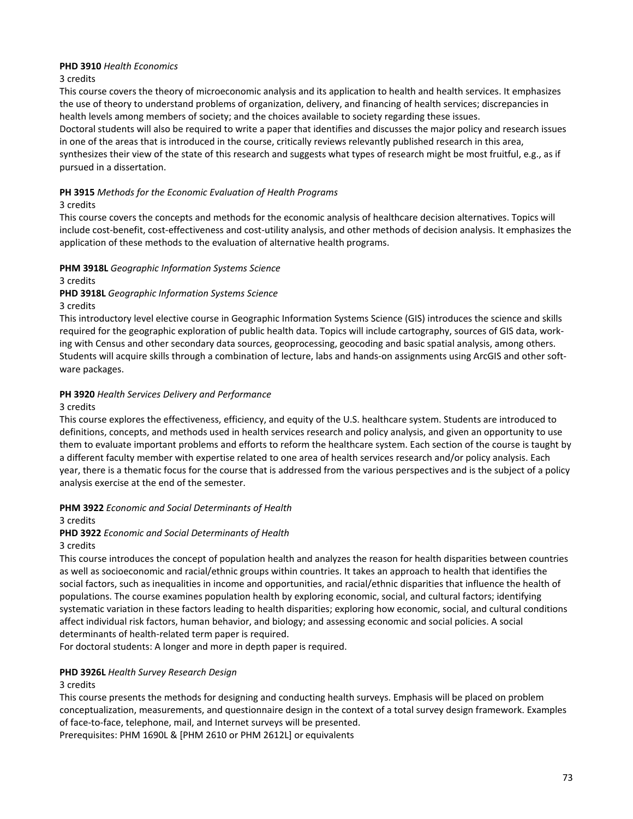## **PHD 3910** *Health Economics*

#### 3 credits

This course covers the theory of microeconomic analysis and its application to health and health services. It emphasizes the use of theory to understand problems of organization, delivery, and financing of health services; discrepancies in health levels among members of society; and the choices available to society regarding these issues. Doctoral students will also be required to write a paper that identifies and discusses the major policy and research issues in one of the areas that is introduced in the course, critically reviews relevantly published research in this area, synthesizes their view of the state of this research and suggests what types of research might be most fruitful, e.g., as if pursued in a dissertation.

## **PH 3915** *Methods for the Economic Evaluation of Health Programs*

## 3 credits

This course covers the concepts and methods for the economic analysis of healthcare decision alternatives. Topics will include cost-benefit, cost-effectiveness and cost-utility analysis, and other methods of decision analysis. It emphasizes the application of these methods to the evaluation of alternative health programs.

## **PHM 3918L** *Geographic Information Systems Science*

3 credits

## **PHD 3918L** *Geographic Information Systems Science*

#### 3 credits

This introductory level elective course in Geographic Information Systems Science (GIS) introduces the science and skills required for the geographic exploration of public health data. Topics will include cartography, sources of GIS data, working with Census and other secondary data sources, geoprocessing, geocoding and basic spatial analysis, among others. Students will acquire skills through a combination of lecture, labs and hands-on assignments using ArcGIS and other software packages.

## **PH 3920** *Health Services Delivery and Performance*

#### 3 credits

This course explores the effectiveness, efficiency, and equity of the U.S. healthcare system. Students are introduced to definitions, concepts, and methods used in health services research and policy analysis, and given an opportunity to use them to evaluate important problems and efforts to reform the healthcare system. Each section of the course is taught by a different faculty member with expertise related to one area of health services research and/or policy analysis. Each year, there is a thematic focus for the course that is addressed from the various perspectives and is the subject of a policy analysis exercise at the end of the semester.

#### **PHM 3922** *Economic and Social Determinants of Health*

3 credits

## **PHD 3922** *Economic and Social Determinants of Health*

3 credits

This course introduces the concept of population health and analyzes the reason for health disparities between countries as well as socioeconomic and racial/ethnic groups within countries. It takes an approach to health that identifies the social factors, such as inequalities in income and opportunities, and racial/ethnic disparities that influence the health of populations. The course examines population health by exploring economic, social, and cultural factors; identifying systematic variation in these factors leading to health disparities; exploring how economic, social, and cultural conditions affect individual risk factors, human behavior, and biology; and assessing economic and social policies. A social determinants of health-related term paper is required.

For doctoral students: A longer and more in depth paper is required.

## **PHD 3926L** *Health Survey Research Design*

## 3 credits

This course presents the methods for designing and conducting health surveys. Emphasis will be placed on problem conceptualization, measurements, and questionnaire design in the context of a total survey design framework. Examples of face-to-face, telephone, mail, and Internet surveys will be presented.

Prerequisites: PHM 1690L & [PHM 2610 or PHM 2612L] or equivalents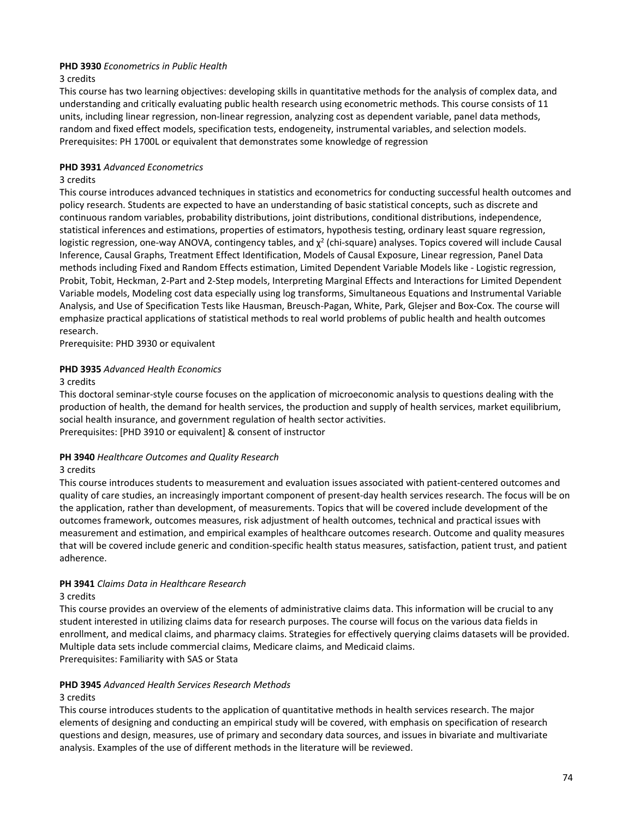## **PHD 3930** *Econometrics in Public Health*

#### 3 credits

This course has two learning objectives: developing skills in quantitative methods for the analysis of complex data, and understanding and critically evaluating public health research using econometric methods. This course consists of 11 units, including linear regression, non-linear regression, analyzing cost as dependent variable, panel data methods, random and fixed effect models, specification tests, endogeneity, instrumental variables, and selection models. Prerequisites: PH 1700L or equivalent that demonstrates some knowledge of regression

## **PHD 3931** *Advanced Econometrics*

#### 3 credits

This course introduces advanced techniques in statistics and econometrics for conducting successful health outcomes and policy research. Students are expected to have an understanding of basic statistical concepts, such as discrete and continuous random variables, probability distributions, joint distributions, conditional distributions, independence, statistical inferences and estimations, properties of estimators, hypothesis testing, ordinary least square regression, logistic regression, one-way ANOVA, contingency tables, and  $\chi^2$  (chi-square) analyses. Topics covered will include Causal Inference, Causal Graphs, Treatment Effect Identification, Models of Causal Exposure, Linear regression, Panel Data methods including Fixed and Random Effects estimation, Limited Dependent Variable Models like - Logistic regression, Probit, Tobit, Heckman, 2-Part and 2-Step models, Interpreting Marginal Effects and Interactions for Limited Dependent Variable models, Modeling cost data especially using log transforms, Simultaneous Equations and Instrumental Variable Analysis, and Use of Specification Tests like Hausman, Breusch-Pagan, White, Park, Glejser and Box-Cox. The course will emphasize practical applications of statistical methods to real world problems of public health and health outcomes research.

Prerequisite: PHD 3930 or equivalent

## **PHD 3935** *Advanced Health Economics*

## 3 credits

This doctoral seminar-style course focuses on the application of microeconomic analysis to questions dealing with the production of health, the demand for health services, the production and supply of health services, market equilibrium, social health insurance, and government regulation of health sector activities. Prerequisites: [PHD 3910 or equivalent] & consent of instructor

## **PH 3940** *Healthcare Outcomes and Quality Research*

## 3 credits

This course introduces students to measurement and evaluation issues associated with patient-centered outcomes and quality of care studies, an increasingly important component of present-day health services research. The focus will be on the application, rather than development, of measurements. Topics that will be covered include development of the outcomes framework, outcomes measures, risk adjustment of health outcomes, technical and practical issues with measurement and estimation, and empirical examples of healthcare outcomes research. Outcome and quality measures that will be covered include generic and condition-specific health status measures, satisfaction, patient trust, and patient adherence.

## **PH 3941** *Claims Data in Healthcare Research*

#### 3 credits

This course provides an overview of the elements of administrative claims data. This information will be crucial to any student interested in utilizing claims data for research purposes. The course will focus on the various data fields in enrollment, and medical claims, and pharmacy claims. Strategies for effectively querying claims datasets will be provided. Multiple data sets include commercial claims, Medicare claims, and Medicaid claims. Prerequisites: Familiarity with SAS or Stata

## **PHD 3945** *Advanced Health Services Research Methods*

## 3 credits

This course introduces students to the application of quantitative methods in health services research. The major elements of designing and conducting an empirical study will be covered, with emphasis on specification of research questions and design, measures, use of primary and secondary data sources, and issues in bivariate and multivariate analysis. Examples of the use of different methods in the literature will be reviewed.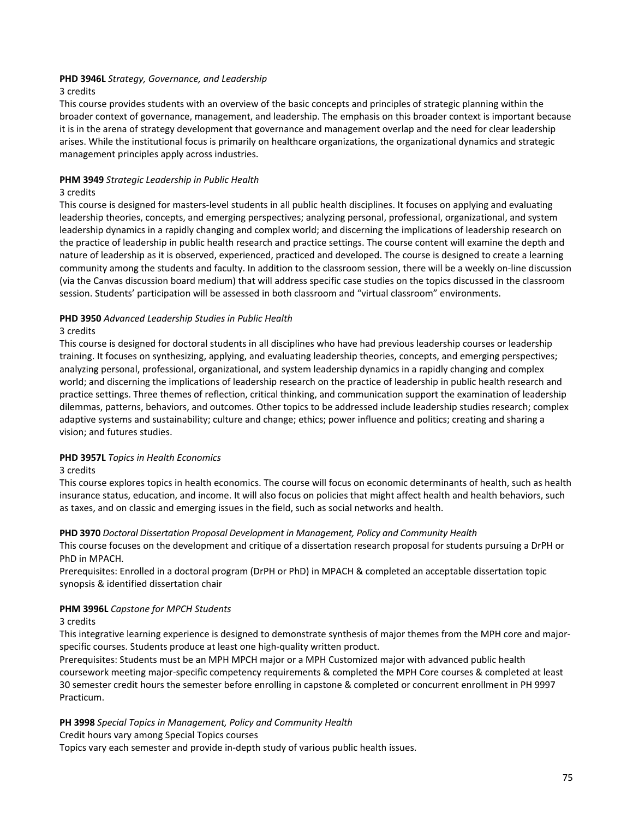## **PHD 3946L** *Strategy, Governance, and Leadership*

#### 3 credits

This course provides students with an overview of the basic concepts and principles of strategic planning within the broader context of governance, management, and leadership. The emphasis on this broader context is important because it is in the arena of strategy development that governance and management overlap and the need for clear leadership arises. While the institutional focus is primarily on healthcare organizations, the organizational dynamics and strategic management principles apply across industries.

#### **PHM 3949** *Strategic Leadership in Public Health*

#### 3 credits

This course is designed for masters-level students in all public health disciplines. It focuses on applying and evaluating leadership theories, concepts, and emerging perspectives; analyzing personal, professional, organizational, and system leadership dynamics in a rapidly changing and complex world; and discerning the implications of leadership research on the practice of leadership in public health research and practice settings. The course content will examine the depth and nature of leadership as it is observed, experienced, practiced and developed. The course is designed to create a learning community among the students and faculty. In addition to the classroom session, there will be a weekly on-line discussion (via the Canvas discussion board medium) that will address specific case studies on the topics discussed in the classroom session. Students' participation will be assessed in both classroom and "virtual classroom" environments.

## **PHD 3950** *Advanced Leadership Studies in Public Health*

#### 3 credits

This course is designed for doctoral students in all disciplines who have had previous leadership courses or leadership training. It focuses on synthesizing, applying, and evaluating leadership theories, concepts, and emerging perspectives; analyzing personal, professional, organizational, and system leadership dynamics in a rapidly changing and complex world; and discerning the implications of leadership research on the practice of leadership in public health research and practice settings. Three themes of reflection, critical thinking, and communication support the examination of leadership dilemmas, patterns, behaviors, and outcomes. Other topics to be addressed include leadership studies research; complex adaptive systems and sustainability; culture and change; ethics; power influence and politics; creating and sharing a vision; and futures studies.

#### **PHD 3957L** *Topics in Health Economics*

#### 3 credits

This course explores topics in health economics. The course will focus on economic determinants of health, such as health insurance status, education, and income. It will also focus on policies that might affect health and health behaviors, such as taxes, and on classic and emerging issues in the field, such as social networks and health.

#### **PHD 3970** *Doctoral Dissertation Proposal Development in Management, Policy and Community Health*

This course focuses on the development and critique of a dissertation research proposal for students pursuing a DrPH or PhD in MPACH.

Prerequisites: Enrolled in a doctoral program (DrPH or PhD) in MPACH & completed an acceptable dissertation topic synopsis & identified dissertation chair

#### **PHM 3996L** *Capstone for MPCH Students*

#### 3 credits

This integrative learning experience is designed to demonstrate synthesis of major themes from the MPH core and majorspecific courses. Students produce at least one high-quality written product.

Prerequisites: Students must be an MPH MPCH major or a MPH Customized major with advanced public health coursework meeting major-specific competency requirements & completed the MPH Core courses & completed at least 30 semester credit hours the semester before enrolling in capstone & completed or concurrent enrollment in PH 9997 Practicum.

#### **PH 3998** *Special Topics in Management, Policy and Community Health*

Credit hours vary among Special Topics courses

Topics vary each semester and provide in-depth study of various public health issues.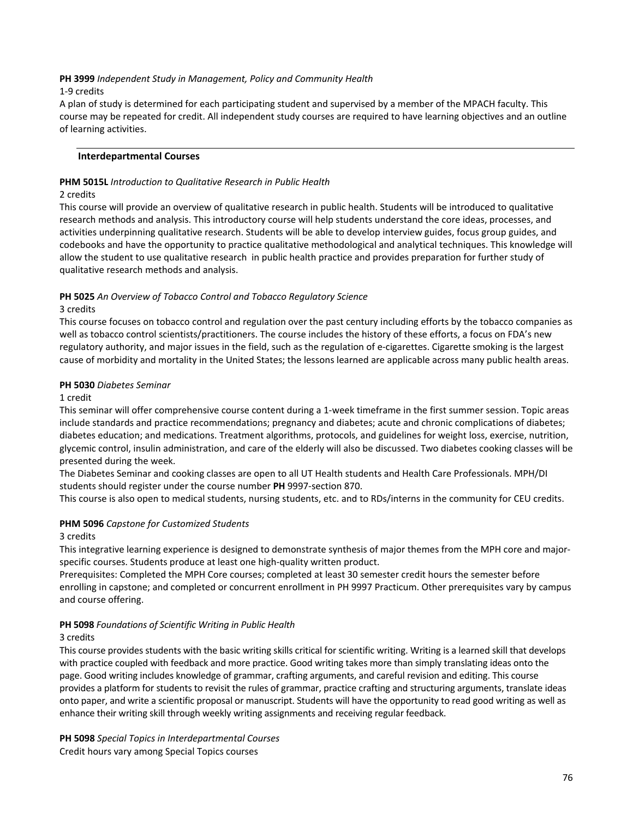#### **PH 3999** *Independent Study in Management, Policy and Community Health*

#### 1-9 credits

A plan of study is determined for each participating student and supervised by a member of the MPACH faculty. This course may be repeated for credit. All independent study courses are required to have learning objectives and an outline of learning activities.

#### **Interdepartmental Courses**

## **PHM 5015L** *Introduction to Qualitative Research in Public Health*

#### 2 credits

This course will provide an overview of qualitative research in public health. Students will be introduced to qualitative research methods and analysis. This introductory course will help students understand the core ideas, processes, and activities underpinning qualitative research. Students will be able to develop interview guides, focus group guides, and codebooks and have the opportunity to practice qualitative methodological and analytical techniques. This knowledge will allow the student to use qualitative research in public health practice and provides preparation for further study of qualitative research methods and analysis.

# **PH 5025** *An Overview of Tobacco Control and Tobacco Regulatory Science*

#### 3 credits

This course focuses on tobacco control and regulation over the past century including efforts by the tobacco companies as well as tobacco control scientists/practitioners. The course includes the history of these efforts, a focus on FDA's new regulatory authority, and major issues in the field, such as the regulation of e-cigarettes. Cigarette smoking is the largest cause of morbidity and mortality in the United States; the lessons learned are applicable across many public health areas.

#### **PH 5030** *Diabetes Seminar*

#### 1 credit

This seminar will offer comprehensive course content during a 1-week timeframe in the first summer session. Topic areas include standards and practice recommendations; pregnancy and diabetes; acute and chronic complications of diabetes; diabetes education; and medications. Treatment algorithms, protocols, and guidelines for weight loss, exercise, nutrition, glycemic control, insulin administration, and care of the elderly will also be discussed. Two diabetes cooking classes will be presented during the week.

The Diabetes Seminar and cooking classes are open to all UT Health students and Health Care Professionals. MPH/DI students should register under the course number **PH** 9997-section 870.

This course is also open to medical students, nursing students, etc. and to RDs/interns in the community for CEU credits.

## **PHM 5096** *Capstone for Customized Students*

#### 3 credits

This integrative learning experience is designed to demonstrate synthesis of major themes from the MPH core and majorspecific courses. Students produce at least one high-quality written product.

Prerequisites: Completed the MPH Core courses; completed at least 30 semester credit hours the semester before enrolling in capstone; and completed or concurrent enrollment in PH 9997 Practicum. Other prerequisites vary by campus and course offering.

#### **PH 5098** *Foundations of Scientific Writing in Public Health*

#### 3 credits

This course provides students with the basic writing skills critical for scientific writing. Writing is a learned skill that develops with practice coupled with feedback and more practice. Good writing takes more than simply translating ideas onto the page. Good writing includes knowledge of grammar, crafting arguments, and careful revision and editing. This course provides a platform for students to revisit the rules of grammar, practice crafting and structuring arguments, translate ideas onto paper, and write a scientific proposal or manuscript. Students will have the opportunity to read good writing as well as enhance their writing skill through weekly writing assignments and receiving regular feedback.

**PH 5098** *Special Topics in Interdepartmental Courses* Credit hours vary among Special Topics courses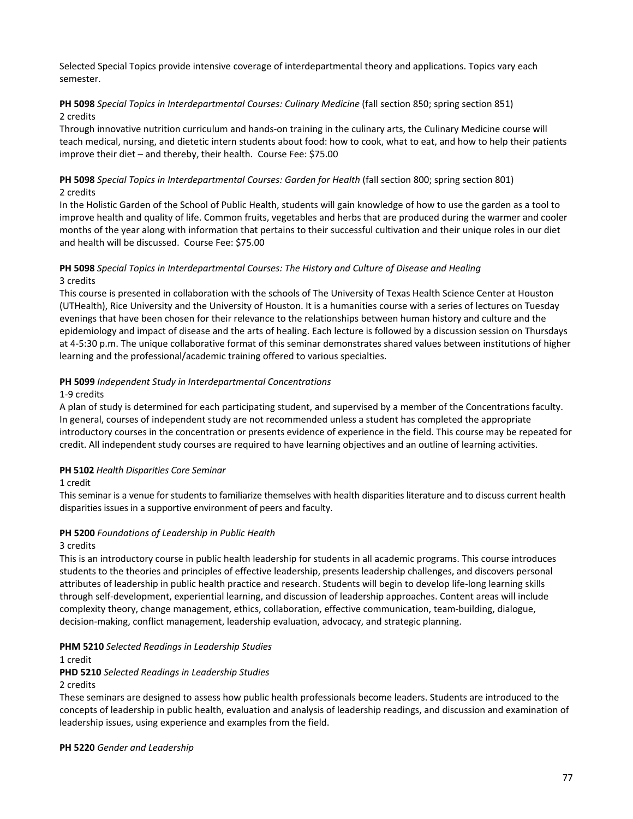Selected Special Topics provide intensive coverage of interdepartmental theory and applications. Topics vary each semester.

## **PH 5098** *Special Topics in Interdepartmental Courses: Culinary Medicine* (fall section 850; spring section 851) 2 credits

Through innovative nutrition curriculum and hands-on training in the culinary arts, the Culinary Medicine course will teach medical, nursing, and dietetic intern students about food: how to cook, what to eat, and how to help their patients improve their diet – and thereby, their health. Course Fee: \$75.00

## **PH 5098** *Special Topics in Interdepartmental Courses: Garden for Health* (fall section 800; spring section 801) 2 credits

In the Holistic Garden of the School of Public Health, students will gain knowledge of how to use the garden as a tool to improve health and quality of life. Common fruits, vegetables and herbs that are produced during the warmer and cooler months of the year along with information that pertains to their successful cultivation and their unique roles in our diet and health will be discussed. Course Fee: \$75.00

## **PH 5098** *Special Topics in Interdepartmental Courses: The History and Culture of Disease and Healing* 3 credits

This course is presented in collaboration with the schools of The University of Texas Health Science Center at Houston (UTHealth), Rice University and the University of Houston. It is a humanities course with a series of lectures on Tuesday evenings that have been chosen for their relevance to the relationships between human history and culture and the epidemiology and impact of disease and the arts of healing. Each lecture is followed by a discussion session on Thursdays at 4-5:30 p.m. The unique collaborative format of this seminar demonstrates shared values between institutions of higher learning and the professional/academic training offered to various specialties.

## **PH 5099** *Independent Study in Interdepartmental Concentrations*

## 1-9 credits

A plan of study is determined for each participating student, and supervised by a member of the Concentrations faculty. In general, courses of independent study are not recommended unless a student has completed the appropriate introductory courses in the concentration or presents evidence of experience in the field. This course may be repeated for credit. All independent study courses are required to have learning objectives and an outline of learning activities.

## **PH 5102** *Health Disparities Core Seminar*

#### 1 credit

This seminar is a venue for students to familiarize themselves with health disparities literature and to discuss current health disparities issues in a supportive environment of peers and faculty.

## **PH 5200** *Foundations of Leadership in Public Health*

#### 3 credits

This is an introductory course in public health leadership for students in all academic programs. This course introduces students to the theories and principles of effective leadership, presents leadership challenges, and discovers personal attributes of leadership in public health practice and research. Students will begin to develop life-long learning skills through self-development, experiential learning, and discussion of leadership approaches. Content areas will include complexity theory, change management, ethics, collaboration, effective communication, team-building, dialogue, decision-making, conflict management, leadership evaluation, advocacy, and strategic planning.

#### **PHM 5210** *Selected Readings in Leadership Studies*

1 credit

#### **PHD 5210** *Selected Readings in Leadership Studies*

#### 2 credits

These seminars are designed to assess how public health professionals become leaders. Students are introduced to the concepts of leadership in public health, evaluation and analysis of leadership readings, and discussion and examination of leadership issues, using experience and examples from the field.

**PH 5220** *Gender and Leadership*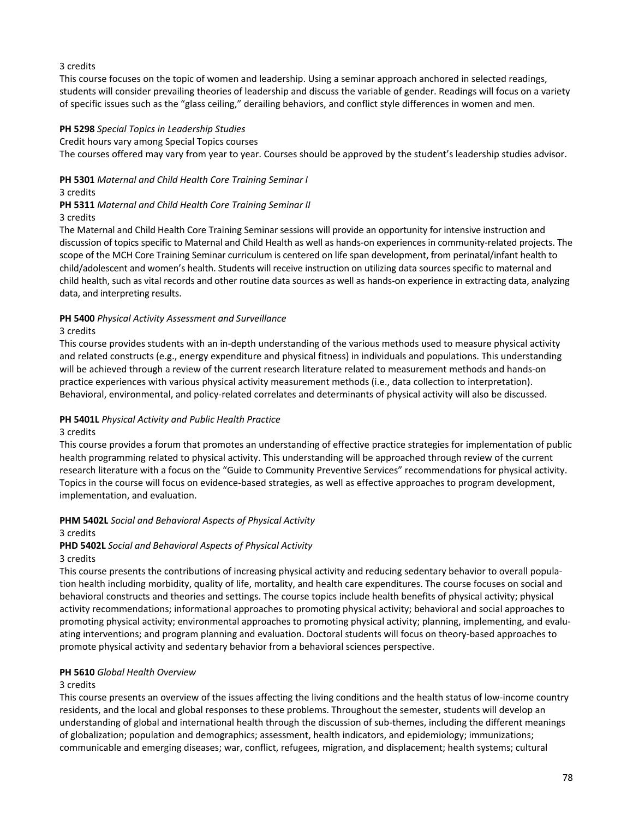## 3 credits

This course focuses on the topic of women and leadership. Using a seminar approach anchored in selected readings, students will consider prevailing theories of leadership and discuss the variable of gender. Readings will focus on a variety of specific issues such as the "glass ceiling," derailing behaviors, and conflict style differences in women and men.

#### **PH 5298** *Special Topics in Leadership Studies*

#### Credit hours vary among Special Topics courses

The courses offered may vary from year to year. Courses should be approved by the student's leadership studies advisor.

**PH 5301** *Maternal and Child Health Core Training Seminar I*

3 credits

## **PH 5311** *Maternal and Child Health Core Training Seminar II*

#### 3 credits

The Maternal and Child Health Core Training Seminar sessions will provide an opportunity for intensive instruction and discussion of topics specific to Maternal and Child Health as well as hands-on experiences in community-related projects. The scope of the MCH Core Training Seminar curriculum is centered on life span development, from perinatal/infant health to child/adolescent and women's health. Students will receive instruction on utilizing data sources specific to maternal and child health, such as vital records and other routine data sources as well as hands-on experience in extracting data, analyzing data, and interpreting results.

## **PH 5400** *Physical Activity Assessment and Surveillance*

#### 3 credits

This course provides students with an in-depth understanding of the various methods used to measure physical activity and related constructs (e.g., energy expenditure and physical fitness) in individuals and populations. This understanding will be achieved through a review of the current research literature related to measurement methods and hands-on practice experiences with various physical activity measurement methods (i.e., data collection to interpretation). Behavioral, environmental, and policy-related correlates and determinants of physical activity will also be discussed.

#### **PH 5401L** *Physical Activity and Public Health Practice*

#### 3 credits

This course provides a forum that promotes an understanding of effective practice strategies for implementation of public health programming related to physical activity. This understanding will be approached through review of the current research literature with a focus on the "Guide to Community Preventive Services" recommendations for physical activity. Topics in the course will focus on evidence-based strategies, as well as effective approaches to program development, implementation, and evaluation.

## **PHM 5402L** *Social and Behavioral Aspects of Physical Activity*

#### 3 credits

#### **PHD 5402L** *Social and Behavioral Aspects of Physical Activity*

#### 3 credits

This course presents the contributions of increasing physical activity and reducing sedentary behavior to overall population health including morbidity, quality of life, mortality, and health care expenditures. The course focuses on social and behavioral constructs and theories and settings. The course topics include health benefits of physical activity; physical activity recommendations; informational approaches to promoting physical activity; behavioral and social approaches to promoting physical activity; environmental approaches to promoting physical activity; planning, implementing, and evaluating interventions; and program planning and evaluation. Doctoral students will focus on theory-based approaches to promote physical activity and sedentary behavior from a behavioral sciences perspective.

#### **PH 5610** *Global Health Overview*

## 3 credits

This course presents an overview of the issues affecting the living conditions and the health status of low-income country residents, and the local and global responses to these problems. Throughout the semester, students will develop an understanding of global and international health through the discussion of sub-themes, including the different meanings of globalization; population and demographics; assessment, health indicators, and epidemiology; immunizations; communicable and emerging diseases; war, conflict, refugees, migration, and displacement; health systems; cultural